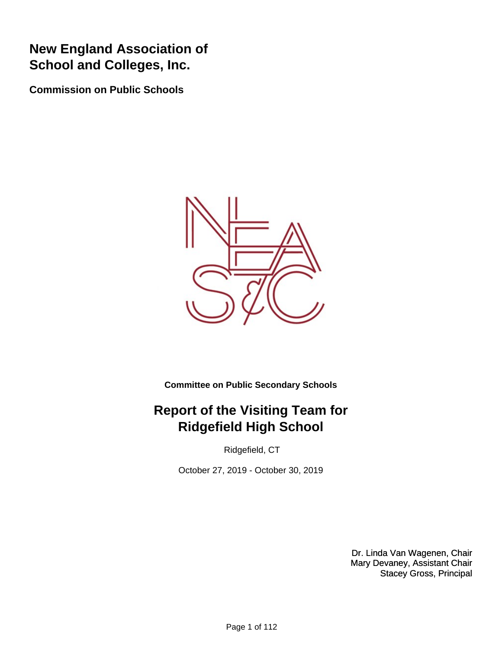## **New England Association of School and Colleges, Inc.**

**Commission on Public Schools**



**Committee on Public Secondary Schools**

## **Report of the Visiting Team for Ridgefield High School**

Ridgefield, CT

October 27, 2019 - October 30, 2019

Dr. Linda Van Wagenen, Chair Mary Devaney, Assistant Chair Stacey Gross, Principal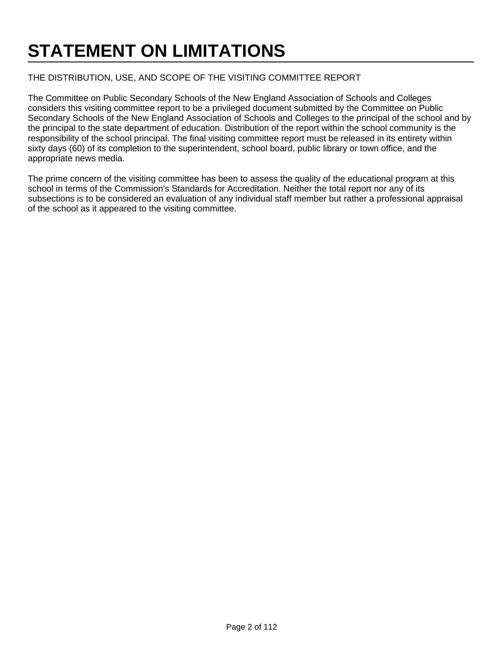# **STATEMENT ON LIMITATIONS**

#### THE DISTRIBUTION, USE, AND SCOPE OF THE VISITING COMMITTEE REPORT

The Committee on Public Secondary Schools of the New England Association of Schools and Colleges considers this visiting committee report to be a privileged document submitted by the Committee on Public Secondary Schools of the New England Association of Schools and Colleges to the principal of the school and by the principal to the state department of education. Distribution of the report within the school community is the responsibility of the school principal. The final visiting committee report must be released in its entirety within sixty days (60) of its completion to the superintendent, school board, public library or town office, and the appropriate news media.

The prime concern of the visiting committee has been to assess the quality of the educational program at this school in terms of the Commission's Standards for Accreditation. Neither the total report nor any of its subsections is to be considered an evaluation of any individual staff member but rather a professional appraisal of the school as it appeared to the visiting committee.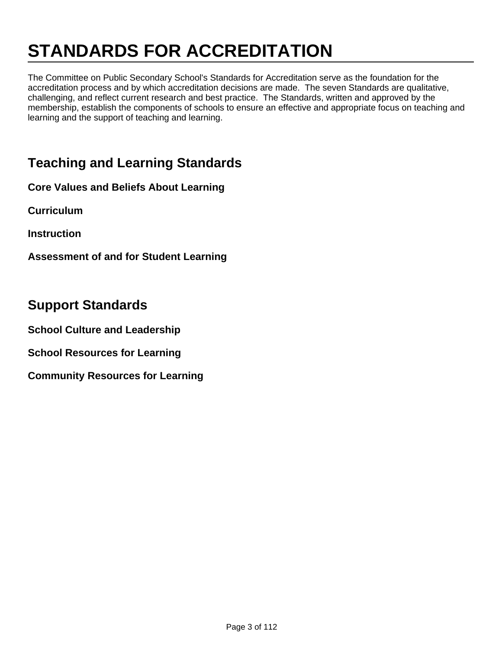# **STANDARDS FOR ACCREDITATION**

The Committee on Public Secondary School's Standards for Accreditation serve as the foundation for the accreditation process and by which accreditation decisions are made. The seven Standards are qualitative, challenging, and reflect current research and best practice. The Standards, written and approved by the membership, establish the components of schools to ensure an effective and appropriate focus on teaching and learning and the support of teaching and learning.

## **Teaching and Learning Standards**

**Core Values and Beliefs About Learning**

**Curriculum**

**Instruction**

**Assessment of and for Student Learning**

### **Support Standards**

**School Culture and Leadership**

**School Resources for Learning**

**Community Resources for Learning**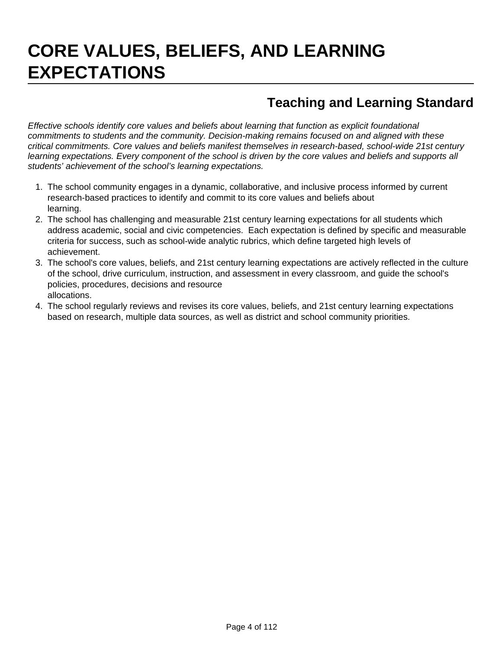# **CORE VALUES, BELIEFS, AND LEARNING EXPECTATIONS**

## **Teaching and Learning Standard**

Effective schools identify core values and beliefs about learning that function as explicit foundational commitments to students and the community. Decision-making remains focused on and aligned with these critical commitments. Core values and beliefs manifest themselves in research-based, school-wide 21st century learning expectations. Every component of the school is driven by the core values and beliefs and supports all students' achievement of the school's learning expectations.

- 1. The school community engages in a dynamic, collaborative, and inclusive process informed by current research-based practices to identify and commit to its core values and beliefs about learning.
- 2. The school has challenging and measurable 21st century learning expectations for all students which address academic, social and civic competencies. Each expectation is defined by specific and measurable criteria for success, such as school-wide analytic rubrics, which define targeted high levels of achievement.
- 3. The school's core values, beliefs, and 21st century learning expectations are actively reflected in the culture of the school, drive curriculum, instruction, and assessment in every classroom, and guide the school's policies, procedures, decisions and resource allocations.
- 4. The school regularly reviews and revises its core values, beliefs, and 21st century learning expectations based on research, multiple data sources, as well as district and school community priorities.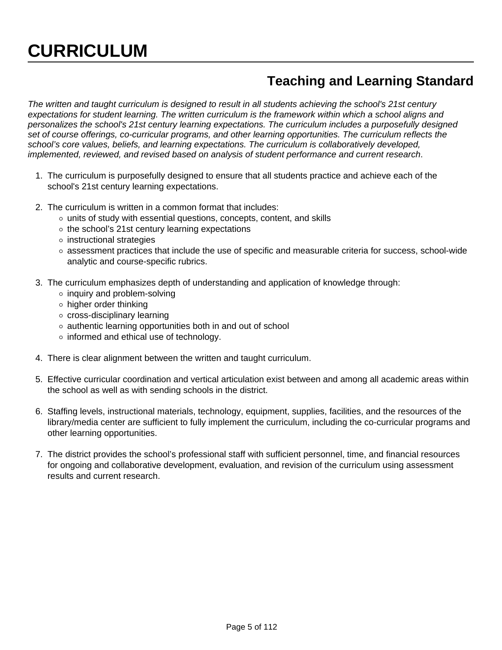# **CURRICULUM**

## **Teaching and Learning Standard**

The written and taught curriculum is designed to result in all students achieving the school's 21st century expectations for student learning. The written curriculum is the framework within which a school aligns and personalizes the school's 21st century learning expectations. The curriculum includes a purposefully designed set of course offerings, co-curricular programs, and other learning opportunities. The curriculum reflects the school's core values, beliefs, and learning expectations. The curriculum is collaboratively developed, implemented, reviewed, and revised based on analysis of student performance and current research.

- 1. The curriculum is purposefully designed to ensure that all students practice and achieve each of the school's 21st century learning expectations.
- 2. The curriculum is written in a common format that includes:
	- $\circ$  units of study with essential questions, concepts, content, and skills
	- $\circ$  the school's 21st century learning expectations
	- $\circ$  instructional strategies
	- $\circ$  assessment practices that include the use of specific and measurable criteria for success, school-wide analytic and course-specific rubrics.
- 3. The curriculum emphasizes depth of understanding and application of knowledge through:
	- $\circ$  inquiry and problem-solving
	- higher order thinking
	- cross-disciplinary learning
	- $\circ$  authentic learning opportunities both in and out of school
	- $\circ$  informed and ethical use of technology.
- 4. There is clear alignment between the written and taught curriculum.
- 5. Effective curricular coordination and vertical articulation exist between and among all academic areas within the school as well as with sending schools in the district.
- 6. Staffing levels, instructional materials, technology, equipment, supplies, facilities, and the resources of the library/media center are sufficient to fully implement the curriculum, including the co-curricular programs and other learning opportunities.
- 7. The district provides the school's professional staff with sufficient personnel, time, and financial resources for ongoing and collaborative development, evaluation, and revision of the curriculum using assessment results and current research.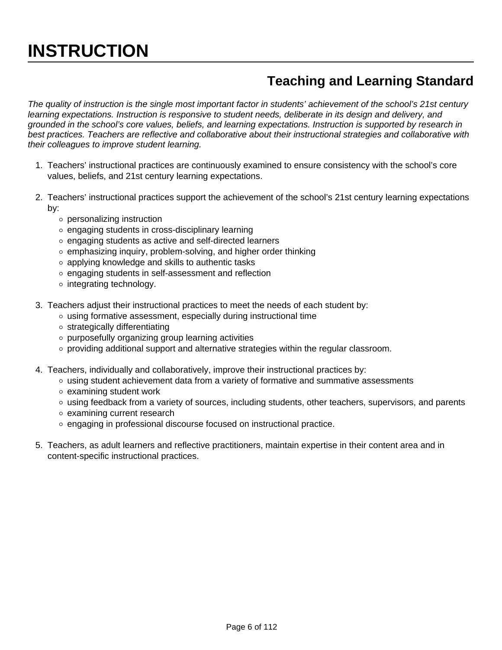# **INSTRUCTION**

# **Teaching and Learning Standard**

The quality of instruction is the single most important factor in students' achievement of the school's 21st century learning expectations. Instruction is responsive to student needs, deliberate in its design and delivery, and grounded in the school's core values, beliefs, and learning expectations. Instruction is supported by research in best practices. Teachers are reflective and collaborative about their instructional strategies and collaborative with their colleagues to improve student learning.

- 1. Teachers' instructional practices are continuously examined to ensure consistency with the school's core values, beliefs, and 21st century learning expectations.
- 2. Teachers' instructional practices support the achievement of the school's 21st century learning expectations by:
	- personalizing instruction
	- $\circ$  engaging students in cross-disciplinary learning
	- engaging students as active and self-directed learners
	- $\circ$  emphasizing inquiry, problem-solving, and higher order thinking
	- applying knowledge and skills to authentic tasks
	- o engaging students in self-assessment and reflection
	- o integrating technology.
- 3. Teachers adjust their instructional practices to meet the needs of each student by:
	- $\circ$  using formative assessment, especially during instructional time
	- $\circ$  strategically differentiating
	- o purposefully organizing group learning activities
	- $\circ$  providing additional support and alternative strategies within the regular classroom.
- 4. Teachers, individually and collaboratively, improve their instructional practices by:
	- $\circ$  using student achievement data from a variety of formative and summative assessments
	- $\circ$  examining student work
	- using feedback from a variety of sources, including students, other teachers, supervisors, and parents
	- examining current research
	- o engaging in professional discourse focused on instructional practice.
- 5. Teachers, as adult learners and reflective practitioners, maintain expertise in their content area and in content-specific instructional practices.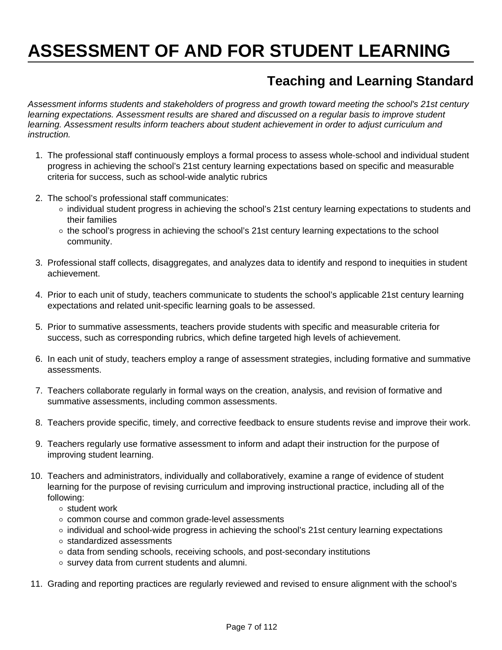# **ASSESSMENT OF AND FOR STUDENT LEARNING**

## **Teaching and Learning Standard**

Assessment informs students and stakeholders of progress and growth toward meeting the school's 21st century learning expectations. Assessment results are shared and discussed on a regular basis to improve student learning. Assessment results inform teachers about student achievement in order to adjust curriculum and instruction.

- 1. The professional staff continuously employs a formal process to assess whole-school and individual student progress in achieving the school's 21st century learning expectations based on specific and measurable criteria for success, such as school-wide analytic rubrics
- 2. The school's professional staff communicates:
	- individual student progress in achieving the school's 21st century learning expectations to students and their families
	- $\circ$  the school's progress in achieving the school's 21st century learning expectations to the school community.
- 3. Professional staff collects, disaggregates, and analyzes data to identify and respond to inequities in student achievement.
- 4. Prior to each unit of study, teachers communicate to students the school's applicable 21st century learning expectations and related unit-specific learning goals to be assessed.
- 5. Prior to summative assessments, teachers provide students with specific and measurable criteria for success, such as corresponding rubrics, which define targeted high levels of achievement.
- 6. In each unit of study, teachers employ a range of assessment strategies, including formative and summative assessments.
- 7. Teachers collaborate regularly in formal ways on the creation, analysis, and revision of formative and summative assessments, including common assessments.
- 8. Teachers provide specific, timely, and corrective feedback to ensure students revise and improve their work.
- 9. Teachers regularly use formative assessment to inform and adapt their instruction for the purpose of improving student learning.
- 10. Teachers and administrators, individually and collaboratively, examine a range of evidence of student learning for the purpose of revising curriculum and improving instructional practice, including all of the following:
	- o student work
	- o common course and common grade-level assessments
	- $\circ$  individual and school-wide progress in achieving the school's 21st century learning expectations
	- o standardized assessments
	- $\circ$  data from sending schools, receiving schools, and post-secondary institutions
	- o survey data from current students and alumni.
- 11. Grading and reporting practices are regularly reviewed and revised to ensure alignment with the school's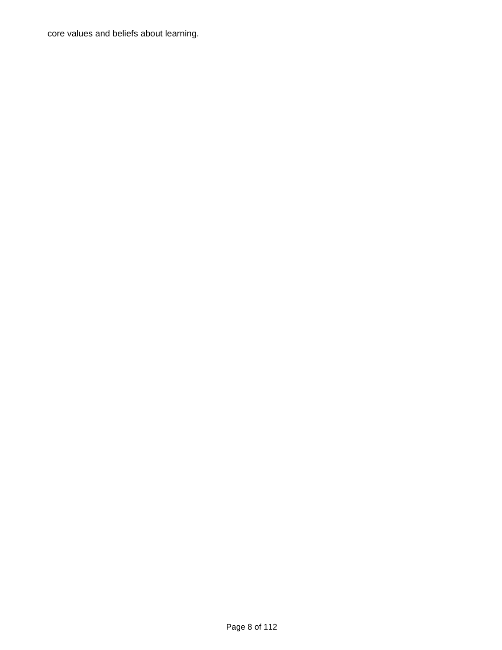core values and beliefs about learning.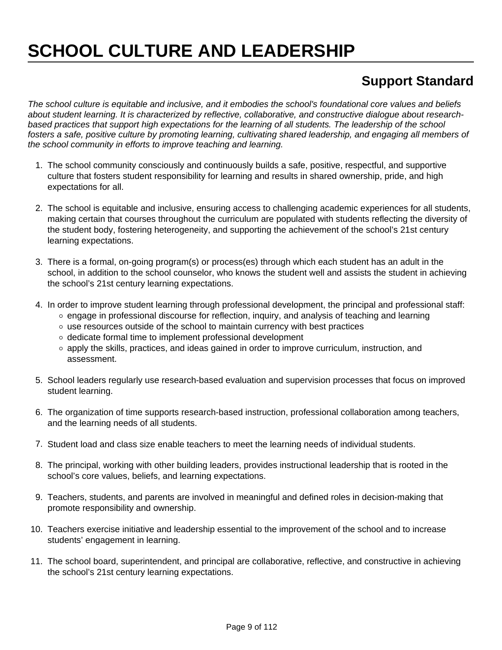# **SCHOOL CULTURE AND LEADERSHIP**

# **Support Standard**

The school culture is equitable and inclusive, and it embodies the school's foundational core values and beliefs about student learning. It is characterized by reflective, collaborative, and constructive dialogue about researchbased practices that support high expectations for the learning of all students. The leadership of the school fosters a safe, positive culture by promoting learning, cultivating shared leadership, and engaging all members of the school community in efforts to improve teaching and learning.

- 1. The school community consciously and continuously builds a safe, positive, respectful, and supportive culture that fosters student responsibility for learning and results in shared ownership, pride, and high expectations for all.
- 2. The school is equitable and inclusive, ensuring access to challenging academic experiences for all students, making certain that courses throughout the curriculum are populated with students reflecting the diversity of the student body, fostering heterogeneity, and supporting the achievement of the school's 21st century learning expectations.
- 3. There is a formal, on-going program(s) or process(es) through which each student has an adult in the school, in addition to the school counselor, who knows the student well and assists the student in achieving the school's 21st century learning expectations.
- 4. In order to improve student learning through professional development, the principal and professional staff:
	- $\circ$  engage in professional discourse for reflection, inquiry, and analysis of teaching and learning
	- use resources outside of the school to maintain currency with best practices
	- o dedicate formal time to implement professional development
	- o apply the skills, practices, and ideas gained in order to improve curriculum, instruction, and assessment.
- 5. School leaders regularly use research-based evaluation and supervision processes that focus on improved student learning.
- 6. The organization of time supports research-based instruction, professional collaboration among teachers, and the learning needs of all students.
- 7. Student load and class size enable teachers to meet the learning needs of individual students.
- 8. The principal, working with other building leaders, provides instructional leadership that is rooted in the school's core values, beliefs, and learning expectations.
- 9. Teachers, students, and parents are involved in meaningful and defined roles in decision-making that promote responsibility and ownership.
- 10. Teachers exercise initiative and leadership essential to the improvement of the school and to increase students' engagement in learning.
- 11. The school board, superintendent, and principal are collaborative, reflective, and constructive in achieving the school's 21st century learning expectations.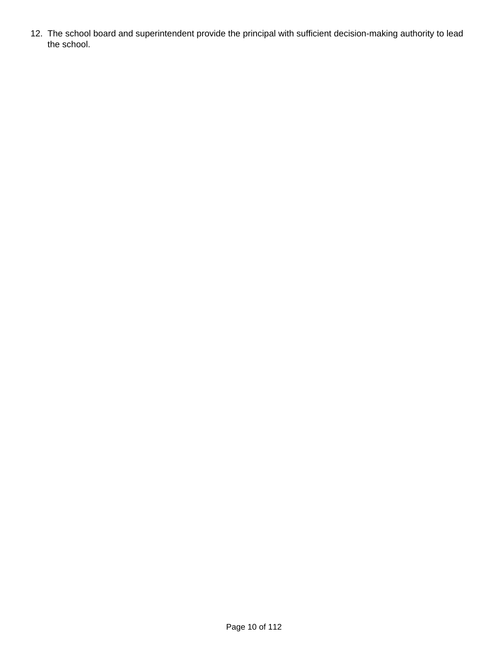12. The school board and superintendent provide the principal with sufficient decision-making authority to lead the school.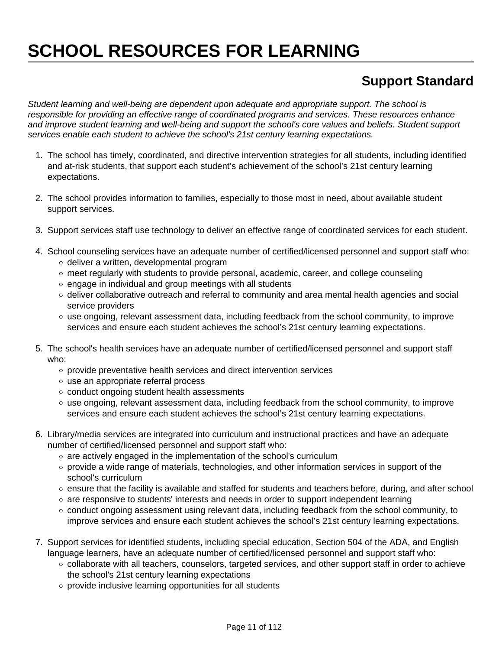# **SCHOOL RESOURCES FOR LEARNING**

## **Support Standard**

Student learning and well-being are dependent upon adequate and appropriate support. The school is responsible for providing an effective range of coordinated programs and services. These resources enhance and improve student learning and well-being and support the school's core values and beliefs. Student support services enable each student to achieve the school's 21st century learning expectations.

- 1. The school has timely, coordinated, and directive intervention strategies for all students, including identified and at-risk students, that support each student's achievement of the school's 21st century learning expectations.
- 2. The school provides information to families, especially to those most in need, about available student support services.
- 3. Support services staff use technology to deliver an effective range of coordinated services for each student.
- 4. School counseling services have an adequate number of certified/licensed personnel and support staff who:
	- $\circ$  deliver a written, developmental program
	- o meet regularly with students to provide personal, academic, career, and college counseling
	- $\circ$  engage in individual and group meetings with all students
	- $\circ$  deliver collaborative outreach and referral to community and area mental health agencies and social service providers
	- $\circ$  use ongoing, relevant assessment data, including feedback from the school community, to improve services and ensure each student achieves the school's 21st century learning expectations.
- 5. The school's health services have an adequate number of certified/licensed personnel and support staff who:
	- $\circ$  provide preventative health services and direct intervention services
	- use an appropriate referral process
	- conduct ongoing student health assessments
	- $\circ$  use ongoing, relevant assessment data, including feedback from the school community, to improve services and ensure each student achieves the school's 21st century learning expectations.
- 6. Library/media services are integrated into curriculum and instructional practices and have an adequate number of certified/licensed personnel and support staff who:
	- $\circ$  are actively engaged in the implementation of the school's curriculum
	- $\circ$  provide a wide range of materials, technologies, and other information services in support of the school's curriculum
	- $\circ$  ensure that the facility is available and staffed for students and teachers before, during, and after school
	- $\circ$  are responsive to students' interests and needs in order to support independent learning
	- o conduct ongoing assessment using relevant data, including feedback from the school community, to improve services and ensure each student achieves the school's 21st century learning expectations.
- 7. Support services for identified students, including special education, Section 504 of the ADA, and English language learners, have an adequate number of certified/licensed personnel and support staff who:
	- o collaborate with all teachers, counselors, targeted services, and other support staff in order to achieve the school's 21st century learning expectations
	- $\circ$  provide inclusive learning opportunities for all students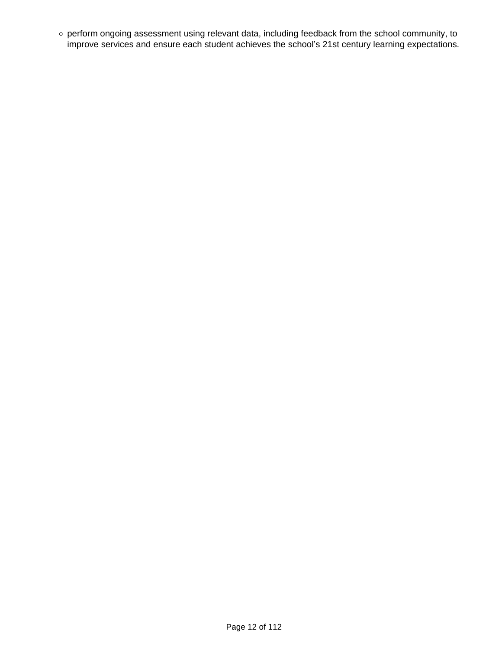perform ongoing assessment using relevant data, including feedback from the school community, to improve services and ensure each student achieves the school's 21st century learning expectations.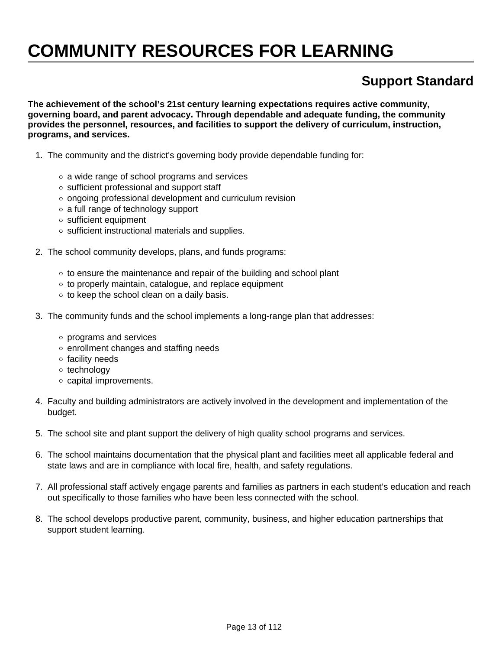# **COMMUNITY RESOURCES FOR LEARNING**

## **Support Standard**

**The achievement of the school's 21st century learning expectations requires active community, governing board, and parent advocacy. Through dependable and adequate funding, the community provides the personnel, resources, and facilities to support the delivery of curriculum, instruction, programs, and services.**

- 1. The community and the district's governing body provide dependable funding for:
	- $\circ$  a wide range of school programs and services
	- $\circ$  sufficient professional and support staff
	- o ongoing professional development and curriculum revision
	- a full range of technology support
	- sufficient equipment
	- $\circ$  sufficient instructional materials and supplies.
- 2. The school community develops, plans, and funds programs:
	- $\circ$  to ensure the maintenance and repair of the building and school plant
	- $\circ$  to properly maintain, catalogue, and replace equipment
	- $\circ$  to keep the school clean on a daily basis.
- 3. The community funds and the school implements a long-range plan that addresses:
	- $\circ$  programs and services
	- $\circ$  enrollment changes and staffing needs
	- o facility needs
	- o technology
	- capital improvements.
- 4. Faculty and building administrators are actively involved in the development and implementation of the budget.
- 5. The school site and plant support the delivery of high quality school programs and services.
- 6. The school maintains documentation that the physical plant and facilities meet all applicable federal and state laws and are in compliance with local fire, health, and safety regulations.
- 7. All professional staff actively engage parents and families as partners in each student's education and reach out specifically to those families who have been less connected with the school.
- 8. The school develops productive parent, community, business, and higher education partnerships that support student learning.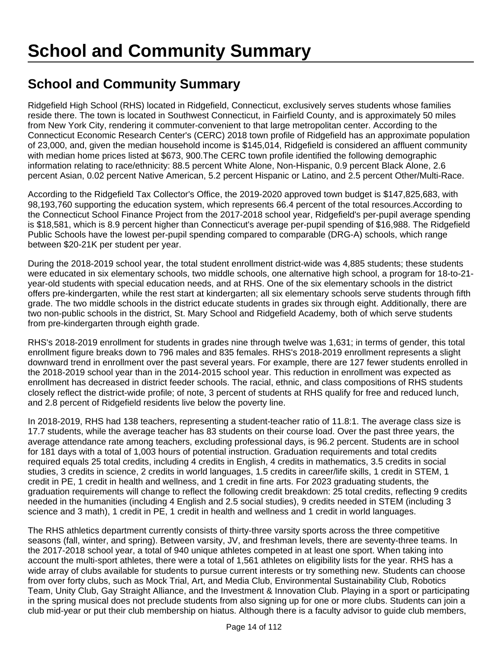# **School and Community Summary**

Ridgefield High School (RHS) located in Ridgefield, Connecticut, exclusively serves students whose families reside there. The town is located in Southwest Connecticut, in Fairfield County, and is approximately 50 miles from New York City, rendering it commuter-convenient to that large metropolitan center. According to the Connecticut Economic Research Center's (CERC) 2018 town profile of Ridgefield has an approximate population of 23,000, and, given the median household income is \$145,014, Ridgefield is considered an affluent community with median home prices listed at \$673, 900.The CERC town profile identified the following demographic information relating to race/ethnicity: 88.5 percent White Alone, Non-Hispanic, 0.9 percent Black Alone, 2.6 percent Asian, 0.02 percent Native American, 5.2 percent Hispanic or Latino, and 2.5 percent Other/Multi-Race.

According to the Ridgefield Tax Collector's Office, the 2019-2020 approved town budget is \$147,825,683, with 98,193,760 supporting the education system, which represents 66.4 percent of the total resources.According to the Connecticut School Finance Project from the 2017-2018 school year, Ridgefield's per-pupil average spending is \$18,581, which is 8.9 percent higher than Connecticut's average per-pupil spending of \$16,988. The Ridgefield Public Schools have the lowest per-pupil spending compared to comparable (DRG-A) schools, which range between \$20-21K per student per year.

During the 2018-2019 school year, the total student enrollment district-wide was 4,885 students; these students were educated in six elementary schools, two middle schools, one alternative high school, a program for 18-to-21 year-old students with special education needs, and at RHS. One of the six elementary schools in the district offers pre-kindergarten, while the rest start at kindergarten; all six elementary schools serve students through fifth grade. The two middle schools in the district educate students in grades six through eight. Additionally, there are two non-public schools in the district, St. Mary School and Ridgefield Academy, both of which serve students from pre-kindergarten through eighth grade.

RHS's 2018-2019 enrollment for students in grades nine through twelve was 1,631; in terms of gender, this total enrollment figure breaks down to 796 males and 835 females. RHS's 2018-2019 enrollment represents a slight downward trend in enrollment over the past several years. For example, there are 127 fewer students enrolled in the 2018-2019 school year than in the 2014-2015 school year. This reduction in enrollment was expected as enrollment has decreased in district feeder schools. The racial, ethnic, and class compositions of RHS students closely reflect the district-wide profile; of note, 3 percent of students at RHS qualify for free and reduced lunch, and 2.8 percent of Ridgefield residents live below the poverty line.

In 2018-2019, RHS had 138 teachers, representing a student-teacher ratio of 11.8:1. The average class size is 17.7 students, while the average teacher has 83 students on their course load. Over the past three years, the average attendance rate among teachers, excluding professional days, is 96.2 percent. Students are in school for 181 days with a total of 1,003 hours of potential instruction. Graduation requirements and total credits required equals 25 total credits, including 4 credits in English, 4 credits in mathematics, 3.5 credits in social studies, 3 credits in science, 2 credits in world languages, 1.5 credits in career/life skills, 1 credit in STEM, 1 credit in PE, 1 credit in health and wellness, and 1 credit in fine arts. For 2023 graduating students, the graduation requirements will change to reflect the following credit breakdown: 25 total credits, reflecting 9 credits needed in the humanities (including 4 English and 2.5 social studies), 9 credits needed in STEM (including 3 science and 3 math), 1 credit in PE, 1 credit in health and wellness and 1 credit in world languages.

The RHS athletics department currently consists of thirty-three varsity sports across the three competitive seasons (fall, winter, and spring). Between varsity, JV, and freshman levels, there are seventy-three teams. In the 2017-2018 school year, a total of 940 unique athletes competed in at least one sport. When taking into account the multi-sport athletes, there were a total of 1,561 athletes on eligibility lists for the year. RHS has a wide array of clubs available for students to pursue current interests or try something new. Students can choose from over forty clubs, such as Mock Trial, Art, and Media Club, Environmental Sustainability Club, Robotics Team, Unity Club, Gay Straight Alliance, and the Investment & Innovation Club. Playing in a sport or participating in the spring musical does not preclude students from also signing up for one or more clubs. Students can join a club mid-year or put their club membership on hiatus. Although there is a faculty advisor to guide club members,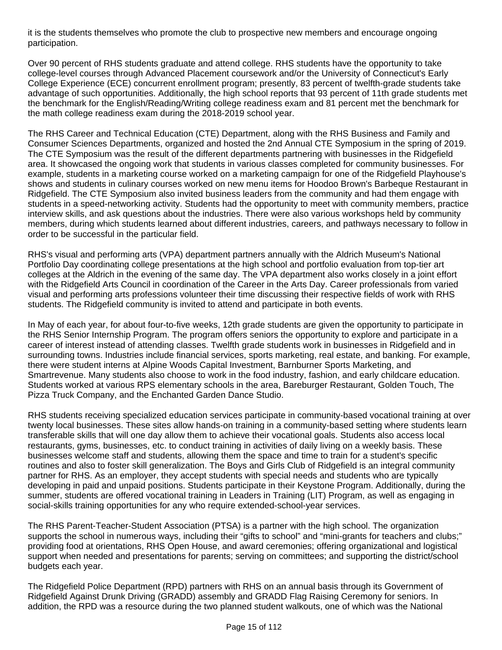it is the students themselves who promote the club to prospective new members and encourage ongoing participation.

Over 90 percent of RHS students graduate and attend college. RHS students have the opportunity to take college-level courses through Advanced Placement coursework and/or the University of Connecticut's Early College Experience (ECE) concurrent enrollment program; presently, 83 percent of twelfth-grade students take advantage of such opportunities. Additionally, the high school reports that 93 percent of 11th grade students met the benchmark for the English/Reading/Writing college readiness exam and 81 percent met the benchmark for the math college readiness exam during the 2018-2019 school year.

The RHS Career and Technical Education (CTE) Department, along with the RHS Business and Family and Consumer Sciences Departments, organized and hosted the 2nd Annual CTE Symposium in the spring of 2019. The CTE Symposium was the result of the different departments partnering with businesses in the Ridgefield area. It showcased the ongoing work that students in various classes completed for community businesses. For example, students in a marketing course worked on a marketing campaign for one of the Ridgefield Playhouse's shows and students in culinary courses worked on new menu items for Hoodoo Brown's Barbeque Restaurant in Ridgefield. The CTE Symposium also invited business leaders from the community and had them engage with students in a speed-networking activity. Students had the opportunity to meet with community members, practice interview skills, and ask questions about the industries. There were also various workshops held by community members, during which students learned about different industries, careers, and pathways necessary to follow in order to be successful in the particular field.

RHS's visual and performing arts (VPA) department partners annually with the Aldrich Museum's National Portfolio Day coordinating college presentations at the high school and portfolio evaluation from top-tier art colleges at the Aldrich in the evening of the same day. The VPA department also works closely in a joint effort with the Ridgefield Arts Council in coordination of the Career in the Arts Day. Career professionals from varied visual and performing arts professions volunteer their time discussing their respective fields of work with RHS students. The Ridgefield community is invited to attend and participate in both events.

In May of each year, for about four-to-five weeks, 12th grade students are given the opportunity to participate in the RHS Senior Internship Program. The program offers seniors the opportunity to explore and participate in a career of interest instead of attending classes. Twelfth grade students work in businesses in Ridgefield and in surrounding towns. Industries include financial services, sports marketing, real estate, and banking. For example, there were student interns at Alpine Woods Capital Investment, Barnburner Sports Marketing, and Smartrevenue. Many students also choose to work in the food industry, fashion, and early childcare education. Students worked at various RPS elementary schools in the area, Bareburger Restaurant, Golden Touch, The Pizza Truck Company, and the Enchanted Garden Dance Studio.

RHS students receiving specialized education services participate in community-based vocational training at over twenty local businesses. These sites allow hands-on training in a community-based setting where students learn transferable skills that will one day allow them to achieve their vocational goals. Students also access local restaurants, gyms, businesses, etc. to conduct training in activities of daily living on a weekly basis. These businesses welcome staff and students, allowing them the space and time to train for a student's specific routines and also to foster skill generalization. The Boys and Girls Club of Ridgefield is an integral community partner for RHS. As an employer, they accept students with special needs and students who are typically developing in paid and unpaid positions. Students participate in their Keystone Program. Additionally, during the summer, students are offered vocational training in Leaders in Training (LIT) Program, as well as engaging in social-skills training opportunities for any who require extended-school-year services.

The RHS Parent-Teacher-Student Association (PTSA) is a partner with the high school. The organization supports the school in numerous ways, including their "gifts to school" and "mini-grants for teachers and clubs;" providing food at orientations, RHS Open House, and award ceremonies; offering organizational and logistical support when needed and presentations for parents; serving on committees; and supporting the district/school budgets each year.

The Ridgefield Police Department (RPD) partners with RHS on an annual basis through its Government of Ridgefield Against Drunk Driving (GRADD) assembly and GRADD Flag Raising Ceremony for seniors. In addition, the RPD was a resource during the two planned student walkouts, one of which was the National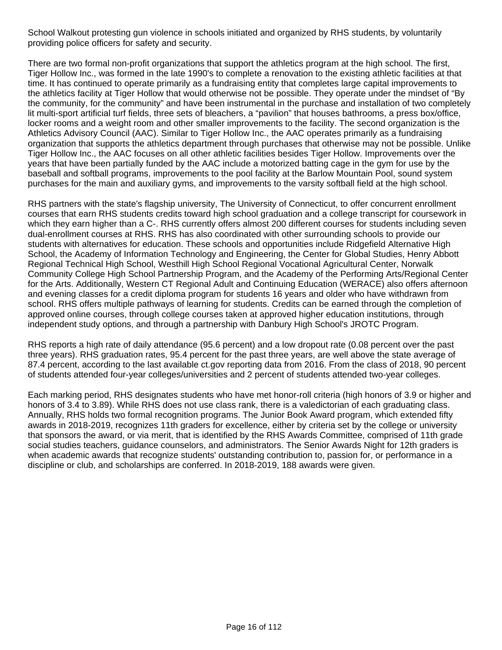School Walkout protesting gun violence in schools initiated and organized by RHS students, by voluntarily providing police officers for safety and security.

There are two formal non-profit organizations that support the athletics program at the high school. The first, Tiger Hollow Inc., was formed in the late 1990's to complete a renovation to the existing athletic facilities at that time. It has continued to operate primarily as a fundraising entity that completes large capital improvements to the athletics facility at Tiger Hollow that would otherwise not be possible. They operate under the mindset of "By the community, for the community" and have been instrumental in the purchase and installation of two completely lit multi-sport artificial turf fields, three sets of bleachers, a "pavilion" that houses bathrooms, a press box/office, locker rooms and a weight room and other smaller improvements to the facility. The second organization is the Athletics Advisory Council (AAC). Similar to Tiger Hollow Inc., the AAC operates primarily as a fundraising organization that supports the athletics department through purchases that otherwise may not be possible. Unlike Tiger Hollow Inc., the AAC focuses on all other athletic facilities besides Tiger Hollow. Improvements over the years that have been partially funded by the AAC include a motorized batting cage in the gym for use by the baseball and softball programs, improvements to the pool facility at the Barlow Mountain Pool, sound system purchases for the main and auxiliary gyms, and improvements to the varsity softball field at the high school.

RHS partners with the state's flagship university, The University of Connecticut, to offer concurrent enrollment courses that earn RHS students credits toward high school graduation and a college transcript for coursework in which they earn higher than a C-. RHS currently offers almost 200 different courses for students including seven dual-enrollment courses at RHS. RHS has also coordinated with other surrounding schools to provide our students with alternatives for education. These schools and opportunities include Ridgefield Alternative High School, the Academy of Information Technology and Engineering, the Center for Global Studies, Henry Abbott Regional Technical High School, Westhill High School Regional Vocational Agricultural Center, Norwalk Community College High School Partnership Program, and the Academy of the Performing Arts/Regional Center for the Arts. Additionally, Western CT Regional Adult and Continuing Education (WERACE) also offers afternoon and evening classes for a credit diploma program for students 16 years and older who have withdrawn from school. RHS offers multiple pathways of learning for students. Credits can be earned through the completion of approved online courses, through college courses taken at approved higher education institutions, through independent study options, and through a partnership with Danbury High School's JROTC Program.

RHS reports a high rate of daily attendance (95.6 percent) and a low dropout rate (0.08 percent over the past three years). RHS graduation rates, 95.4 percent for the past three years, are well above the state average of 87.4 percent, according to the last available ct.gov reporting data from 2016. From the class of 2018, 90 percent of students attended four-year colleges/universities and 2 percent of students attended two-year colleges.

Each marking period, RHS designates students who have met honor-roll criteria (high honors of 3.9 or higher and honors of 3.4 to 3.89). While RHS does not use class rank, there is a valedictorian of each graduating class. Annually, RHS holds two formal recognition programs. The Junior Book Award program, which extended fifty awards in 2018-2019, recognizes 11th graders for excellence, either by criteria set by the college or university that sponsors the award, or via merit, that is identified by the RHS Awards Committee, comprised of 11th grade social studies teachers, guidance counselors, and administrators. The Senior Awards Night for 12th graders is when academic awards that recognize students' outstanding contribution to, passion for, or performance in a discipline or club, and scholarships are conferred. In 2018-2019, 188 awards were given.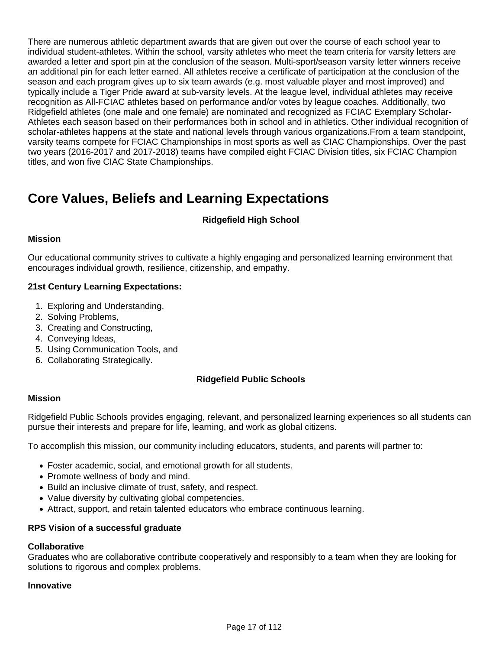There are numerous athletic department awards that are given out over the course of each school year to individual student-athletes. Within the school, varsity athletes who meet the team criteria for varsity letters are awarded a letter and sport pin at the conclusion of the season. Multi-sport/season varsity letter winners receive an additional pin for each letter earned. All athletes receive a certificate of participation at the conclusion of the season and each program gives up to six team awards (e.g. most valuable player and most improved) and typically include a Tiger Pride award at sub-varsity levels. At the league level, individual athletes may receive recognition as All-FCIAC athletes based on performance and/or votes by league coaches. Additionally, two Ridgefield athletes (one male and one female) are nominated and recognized as FCIAC Exemplary Scholar-Athletes each season based on their performances both in school and in athletics. Other individual recognition of scholar-athletes happens at the state and national levels through various organizations.From a team standpoint, varsity teams compete for FCIAC Championships in most sports as well as CIAC Championships. Over the past two years (2016-2017 and 2017-2018) teams have compiled eight FCIAC Division titles, six FCIAC Champion titles, and won five CIAC State Championships.

# **Core Values, Beliefs and Learning Expectations**

#### **Ridgefield High School**

#### **Mission**

Our educational community strives to cultivate a highly engaging and personalized learning environment that encourages individual growth, resilience, citizenship, and empathy.

#### **21st Century Learning Expectations:**

- 1. Exploring and Understanding,
- 2. Solving Problems,
- 3. Creating and Constructing,
- 4. Conveying Ideas,
- 5. Using Communication Tools, and
- 6. Collaborating Strategically.

#### **Ridgefield Public Schools**

#### **Mission**

Ridgefield Public Schools provides engaging, relevant, and personalized learning experiences so all students can pursue their interests and prepare for life, learning, and work as global citizens.

To accomplish this mission, our community including educators, students, and parents will partner to:

- Foster academic, social, and emotional growth for all students.
- Promote wellness of body and mind.
- Build an inclusive climate of trust, safety, and respect.
- Value diversity by cultivating global competencies.
- Attract, support, and retain talented educators who embrace continuous learning.

#### **RPS Vision of a successful graduate**

#### **Collaborative**

Graduates who are collaborative contribute cooperatively and responsibly to a team when they are looking for solutions to rigorous and complex problems.

#### **Innovative**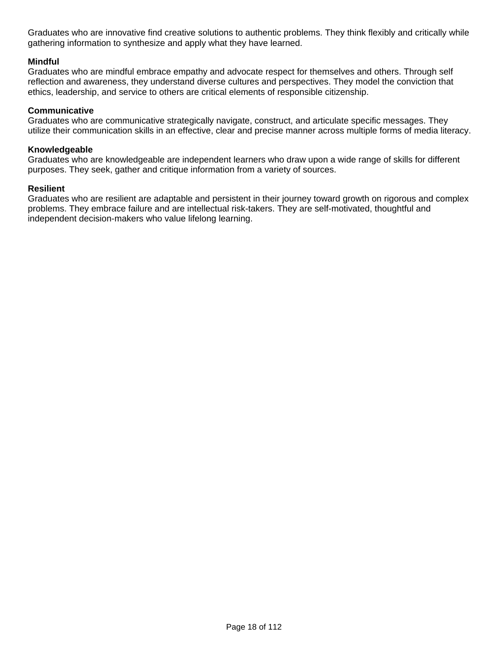Graduates who are innovative find creative solutions to authentic problems. They think flexibly and critically while gathering information to synthesize and apply what they have learned.

#### **Mindful**

Graduates who are mindful embrace empathy and advocate respect for themselves and others. Through self reflection and awareness, they understand diverse cultures and perspectives. They model the conviction that ethics, leadership, and service to others are critical elements of responsible citizenship.

#### **Communicative**

Graduates who are communicative strategically navigate, construct, and articulate specific messages. They utilize their communication skills in an effective, clear and precise manner across multiple forms of media literacy.

#### **Knowledgeable**

Graduates who are knowledgeable are independent learners who draw upon a wide range of skills for different purposes. They seek, gather and critique information from a variety of sources.

#### **Resilient**

Graduates who are resilient are adaptable and persistent in their journey toward growth on rigorous and complex problems. They embrace failure and are intellectual risk-takers. They are self-motivated, thoughtful and independent decision-makers who value lifelong learning.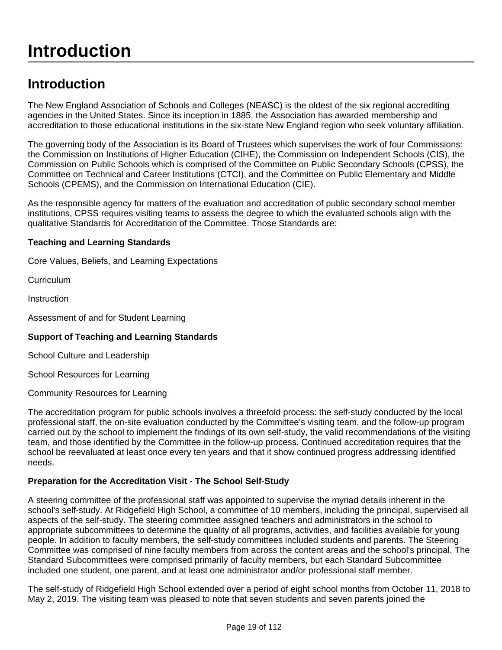# **Introduction**

### **Introduction**

The New England Association of Schools and Colleges (NEASC) is the oldest of the six regional accrediting agencies in the United States. Since its inception in 1885, the Association has awarded membership and accreditation to those educational institutions in the six-state New England region who seek voluntary affiliation.

The governing body of the Association is its Board of Trustees which supervises the work of four Commissions: the Commission on Institutions of Higher Education (CIHE), the Commission on Independent Schools (CIS), the Commission on Public Schools which is comprised of the Committee on Public Secondary Schools (CPSS), the Committee on Technical and Career Institutions (CTCI), and the Committee on Public Elementary and Middle Schools (CPEMS), and the Commission on International Education (CIE).

As the responsible agency for matters of the evaluation and accreditation of public secondary school member institutions, CPSS requires visiting teams to assess the degree to which the evaluated schools align with the qualitative Standards for Accreditation of the Committee. Those Standards are:

#### **Teaching and Learning Standards**

Core Values, Beliefs, and Learning Expectations

**Curriculum** 

**Instruction** 

Assessment of and for Student Learning

#### **Support of Teaching and Learning Standards**

School Culture and Leadership

School Resources for Learning

Community Resources for Learning

The accreditation program for public schools involves a threefold process: the self-study conducted by the local professional staff, the on-site evaluation conducted by the Committee's visiting team, and the follow-up program carried out by the school to implement the findings of its own self-study, the valid recommendations of the visiting team, and those identified by the Committee in the follow-up process. Continued accreditation requires that the school be reevaluated at least once every ten years and that it show continued progress addressing identified needs.

#### **Preparation for the Accreditation Visit - The School Self-Study**

A steering committee of the professional staff was appointed to supervise the myriad details inherent in the school's self-study. At Ridgefield High School, a committee of 10 members, including the principal, supervised all aspects of the self-study. The steering committee assigned teachers and administrators in the school to appropriate subcommittees to determine the quality of all programs, activities, and facilities available for young people. In addition to faculty members, the self-study committees included students and parents. The Steering Committee was comprised of nine faculty members from across the content areas and the school's principal. The Standard Subcommittees were comprised primarily of faculty members, but each Standard Subcommittee included one student, one parent, and at least one administrator and/or professional staff member.

The self-study of Ridgefield High School extended over a period of eight school months from October 11, 2018 to May 2, 2019. The visiting team was pleased to note that seven students and seven parents joined the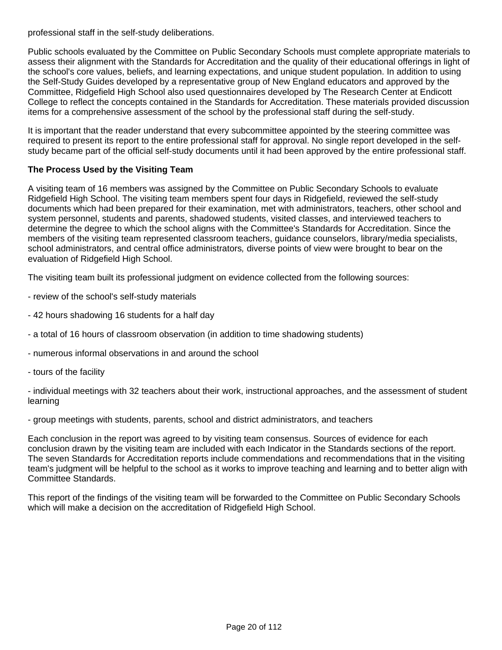professional staff in the self-study deliberations.

Public schools evaluated by the Committee on Public Secondary Schools must complete appropriate materials to assess their alignment with the Standards for Accreditation and the quality of their educational offerings in light of the school's core values, beliefs, and learning expectations, and unique student population. In addition to using the Self-Study Guides developed by a representative group of New England educators and approved by the Committee, Ridgefield High School also used questionnaires developed by The Research Center at Endicott College to reflect the concepts contained in the Standards for Accreditation. These materials provided discussion items for a comprehensive assessment of the school by the professional staff during the self-study.

It is important that the reader understand that every subcommittee appointed by the steering committee was required to present its report to the entire professional staff for approval. No single report developed in the selfstudy became part of the official self-study documents until it had been approved by the entire professional staff.

#### **The Process Used by the Visiting Team**

A visiting team of 16 members was assigned by the Committee on Public Secondary Schools to evaluate Ridgefield High School. The visiting team members spent four days in Ridgefield, reviewed the self-study documents which had been prepared for their examination, met with administrators, teachers, other school and system personnel, students and parents, shadowed students, visited classes, and interviewed teachers to determine the degree to which the school aligns with the Committee's Standards for Accreditation. Since the members of the visiting team represented classroom teachers, guidance counselors, library/media specialists, school administrators, and central office administrators, diverse points of view were brought to bear on the evaluation of Ridgefield High School.

The visiting team built its professional judgment on evidence collected from the following sources:

- review of the school's self-study materials
- 42 hours shadowing 16 students for a half day
- a total of 16 hours of classroom observation (in addition to time shadowing students)
- numerous informal observations in and around the school
- tours of the facility

- individual meetings with 32 teachers about their work, instructional approaches, and the assessment of student learning

- group meetings with students, parents, school and district administrators, and teachers

Each conclusion in the report was agreed to by visiting team consensus. Sources of evidence for each conclusion drawn by the visiting team are included with each Indicator in the Standards sections of the report. The seven Standards for Accreditation reports include commendations and recommendations that in the visiting team's judgment will be helpful to the school as it works to improve teaching and learning and to better align with Committee Standards.

This report of the findings of the visiting team will be forwarded to the Committee on Public Secondary Schools which will make a decision on the accreditation of Ridgefield High School.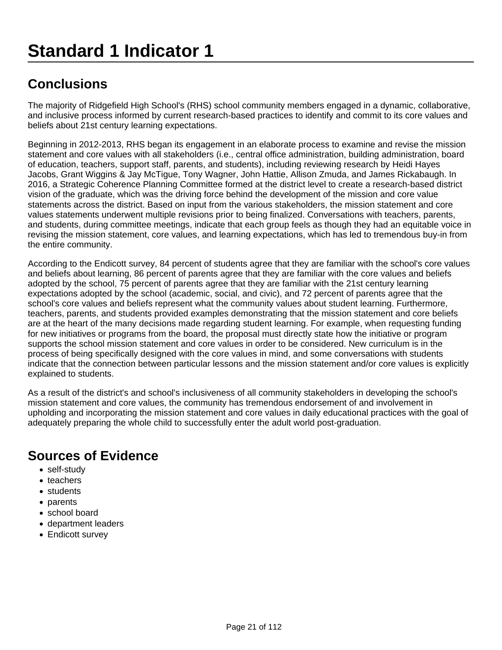The majority of Ridgefield High School's (RHS) school community members engaged in a dynamic, collaborative, and inclusive process informed by current research-based practices to identify and commit to its core values and beliefs about 21st century learning expectations.

Beginning in 2012-2013, RHS began its engagement in an elaborate process to examine and revise the mission statement and core values with all stakeholders (i.e., central office administration, building administration, board of education, teachers, support staff, parents, and students), including reviewing research by Heidi Hayes Jacobs, Grant Wiggins & Jay McTigue, Tony Wagner, John Hattie, Allison Zmuda, and James Rickabaugh. In 2016, a Strategic Coherence Planning Committee formed at the district level to create a research-based district vision of the graduate, which was the driving force behind the development of the mission and core value statements across the district. Based on input from the various stakeholders, the mission statement and core values statements underwent multiple revisions prior to being finalized. Conversations with teachers, parents, and students, during committee meetings, indicate that each group feels as though they had an equitable voice in revising the mission statement, core values, and learning expectations, which has led to tremendous buy-in from the entire community.

According to the Endicott survey, 84 percent of students agree that they are familiar with the school's core values and beliefs about learning, 86 percent of parents agree that they are familiar with the core values and beliefs adopted by the school, 75 percent of parents agree that they are familiar with the 21st century learning expectations adopted by the school (academic, social, and civic), and 72 percent of parents agree that the school's core values and beliefs represent what the community values about student learning. Furthermore, teachers, parents, and students provided examples demonstrating that the mission statement and core beliefs are at the heart of the many decisions made regarding student learning. For example, when requesting funding for new initiatives or programs from the board, the proposal must directly state how the initiative or program supports the school mission statement and core values in order to be considered. New curriculum is in the process of being specifically designed with the core values in mind, and some conversations with students indicate that the connection between particular lessons and the mission statement and/or core values is explicitly explained to students.

As a result of the district's and school's inclusiveness of all community stakeholders in developing the school's mission statement and core values, the community has tremendous endorsement of and involvement in upholding and incorporating the mission statement and core values in daily educational practices with the goal of adequately preparing the whole child to successfully enter the adult world post-graduation.

- self-study
- teachers
- students
- parents
- school board
- department leaders
- Endicott survey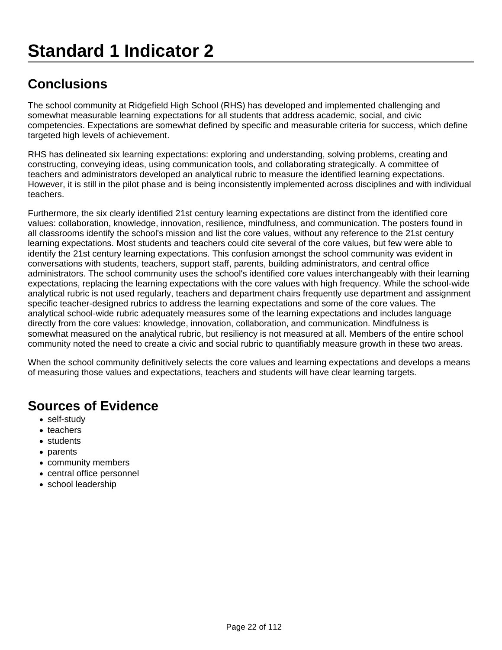The school community at Ridgefield High School (RHS) has developed and implemented challenging and somewhat measurable learning expectations for all students that address academic, social, and civic competencies. Expectations are somewhat defined by specific and measurable criteria for success, which define targeted high levels of achievement.

RHS has delineated six learning expectations: exploring and understanding, solving problems, creating and constructing, conveying ideas, using communication tools, and collaborating strategically. A committee of teachers and administrators developed an analytical rubric to measure the identified learning expectations. However, it is still in the pilot phase and is being inconsistently implemented across disciplines and with individual teachers.

Furthermore, the six clearly identified 21st century learning expectations are distinct from the identified core values: collaboration, knowledge, innovation, resilience, mindfulness, and communication. The posters found in all classrooms identify the school's mission and list the core values, without any reference to the 21st century learning expectations. Most students and teachers could cite several of the core values, but few were able to identify the 21st century learning expectations. This confusion amongst the school community was evident in conversations with students, teachers, support staff, parents, building administrators, and central office administrators. The school community uses the school's identified core values interchangeably with their learning expectations, replacing the learning expectations with the core values with high frequency. While the school-wide analytical rubric is not used regularly, teachers and department chairs frequently use department and assignment specific teacher-designed rubrics to address the learning expectations and some of the core values. The analytical school-wide rubric adequately measures some of the learning expectations and includes language directly from the core values: knowledge, innovation, collaboration, and communication. Mindfulness is somewhat measured on the analytical rubric, but resiliency is not measured at all. Members of the entire school community noted the need to create a civic and social rubric to quantifiably measure growth in these two areas.

When the school community definitively selects the core values and learning expectations and develops a means of measuring those values and expectations, teachers and students will have clear learning targets.

- self-study
- teachers
- students
- parents
- community members
- central office personnel
- school leadership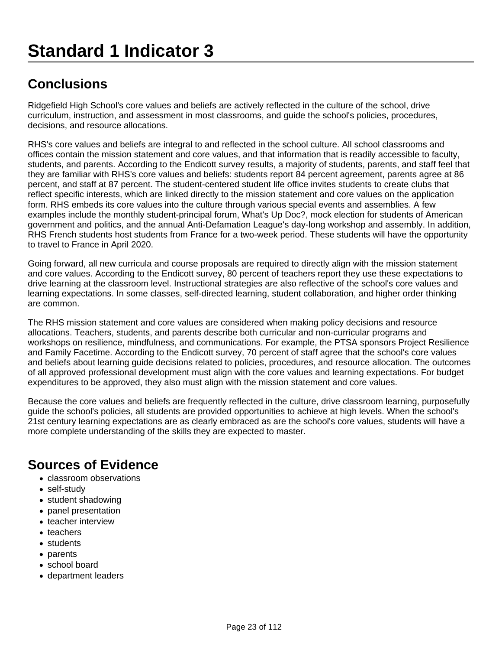Ridgefield High School's core values and beliefs are actively reflected in the culture of the school, drive curriculum, instruction, and assessment in most classrooms, and guide the school's policies, procedures, decisions, and resource allocations.

RHS's core values and beliefs are integral to and reflected in the school culture. All school classrooms and offices contain the mission statement and core values, and that information that is readily accessible to faculty, students, and parents. According to the Endicott survey results, a majority of students, parents, and staff feel that they are familiar with RHS's core values and beliefs: students report 84 percent agreement, parents agree at 86 percent, and staff at 87 percent. The student-centered student life office invites students to create clubs that reflect specific interests, which are linked directly to the mission statement and core values on the application form. RHS embeds its core values into the culture through various special events and assemblies. A few examples include the monthly student-principal forum, What's Up Doc?, mock election for students of American government and politics, and the annual Anti-Defamation League's day-long workshop and assembly. In addition, RHS French students host students from France for a two-week period. These students will have the opportunity to travel to France in April 2020.

Going forward, all new curricula and course proposals are required to directly align with the mission statement and core values. According to the Endicott survey, 80 percent of teachers report they use these expectations to drive learning at the classroom level. Instructional strategies are also reflective of the school's core values and learning expectations. In some classes, self-directed learning, student collaboration, and higher order thinking are common.

The RHS mission statement and core values are considered when making policy decisions and resource allocations. Teachers, students, and parents describe both curricular and non-curricular programs and workshops on resilience, mindfulness, and communications. For example, the PTSA sponsors Project Resilience and Family Facetime. According to the Endicott survey, 70 percent of staff agree that the school's core values and beliefs about learning guide decisions related to policies, procedures, and resource allocation. The outcomes of all approved professional development must align with the core values and learning expectations. For budget expenditures to be approved, they also must align with the mission statement and core values.

Because the core values and beliefs are frequently reflected in the culture, drive classroom learning, purposefully guide the school's policies, all students are provided opportunities to achieve at high levels. When the school's 21st century learning expectations are as clearly embraced as are the school's core values, students will have a more complete understanding of the skills they are expected to master.

- classroom observations
- self-study
- student shadowing
- panel presentation
- teacher interview
- teachers
- students
- parents
- school board
- department leaders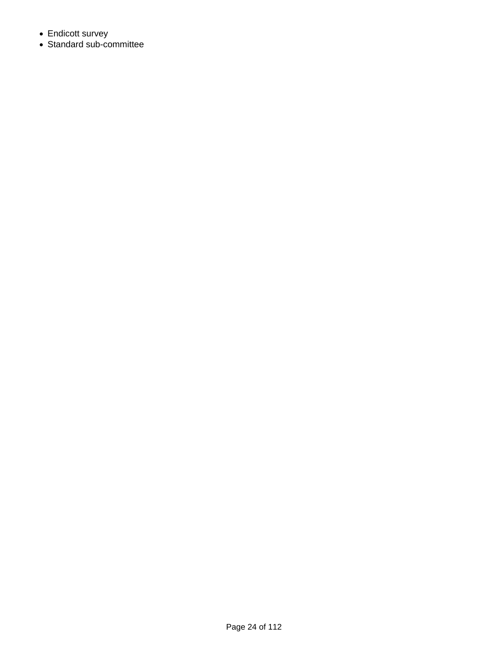- Endicott survey
- Standard sub-committee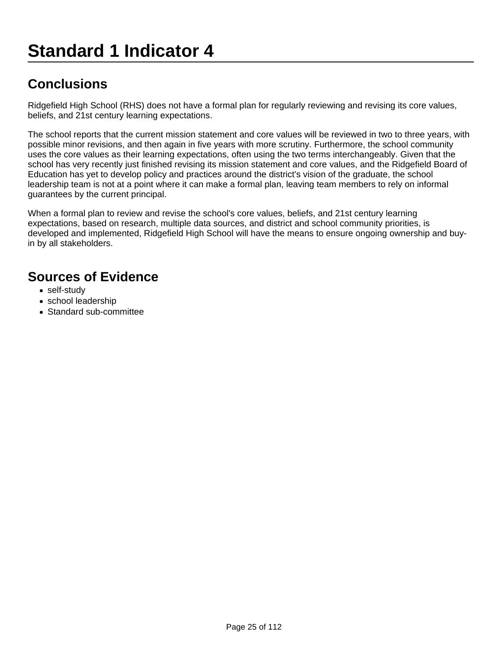# **Standard 1 Indicator 4**

# **Conclusions**

Ridgefield High School (RHS) does not have a formal plan for regularly reviewing and revising its core values, beliefs, and 21st century learning expectations.

The school reports that the current mission statement and core values will be reviewed in two to three years, with possible minor revisions, and then again in five years with more scrutiny. Furthermore, the school community uses the core values as their learning expectations, often using the two terms interchangeably. Given that the school has very recently just finished revising its mission statement and core values, and the Ridgefield Board of Education has yet to develop policy and practices around the district's vision of the graduate, the school leadership team is not at a point where it can make a formal plan, leaving team members to rely on informal guarantees by the current principal.

When a formal plan to review and revise the school's core values, beliefs, and 21st century learning expectations, based on research, multiple data sources, and district and school community priorities, is developed and implemented, Ridgefield High School will have the means to ensure ongoing ownership and buyin by all stakeholders.

- self-study
- school leadership
- Standard sub-committee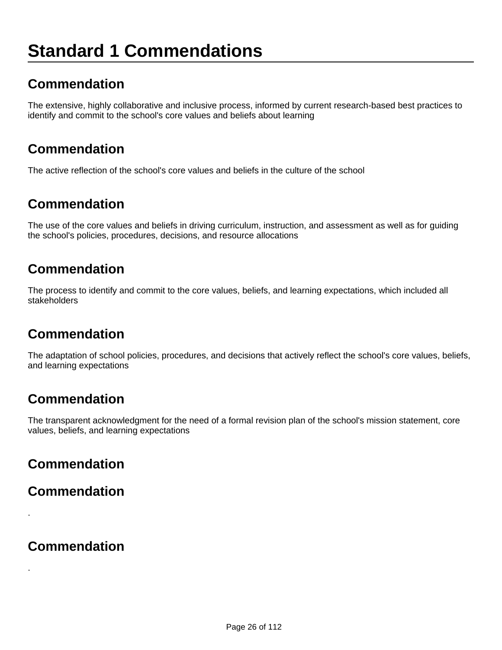# **Standard 1 Commendations**

## **Commendation**

The extensive, highly collaborative and inclusive process, informed by current research-based best practices to identify and commit to the school's core values and beliefs about learning

### **Commendation**

The active reflection of the school's core values and beliefs in the culture of the school

## **Commendation**

The use of the core values and beliefs in driving curriculum, instruction, and assessment as well as for guiding the school's policies, procedures, decisions, and resource allocations

## **Commendation**

The process to identify and commit to the core values, beliefs, and learning expectations, which included all stakeholders

## **Commendation**

The adaptation of school policies, procedures, and decisions that actively reflect the school's core values, beliefs, and learning expectations

### **Commendation**

The transparent acknowledgment for the need of a formal revision plan of the school's mission statement, core values, beliefs, and learning expectations

### **Commendation**

**Commendation**

.

.

#### **Commendation**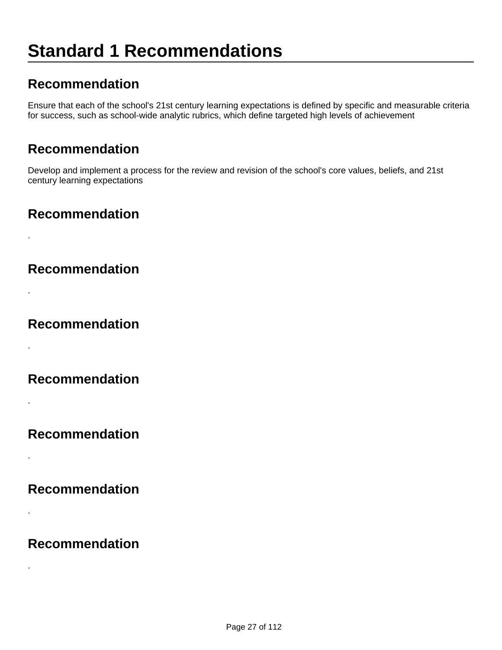# **Standard 1 Recommendations**

### **Recommendation**

Ensure that each of the school's 21st century learning expectations is defined by specific and measurable criteria for success, such as school-wide analytic rubrics, which define targeted high levels of achievement

### **Recommendation**

Develop and implement a process for the review and revision of the school's core values, beliefs, and 21st century learning expectations

### **Recommendation**

.

.

.

.

.

.

.

**Recommendation**

**Recommendation**

**Recommendation**

**Recommendation**

**Recommendation**

**Recommendation**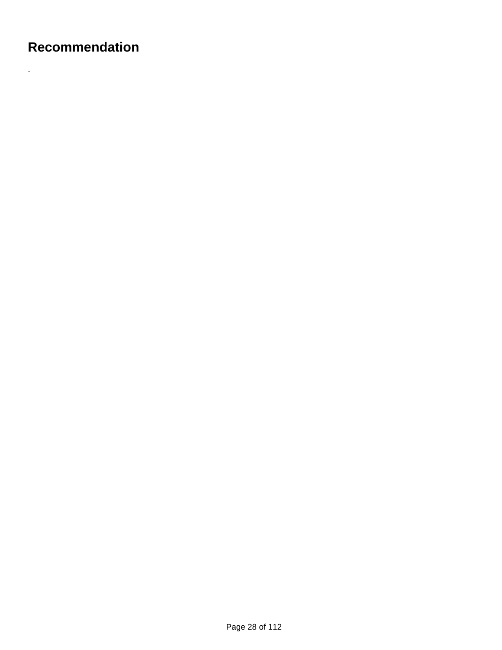## **Recommendation**

.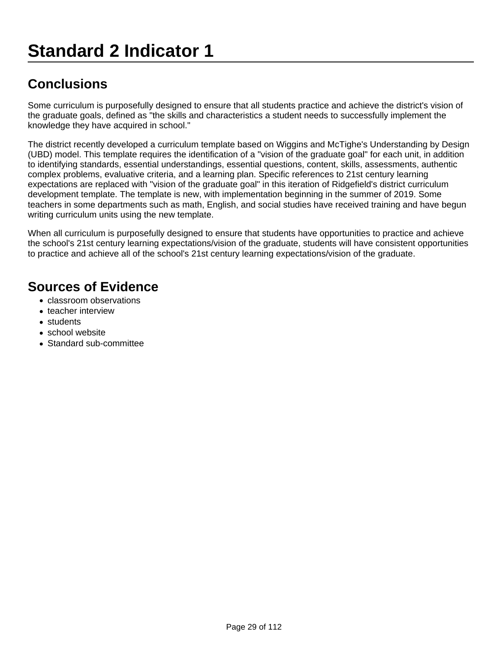Some curriculum is purposefully designed to ensure that all students practice and achieve the district's vision of the graduate goals, defined as "the skills and characteristics a student needs to successfully implement the knowledge they have acquired in school."

The district recently developed a curriculum template based on Wiggins and McTighe's Understanding by Design (UBD) model. This template requires the identification of a "vision of the graduate goal" for each unit, in addition to identifying standards, essential understandings, essential questions, content, skills, assessments, authentic complex problems, evaluative criteria, and a learning plan. Specific references to 21st century learning expectations are replaced with "vision of the graduate goal" in this iteration of Ridgefield's district curriculum development template. The template is new, with implementation beginning in the summer of 2019. Some teachers in some departments such as math, English, and social studies have received training and have begun writing curriculum units using the new template.

When all curriculum is purposefully designed to ensure that students have opportunities to practice and achieve the school's 21st century learning expectations/vision of the graduate, students will have consistent opportunities to practice and achieve all of the school's 21st century learning expectations/vision of the graduate.

- classroom observations
- teacher interview
- students
- school website
- Standard sub-committee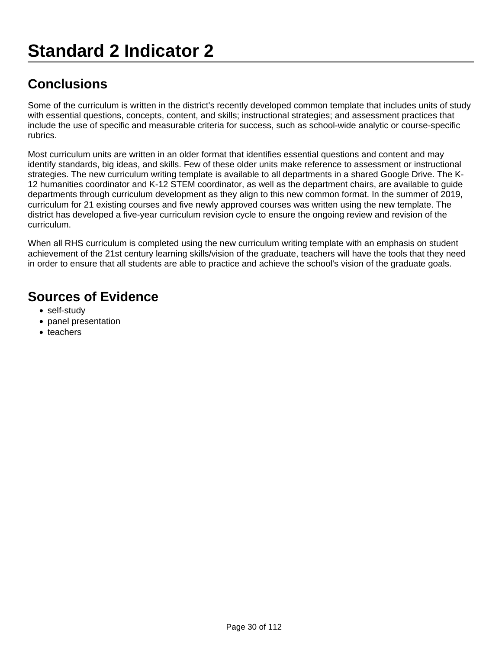Some of the curriculum is written in the district's recently developed common template that includes units of study with essential questions, concepts, content, and skills; instructional strategies; and assessment practices that include the use of specific and measurable criteria for success, such as school-wide analytic or course-specific rubrics.

Most curriculum units are written in an older format that identifies essential questions and content and may identify standards, big ideas, and skills. Few of these older units make reference to assessment or instructional strategies. The new curriculum writing template is available to all departments in a shared Google Drive. The K-12 humanities coordinator and K-12 STEM coordinator, as well as the department chairs, are available to guide departments through curriculum development as they align to this new common format. In the summer of 2019, curriculum for 21 existing courses and five newly approved courses was written using the new template. The district has developed a five-year curriculum revision cycle to ensure the ongoing review and revision of the curriculum.

When all RHS curriculum is completed using the new curriculum writing template with an emphasis on student achievement of the 21st century learning skills/vision of the graduate, teachers will have the tools that they need in order to ensure that all students are able to practice and achieve the school's vision of the graduate goals.

- self-study
- panel presentation
- teachers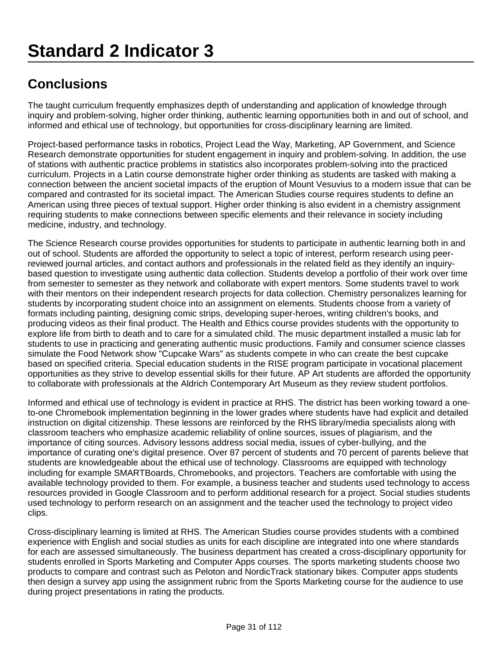The taught curriculum frequently emphasizes depth of understanding and application of knowledge through inquiry and problem-solving, higher order thinking, authentic learning opportunities both in and out of school, and informed and ethical use of technology, but opportunities for cross-disciplinary learning are limited.

Project-based performance tasks in robotics, Project Lead the Way, Marketing, AP Government, and Science Research demonstrate opportunities for student engagement in inquiry and problem-solving. In addition, the use of stations with authentic practice problems in statistics also incorporates problem-solving into the practiced curriculum. Projects in a Latin course demonstrate higher order thinking as students are tasked with making a connection between the ancient societal impacts of the eruption of Mount Vesuvius to a modern issue that can be compared and contrasted for its societal impact. The American Studies course requires students to define an American using three pieces of textual support. Higher order thinking is also evident in a chemistry assignment requiring students to make connections between specific elements and their relevance in society including medicine, industry, and technology.

The Science Research course provides opportunities for students to participate in authentic learning both in and out of school. Students are afforded the opportunity to select a topic of interest, perform research using peerreviewed journal articles, and contact authors and professionals in the related field as they identify an inquirybased question to investigate using authentic data collection. Students develop a portfolio of their work over time from semester to semester as they network and collaborate with expert mentors. Some students travel to work with their mentors on their independent research projects for data collection. Chemistry personalizes learning for students by incorporating student choice into an assignment on elements. Students choose from a variety of formats including painting, designing comic strips, developing super-heroes, writing children's books, and producing videos as their final product. The Health and Ethics course provides students with the opportunity to explore life from birth to death and to care for a simulated child. The music department installed a music lab for students to use in practicing and generating authentic music productions. Family and consumer science classes simulate the Food Network show "Cupcake Wars" as students compete in who can create the best cupcake based on specified criteria. Special education students in the RISE program participate in vocational placement opportunities as they strive to develop essential skills for their future. AP Art students are afforded the opportunity to collaborate with professionals at the Aldrich Contemporary Art Museum as they review student portfolios.

Informed and ethical use of technology is evident in practice at RHS. The district has been working toward a oneto-one Chromebook implementation beginning in the lower grades where students have had explicit and detailed instruction on digital citizenship. These lessons are reinforced by the RHS library/media specialists along with classroom teachers who emphasize academic reliability of online sources, issues of plagiarism, and the importance of citing sources. Advisory lessons address social media, issues of cyber-bullying, and the importance of curating one's digital presence. Over 87 percent of students and 70 percent of parents believe that students are knowledgeable about the ethical use of technology. Classrooms are equipped with technology including for example SMARTBoards, Chromebooks, and projectors. Teachers are comfortable with using the available technology provided to them. For example, a business teacher and students used technology to access resources provided in Google Classroom and to perform additional research for a project. Social studies students used technology to perform research on an assignment and the teacher used the technology to project video clips.

Cross-disciplinary learning is limited at RHS. The American Studies course provides students with a combined experience with English and social studies as units for each discipline are integrated into one where standards for each are assessed simultaneously. The business department has created a cross-disciplinary opportunity for students enrolled in Sports Marketing and Computer Apps courses. The sports marketing students choose two products to compare and contrast such as Peloton and NordicTrack stationary bikes. Computer apps students then design a survey app using the assignment rubric from the Sports Marketing course for the audience to use during project presentations in rating the products.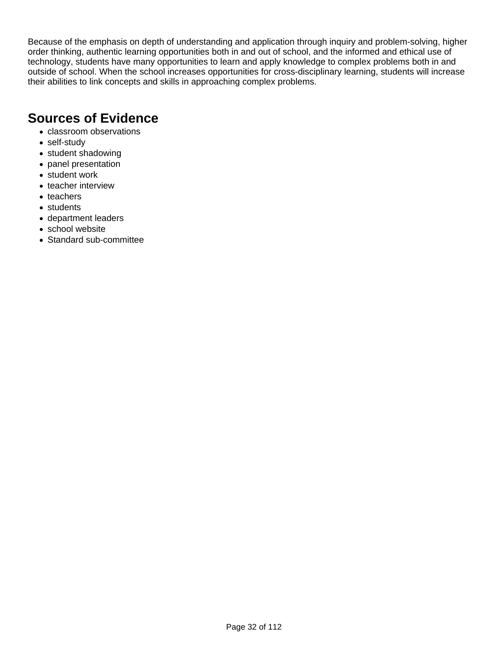Because of the emphasis on depth of understanding and application through inquiry and problem-solving, higher order thinking, authentic learning opportunities both in and out of school, and the informed and ethical use of technology, students have many opportunities to learn and apply knowledge to complex problems both in and outside of school. When the school increases opportunities for cross-disciplinary learning, students will increase their abilities to link concepts and skills in approaching complex problems.

- classroom observations
- self-study
- student shadowing
- panel presentation
- student work
- teacher interview
- teachers
- students
- department leaders
- school website
- Standard sub-committee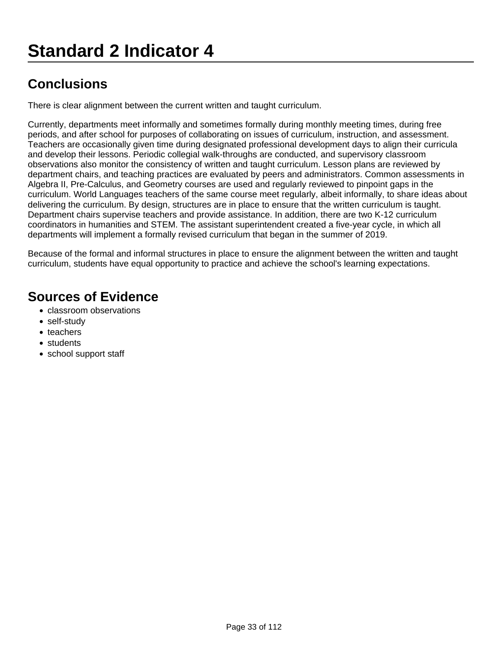There is clear alignment between the current written and taught curriculum.

Currently, departments meet informally and sometimes formally during monthly meeting times, during free periods, and after school for purposes of collaborating on issues of curriculum, instruction, and assessment. Teachers are occasionally given time during designated professional development days to align their curricula and develop their lessons. Periodic collegial walk-throughs are conducted, and supervisory classroom observations also monitor the consistency of written and taught curriculum. Lesson plans are reviewed by department chairs, and teaching practices are evaluated by peers and administrators. Common assessments in Algebra II, Pre-Calculus, and Geometry courses are used and regularly reviewed to pinpoint gaps in the curriculum. World Languages teachers of the same course meet regularly, albeit informally, to share ideas about delivering the curriculum. By design, structures are in place to ensure that the written curriculum is taught. Department chairs supervise teachers and provide assistance. In addition, there are two K-12 curriculum coordinators in humanities and STEM. The assistant superintendent created a five-year cycle, in which all departments will implement a formally revised curriculum that began in the summer of 2019.

Because of the formal and informal structures in place to ensure the alignment between the written and taught curriculum, students have equal opportunity to practice and achieve the school's learning expectations.

- classroom observations
- self-study
- teachers
- students
- school support staff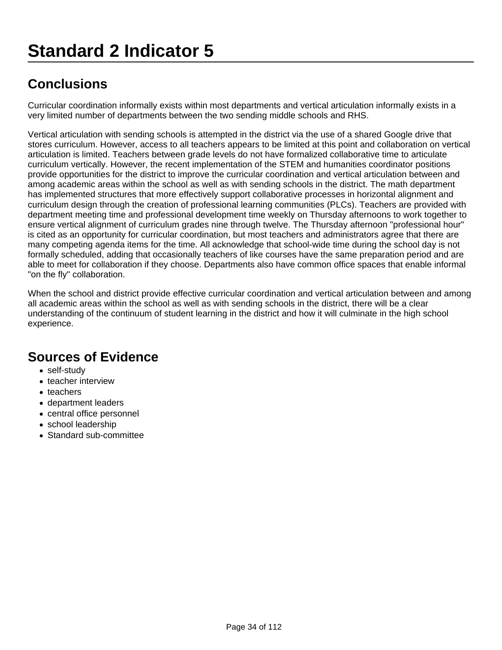# **Standard 2 Indicator 5**

# **Conclusions**

Curricular coordination informally exists within most departments and vertical articulation informally exists in a very limited number of departments between the two sending middle schools and RHS.

Vertical articulation with sending schools is attempted in the district via the use of a shared Google drive that stores curriculum. However, access to all teachers appears to be limited at this point and collaboration on vertical articulation is limited. Teachers between grade levels do not have formalized collaborative time to articulate curriculum vertically. However, the recent implementation of the STEM and humanities coordinator positions provide opportunities for the district to improve the curricular coordination and vertical articulation between and among academic areas within the school as well as with sending schools in the district. The math department has implemented structures that more effectively support collaborative processes in horizontal alignment and curriculum design through the creation of professional learning communities (PLCs). Teachers are provided with department meeting time and professional development time weekly on Thursday afternoons to work together to ensure vertical alignment of curriculum grades nine through twelve. The Thursday afternoon "professional hour" is cited as an opportunity for curricular coordination, but most teachers and administrators agree that there are many competing agenda items for the time. All acknowledge that school-wide time during the school day is not formally scheduled, adding that occasionally teachers of like courses have the same preparation period and are able to meet for collaboration if they choose. Departments also have common office spaces that enable informal "on the fly" collaboration.

When the school and district provide effective curricular coordination and vertical articulation between and among all academic areas within the school as well as with sending schools in the district, there will be a clear understanding of the continuum of student learning in the district and how it will culminate in the high school experience.

- self-study
- teacher interview
- teachers
- department leaders
- central office personnel
- school leadership
- Standard sub-committee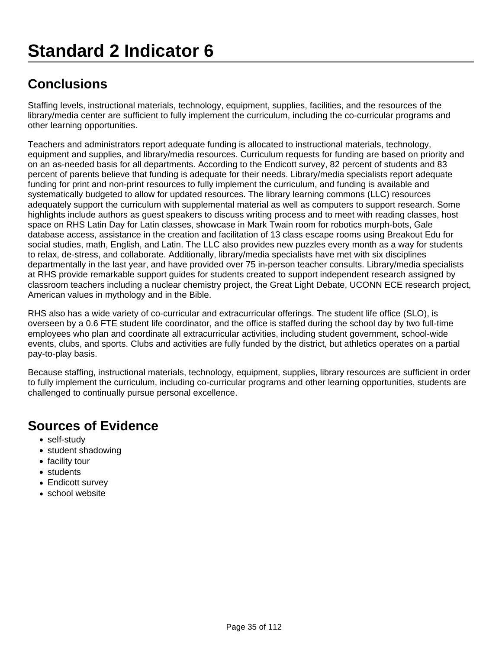Staffing levels, instructional materials, technology, equipment, supplies, facilities, and the resources of the library/media center are sufficient to fully implement the curriculum, including the co-curricular programs and other learning opportunities.

Teachers and administrators report adequate funding is allocated to instructional materials, technology, equipment and supplies, and library/media resources. Curriculum requests for funding are based on priority and on an as-needed basis for all departments. According to the Endicott survey, 82 percent of students and 83 percent of parents believe that funding is adequate for their needs. Library/media specialists report adequate funding for print and non-print resources to fully implement the curriculum, and funding is available and systematically budgeted to allow for updated resources. The library learning commons (LLC) resources adequately support the curriculum with supplemental material as well as computers to support research. Some highlights include authors as guest speakers to discuss writing process and to meet with reading classes, host space on RHS Latin Day for Latin classes, showcase in Mark Twain room for robotics murph-bots, Gale database access, assistance in the creation and facilitation of 13 class escape rooms using Breakout Edu for social studies, math, English, and Latin. The LLC also provides new puzzles every month as a way for students to relax, de-stress, and collaborate. Additionally, library/media specialists have met with six disciplines departmentally in the last year, and have provided over 75 in-person teacher consults. Library/media specialists at RHS provide remarkable support guides for students created to support independent research assigned by classroom teachers including a nuclear chemistry project, the Great Light Debate, UCONN ECE research project, American values in mythology and in the Bible.

RHS also has a wide variety of co-curricular and extracurricular offerings. The student life office (SLO), is overseen by a 0.6 FTE student life coordinator, and the office is staffed during the school day by two full-time employees who plan and coordinate all extracurricular activities, including student government, school-wide events, clubs, and sports. Clubs and activities are fully funded by the district, but athletics operates on a partial pay-to-play basis.

Because staffing, instructional materials, technology, equipment, supplies, library resources are sufficient in order to fully implement the curriculum, including co-curricular programs and other learning opportunities, students are challenged to continually pursue personal excellence.

- self-study
- student shadowing
- facility tour
- students
- Endicott survey
- school website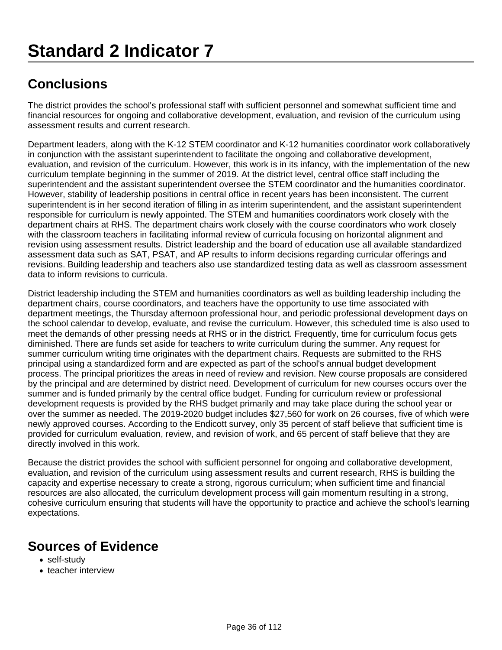The district provides the school's professional staff with sufficient personnel and somewhat sufficient time and financial resources for ongoing and collaborative development, evaluation, and revision of the curriculum using assessment results and current research.

Department leaders, along with the K-12 STEM coordinator and K-12 humanities coordinator work collaboratively in conjunction with the assistant superintendent to facilitate the ongoing and collaborative development, evaluation, and revision of the curriculum. However, this work is in its infancy, with the implementation of the new curriculum template beginning in the summer of 2019. At the district level, central office staff including the superintendent and the assistant superintendent oversee the STEM coordinator and the humanities coordinator. However, stability of leadership positions in central office in recent years has been inconsistent. The current superintendent is in her second iteration of filling in as interim superintendent, and the assistant superintendent responsible for curriculum is newly appointed. The STEM and humanities coordinators work closely with the department chairs at RHS. The department chairs work closely with the course coordinators who work closely with the classroom teachers in facilitating informal review of curricula focusing on horizontal alignment and revision using assessment results. District leadership and the board of education use all available standardized assessment data such as SAT, PSAT, and AP results to inform decisions regarding curricular offerings and revisions. Building leadership and teachers also use standardized testing data as well as classroom assessment data to inform revisions to curricula.

District leadership including the STEM and humanities coordinators as well as building leadership including the department chairs, course coordinators, and teachers have the opportunity to use time associated with department meetings, the Thursday afternoon professional hour, and periodic professional development days on the school calendar to develop, evaluate, and revise the curriculum. However, this scheduled time is also used to meet the demands of other pressing needs at RHS or in the district. Frequently, time for curriculum focus gets diminished. There are funds set aside for teachers to write curriculum during the summer. Any request for summer curriculum writing time originates with the department chairs. Requests are submitted to the RHS principal using a standardized form and are expected as part of the school's annual budget development process. The principal prioritizes the areas in need of review and revision. New course proposals are considered by the principal and are determined by district need. Development of curriculum for new courses occurs over the summer and is funded primarily by the central office budget. Funding for curriculum review or professional development requests is provided by the RHS budget primarily and may take place during the school year or over the summer as needed. The 2019-2020 budget includes \$27,560 for work on 26 courses, five of which were newly approved courses. According to the Endicott survey, only 35 percent of staff believe that sufficient time is provided for curriculum evaluation, review, and revision of work, and 65 percent of staff believe that they are directly involved in this work.

Because the district provides the school with sufficient personnel for ongoing and collaborative development, evaluation, and revision of the curriculum using assessment results and current research, RHS is building the capacity and expertise necessary to create a strong, rigorous curriculum; when sufficient time and financial resources are also allocated, the curriculum development process will gain momentum resulting in a strong, cohesive curriculum ensuring that students will have the opportunity to practice and achieve the school's learning expectations.

- self-study
- teacher interview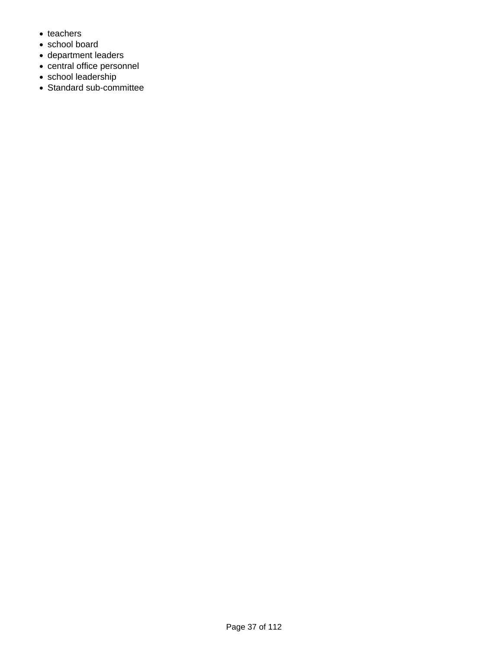- teachers
- school board
- department leaders
- central office personnel
- school leadership
- Standard sub-committee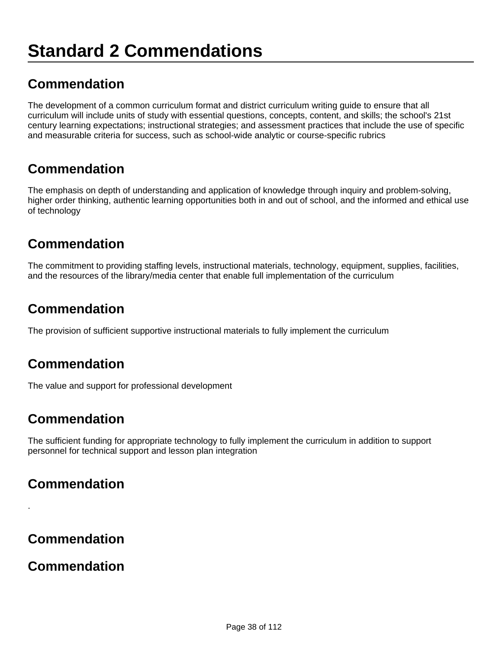# **Standard 2 Commendations**

## **Commendation**

The development of a common curriculum format and district curriculum writing guide to ensure that all curriculum will include units of study with essential questions, concepts, content, and skills; the school's 21st century learning expectations; instructional strategies; and assessment practices that include the use of specific and measurable criteria for success, such as school-wide analytic or course-specific rubrics

#### **Commendation**

The emphasis on depth of understanding and application of knowledge through inquiry and problem-solving, higher order thinking, authentic learning opportunities both in and out of school, and the informed and ethical use of technology

## **Commendation**

The commitment to providing staffing levels, instructional materials, technology, equipment, supplies, facilities, and the resources of the library/media center that enable full implementation of the curriculum

## **Commendation**

The provision of sufficient supportive instructional materials to fully implement the curriculum

## **Commendation**

The value and support for professional development

## **Commendation**

The sufficient funding for appropriate technology to fully implement the curriculum in addition to support personnel for technical support and lesson plan integration

### **Commendation**

.

**Commendation**

#### **Commendation**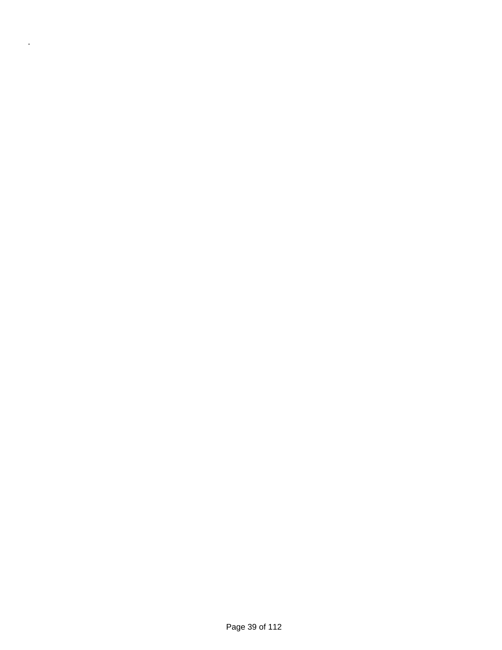.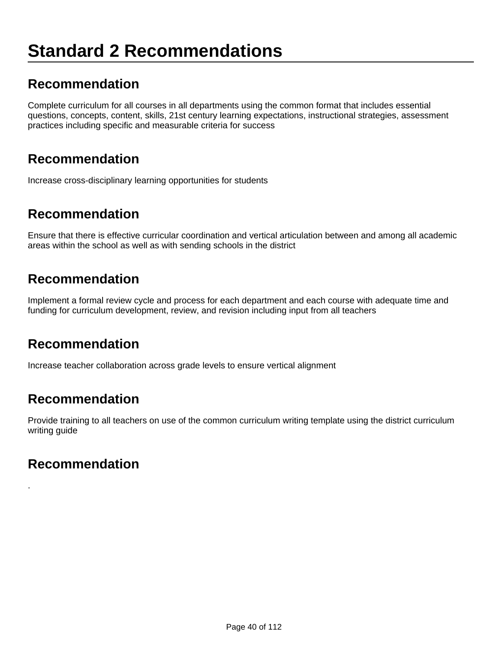# **Standard 2 Recommendations**

#### **Recommendation**

Complete curriculum for all courses in all departments using the common format that includes essential questions, concepts, content, skills, 21st century learning expectations, instructional strategies, assessment practices including specific and measurable criteria for success

#### **Recommendation**

Increase cross-disciplinary learning opportunities for students

#### **Recommendation**

Ensure that there is effective curricular coordination and vertical articulation between and among all academic areas within the school as well as with sending schools in the district

#### **Recommendation**

Implement a formal review cycle and process for each department and each course with adequate time and funding for curriculum development, review, and revision including input from all teachers

### **Recommendation**

Increase teacher collaboration across grade levels to ensure vertical alignment

### **Recommendation**

Provide training to all teachers on use of the common curriculum writing template using the district curriculum writing guide

#### **Recommendation**

.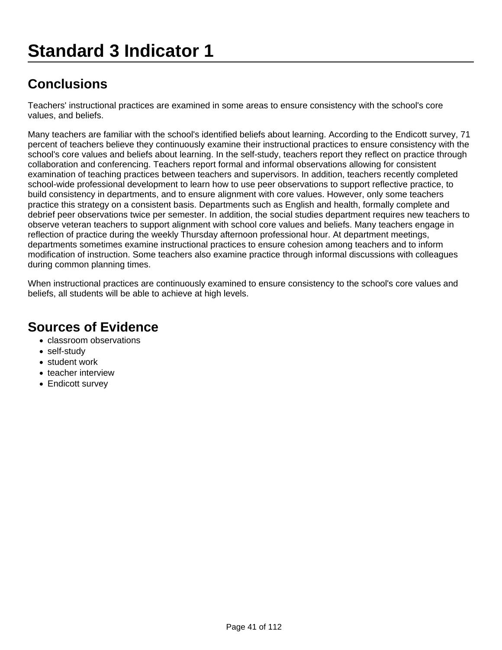# **Standard 3 Indicator 1**

# **Conclusions**

Teachers' instructional practices are examined in some areas to ensure consistency with the school's core values, and beliefs.

Many teachers are familiar with the school's identified beliefs about learning. According to the Endicott survey, 71 percent of teachers believe they continuously examine their instructional practices to ensure consistency with the school's core values and beliefs about learning. In the self-study, teachers report they reflect on practice through collaboration and conferencing. Teachers report formal and informal observations allowing for consistent examination of teaching practices between teachers and supervisors. In addition, teachers recently completed school-wide professional development to learn how to use peer observations to support reflective practice, to build consistency in departments, and to ensure alignment with core values. However, only some teachers practice this strategy on a consistent basis. Departments such as English and health, formally complete and debrief peer observations twice per semester. In addition, the social studies department requires new teachers to observe veteran teachers to support alignment with school core values and beliefs. Many teachers engage in reflection of practice during the weekly Thursday afternoon professional hour. At department meetings, departments sometimes examine instructional practices to ensure cohesion among teachers and to inform modification of instruction. Some teachers also examine practice through informal discussions with colleagues during common planning times.

When instructional practices are continuously examined to ensure consistency to the school's core values and beliefs, all students will be able to achieve at high levels.

- classroom observations
- self-study
- student work
- teacher interview
- Endicott survey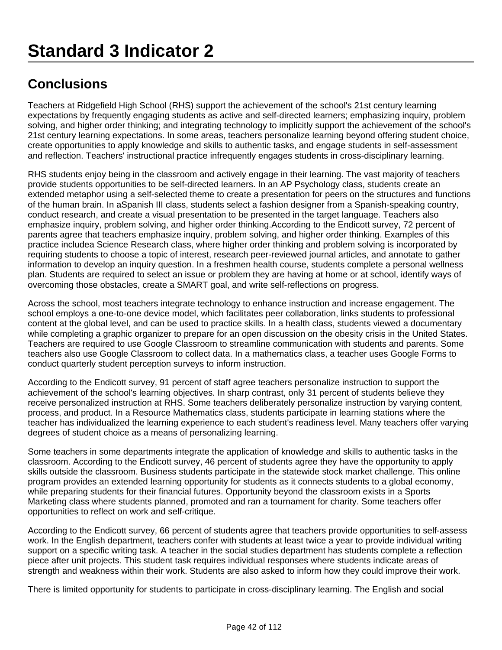Teachers at Ridgefield High School (RHS) support the achievement of the school's 21st century learning expectations by frequently engaging students as active and self-directed learners; emphasizing inquiry, problem solving, and higher order thinking; and integrating technology to implicitly support the achievement of the school's 21st century learning expectations. In some areas, teachers personalize learning beyond offering student choice, create opportunities to apply knowledge and skills to authentic tasks, and engage students in self-assessment and reflection. Teachers' instructional practice infrequently engages students in cross-disciplinary learning.

RHS students enjoy being in the classroom and actively engage in their learning. The vast majority of teachers provide students opportunities to be self-directed learners. In an AP Psychology class, students create an extended metaphor using a self-selected theme to create a presentation for peers on the structures and functions of the human brain. In aSpanish III class, students select a fashion designer from a Spanish-speaking country, conduct research, and create a visual presentation to be presented in the target language. Teachers also emphasize inquiry, problem solving, and higher order thinking.According to the Endicott survey, 72 percent of parents agree that teachers emphasize inquiry, problem solving, and higher order thinking. Examples of this practice includea Science Research class, where higher order thinking and problem solving is incorporated by requiring students to choose a topic of interest, research peer-reviewed journal articles, and annotate to gather information to develop an inquiry question. In a freshmen health course, students complete a personal wellness plan. Students are required to select an issue or problem they are having at home or at school, identify ways of overcoming those obstacles, create a SMART goal, and write self-reflections on progress.

Across the school, most teachers integrate technology to enhance instruction and increase engagement. The school employs a one-to-one device model, which facilitates peer collaboration, links students to professional content at the global level, and can be used to practice skills. In a health class, students viewed a documentary while completing a graphic organizer to prepare for an open discussion on the obesity crisis in the United States. Teachers are required to use Google Classroom to streamline communication with students and parents. Some teachers also use Google Classroom to collect data. In a mathematics class, a teacher uses Google Forms to conduct quarterly student perception surveys to inform instruction.

According to the Endicott survey, 91 percent of staff agree teachers personalize instruction to support the achievement of the school's learning objectives. In sharp contrast, only 31 percent of students believe they receive personalized instruction at RHS. Some teachers deliberately personalize instruction by varying content, process, and product. In a Resource Mathematics class, students participate in learning stations where the teacher has individualized the learning experience to each student's readiness level. Many teachers offer varying degrees of student choice as a means of personalizing learning.

Some teachers in some departments integrate the application of knowledge and skills to authentic tasks in the classroom. According to the Endicott survey, 46 percent of students agree they have the opportunity to apply skills outside the classroom. Business students participate in the statewide stock market challenge. This online program provides an extended learning opportunity for students as it connects students to a global economy, while preparing students for their financial futures. Opportunity beyond the classroom exists in a Sports Marketing class where students planned, promoted and ran a tournament for charity. Some teachers offer opportunities to reflect on work and self-critique.

According to the Endicott survey, 66 percent of students agree that teachers provide opportunities to self-assess work. In the English department, teachers confer with students at least twice a year to provide individual writing support on a specific writing task. A teacher in the social studies department has students complete a reflection piece after unit projects. This student task requires individual responses where students indicate areas of strength and weakness within their work. Students are also asked to inform how they could improve their work.

There is limited opportunity for students to participate in cross-disciplinary learning. The English and social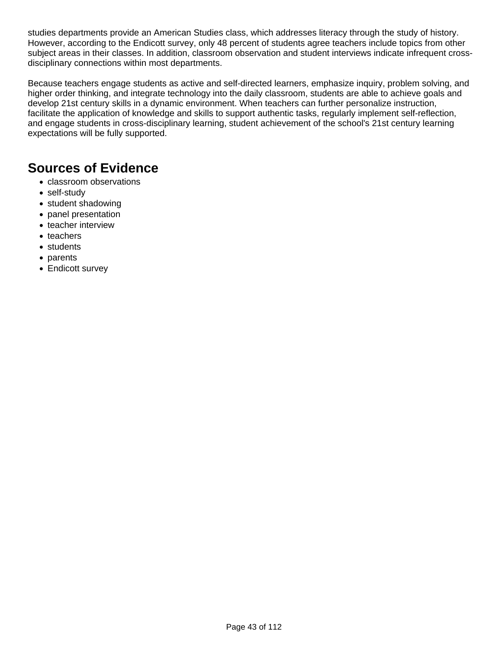studies departments provide an American Studies class, which addresses literacy through the study of history. However, according to the Endicott survey, only 48 percent of students agree teachers include topics from other subject areas in their classes. In addition, classroom observation and student interviews indicate infrequent crossdisciplinary connections within most departments.

Because teachers engage students as active and self-directed learners, emphasize inquiry, problem solving, and higher order thinking, and integrate technology into the daily classroom, students are able to achieve goals and develop 21st century skills in a dynamic environment. When teachers can further personalize instruction, facilitate the application of knowledge and skills to support authentic tasks, regularly implement self-reflection, and engage students in cross-disciplinary learning, student achievement of the school's 21st century learning expectations will be fully supported.

- classroom observations
- self-study
- student shadowing
- panel presentation
- teacher interview
- teachers
- students
- parents
- Endicott survey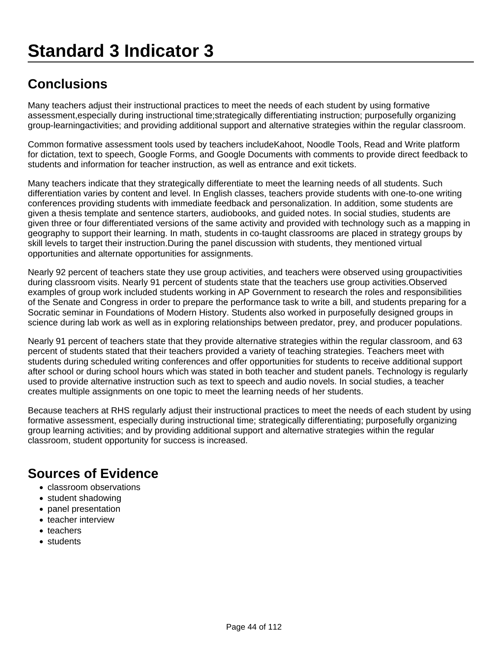Many teachers adjust their instructional practices to meet the needs of each student by using formative assessment,especially during instructional time;strategically differentiating instruction; purposefully organizing group-learningactivities; and providing additional support and alternative strategies within the regular classroom.

Common formative assessment tools used by teachers includeKahoot, Noodle Tools, Read and Write platform for dictation, text to speech, Google Forms, and Google Documents with comments to provide direct feedback to students and information for teacher instruction, as well as entrance and exit tickets.

Many teachers indicate that they strategically differentiate to meet the learning needs of all students. Such differentiation varies by content and level. In English classes, teachers provide students with one-to-one writing conferences providing students with immediate feedback and personalization. In addition, some students are given a thesis template and sentence starters, audiobooks, and guided notes. In social studies, students are given three or four differentiated versions of the same activity and provided with technology such as a mapping in geography to support their learning. In math, students in co-taught classrooms are placed in strategy groups by skill levels to target their instruction.During the panel discussion with students, they mentioned virtual opportunities and alternate opportunities for assignments.

Nearly 92 percent of teachers state they use group activities, and teachers were observed using groupactivities during classroom visits. Nearly 91 percent of students state that the teachers use group activities.Observed examples of group work included students working in AP Government to research the roles and responsibilities of the Senate and Congress in order to prepare the performance task to write a bill, and students preparing for a Socratic seminar in Foundations of Modern History. Students also worked in purposefully designed groups in science during lab work as well as in exploring relationships between predator, prey, and producer populations.

Nearly 91 percent of teachers state that they provide alternative strategies within the regular classroom, and 63 percent of students stated that their teachers provided a variety of teaching strategies. Teachers meet with students during scheduled writing conferences and offer opportunities for students to receive additional support after school or during school hours which was stated in both teacher and student panels. Technology is regularly used to provide alternative instruction such as text to speech and audio novels. In social studies, a teacher creates multiple assignments on one topic to meet the learning needs of her students.

Because teachers at RHS regularly adjust their instructional practices to meet the needs of each student by using formative assessment, especially during instructional time; strategically differentiating; purposefully organizing group learning activities; and by providing additional support and alternative strategies within the regular classroom, student opportunity for success is increased.

- classroom observations
- student shadowing
- panel presentation
- teacher interview
- teachers
- students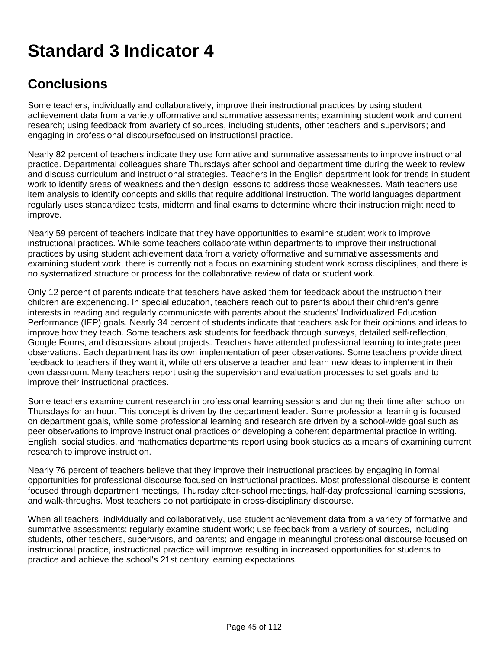Some teachers, individually and collaboratively, improve their instructional practices by using student achievement data from a variety offormative and summative assessments; examining student work and current research; using feedback from avariety of sources, including students, other teachers and supervisors; and engaging in professional discoursefocused on instructional practice.

Nearly 82 percent of teachers indicate they use formative and summative assessments to improve instructional practice. Departmental colleagues share Thursdays after school and department time during the week to review and discuss curriculum and instructional strategies. Teachers in the English department look for trends in student work to identify areas of weakness and then design lessons to address those weaknesses. Math teachers use item analysis to identify concepts and skills that require additional instruction. The world languages department regularly uses standardized tests, midterm and final exams to determine where their instruction might need to improve.

Nearly 59 percent of teachers indicate that they have opportunities to examine student work to improve instructional practices. While some teachers collaborate within departments to improve their instructional practices by using student achievement data from a variety offormative and summative assessments and examining student work, there is currently not a focus on examining student work across disciplines, and there is no systematized structure or process for the collaborative review of data or student work.

Only 12 percent of parents indicate that teachers have asked them for feedback about the instruction their children are experiencing. In special education, teachers reach out to parents about their children's genre interests in reading and regularly communicate with parents about the students' Individualized Education Performance (IEP) goals. Nearly 34 percent of students indicate that teachers ask for their opinions and ideas to improve how they teach. Some teachers ask students for feedback through surveys, detailed self-reflection, Google Forms, and discussions about projects. Teachers have attended professional learning to integrate peer observations. Each department has its own implementation of peer observations. Some teachers provide direct feedback to teachers if they want it, while others observe a teacher and learn new ideas to implement in their own classroom. Many teachers report using the supervision and evaluation processes to set goals and to improve their instructional practices.

Some teachers examine current research in professional learning sessions and during their time after school on Thursdays for an hour. This concept is driven by the department leader. Some professional learning is focused on department goals, while some professional learning and research are driven by a school-wide goal such as peer observations to improve instructional practices or developing a coherent departmental practice in writing. English, social studies, and mathematics departments report using book studies as a means of examining current research to improve instruction.

Nearly 76 percent of teachers believe that they improve their instructional practices by engaging in formal opportunities for professional discourse focused on instructional practices. Most professional discourse is content focused through department meetings, Thursday after-school meetings, half-day professional learning sessions, and walk-throughs. Most teachers do not participate in cross-disciplinary discourse.

When all teachers, individually and collaboratively, use student achievement data from a variety of formative and summative assessments; regularly examine student work; use feedback from a variety of sources, including students, other teachers, supervisors, and parents; and engage in meaningful professional discourse focused on instructional practice, instructional practice will improve resulting in increased opportunities for students to practice and achieve the school's 21st century learning expectations.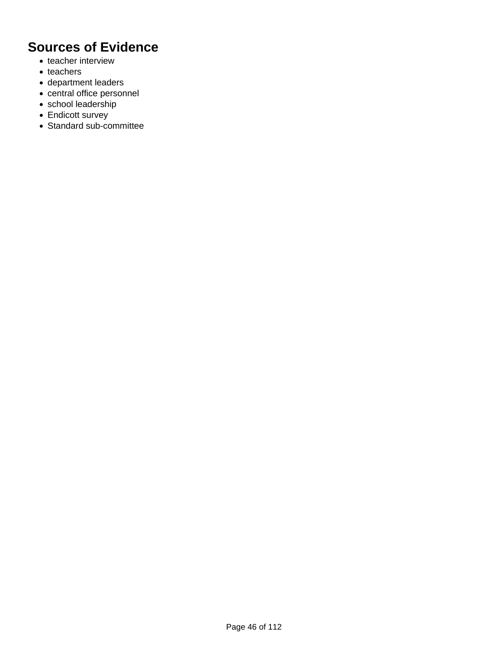- teacher interview
- teachers
- department leaders
- central office personnel
- school leadership
- Endicott survey
- Standard sub-committee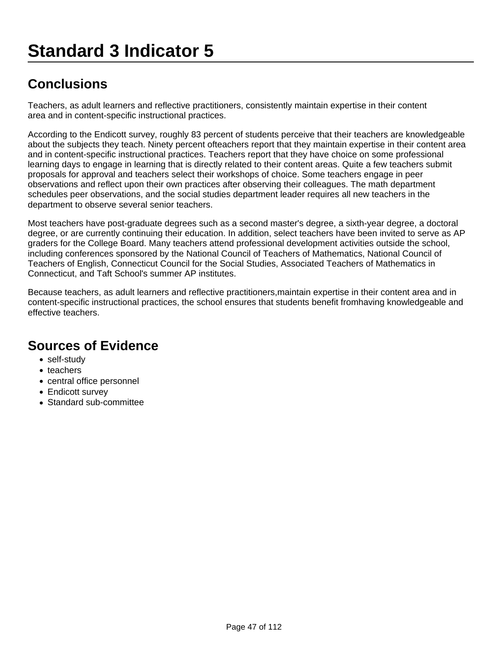# **Standard 3 Indicator 5**

# **Conclusions**

Teachers, as adult learners and reflective practitioners, consistently maintain expertise in their content area and in content-specific instructional practices.

According to the Endicott survey, roughly 83 percent of students perceive that their teachers are knowledgeable about the subjects they teach. Ninety percent ofteachers report that they maintain expertise in their content area and in content-specific instructional practices. Teachers report that they have choice on some professional learning days to engage in learning that is directly related to their content areas. Quite a few teachers submit proposals for approval and teachers select their workshops of choice. Some teachers engage in peer observations and reflect upon their own practices after observing their colleagues. The math department schedules peer observations, and the social studies department leader requires all new teachers in the department to observe several senior teachers.

Most teachers have post-graduate degrees such as a second master's degree, a sixth-year degree, a doctoral degree, or are currently continuing their education. In addition, select teachers have been invited to serve as AP graders for the College Board. Many teachers attend professional development activities outside the school, including conferences sponsored by the National Council of Teachers of Mathematics, National Council of Teachers of English, Connecticut Council for the Social Studies, Associated Teachers of Mathematics in Connecticut, and Taft School's summer AP institutes.

Because teachers, as adult learners and reflective practitioners,maintain expertise in their content area and in content-specific instructional practices, the school ensures that students benefit fromhaving knowledgeable and effective teachers.

- self-study
- teachers
- central office personnel
- Endicott survey
- Standard sub-committee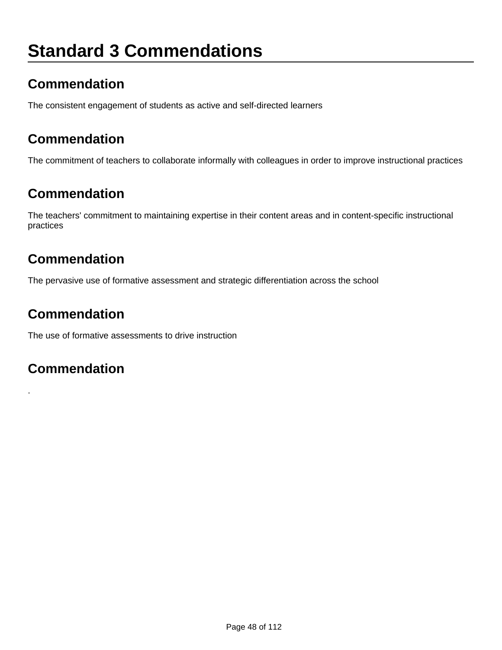# **Standard 3 Commendations**

## **Commendation**

The consistent engagement of students as active and self-directed learners

## **Commendation**

The commitment of teachers to collaborate informally with colleagues in order to improve instructional practices

## **Commendation**

The teachers' commitment to maintaining expertise in their content areas and in content-specific instructional practices

## **Commendation**

The pervasive use of formative assessment and strategic differentiation across the school

# **Commendation**

The use of formative assessments to drive instruction

### **Commendation**

.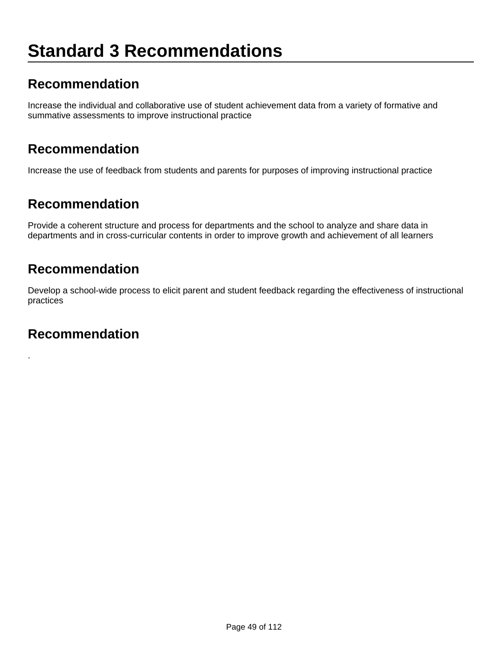# **Standard 3 Recommendations**

### **Recommendation**

Increase the individual and collaborative use of student achievement data from a variety of formative and summative assessments to improve instructional practice

#### **Recommendation**

Increase the use of feedback from students and parents for purposes of improving instructional practice

### **Recommendation**

Provide a coherent structure and process for departments and the school to analyze and share data in departments and in cross-curricular contents in order to improve growth and achievement of all learners

#### **Recommendation**

Develop a school-wide process to elicit parent and student feedback regarding the effectiveness of instructional practices

#### **Recommendation**

.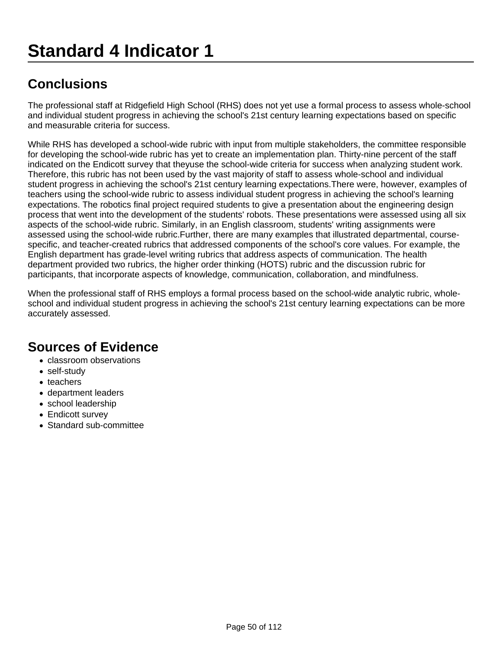The professional staff at Ridgefield High School (RHS) does not yet use a formal process to assess whole-school and individual student progress in achieving the school's 21st century learning expectations based on specific and measurable criteria for success.

While RHS has developed a school-wide rubric with input from multiple stakeholders, the committee responsible for developing the school-wide rubric has yet to create an implementation plan. Thirty-nine percent of the staff indicated on the Endicott survey that theyuse the school-wide criteria for success when analyzing student work. Therefore, this rubric has not been used by the vast majority of staff to assess whole-school and individual student progress in achieving the school's 21st century learning expectations.There were, however, examples of teachers using the school-wide rubric to assess individual student progress in achieving the school's learning expectations. The robotics final project required students to give a presentation about the engineering design process that went into the development of the students' robots. These presentations were assessed using all six aspects of the school-wide rubric. Similarly, in an English classroom, students' writing assignments were assessed using the school-wide rubric.Further, there are many examples that illustrated departmental, coursespecific, and teacher-created rubrics that addressed components of the school's core values. For example, the English department has grade-level writing rubrics that address aspects of communication. The health department provided two rubrics, the higher order thinking (HOTS) rubric and the discussion rubric for participants, that incorporate aspects of knowledge, communication, collaboration, and mindfulness.

When the professional staff of RHS employs a formal process based on the school-wide analytic rubric, wholeschool and individual student progress in achieving the school's 21st century learning expectations can be more accurately assessed.

- classroom observations
- self-study
- teachers
- department leaders
- school leadership
- Endicott survey
- Standard sub-committee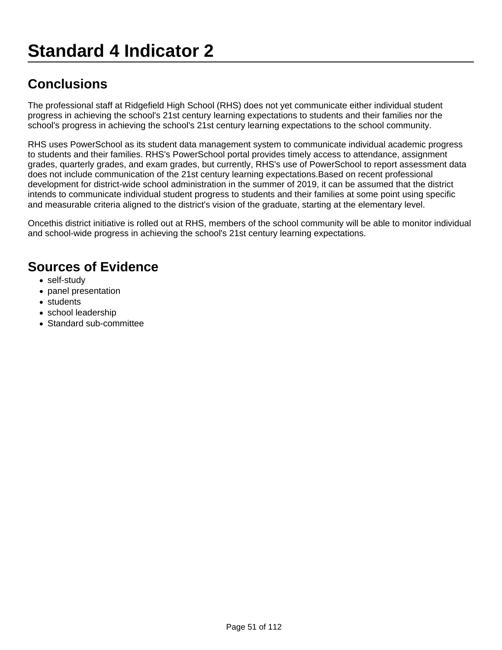# **Standard 4 Indicator 2**

# **Conclusions**

The professional staff at Ridgefield High School (RHS) does not yet communicate either individual student progress in achieving the school's 21st century learning expectations to students and their families nor the school's progress in achieving the school's 21st century learning expectations to the school community.

RHS uses PowerSchool as its student data management system to communicate individual academic progress to students and their families. RHS's PowerSchool portal provides timely access to attendance, assignment grades, quarterly grades, and exam grades, but currently, RHS's use of PowerSchool to report assessment data does not include communication of the 21st century learning expectations.Based on recent professional development for district-wide school administration in the summer of 2019, it can be assumed that the district intends to communicate individual student progress to students and their families at some point using specific and measurable criteria aligned to the district's vision of the graduate, starting at the elementary level.

Oncethis district initiative is rolled out at RHS, members of the school community will be able to monitor individual and school-wide progress in achieving the school's 21st century learning expectations.

- self-study
- panel presentation
- students
- school leadership
- Standard sub-committee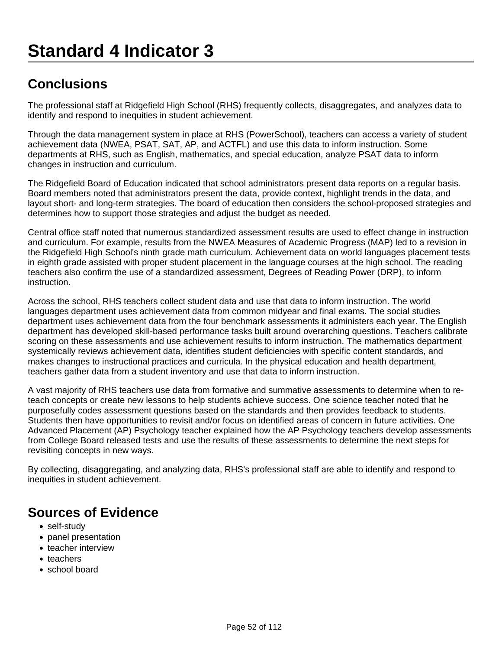The professional staff at Ridgefield High School (RHS) frequently collects, disaggregates, and analyzes data to identify and respond to inequities in student achievement.

Through the data management system in place at RHS (PowerSchool), teachers can access a variety of student achievement data (NWEA, PSAT, SAT, AP, and ACTFL) and use this data to inform instruction. Some departments at RHS, such as English, mathematics, and special education, analyze PSAT data to inform changes in instruction and curriculum.

The Ridgefield Board of Education indicated that school administrators present data reports on a regular basis. Board members noted that administrators present the data, provide context, highlight trends in the data, and layout short- and long-term strategies. The board of education then considers the school-proposed strategies and determines how to support those strategies and adjust the budget as needed.

Central office staff noted that numerous standardized assessment results are used to effect change in instruction and curriculum. For example, results from the NWEA Measures of Academic Progress (MAP) led to a revision in the Ridgefield High School's ninth grade math curriculum. Achievement data on world languages placement tests in eighth grade assisted with proper student placement in the language courses at the high school. The reading teachers also confirm the use of a standardized assessment, Degrees of Reading Power (DRP), to inform instruction.

Across the school, RHS teachers collect student data and use that data to inform instruction. The world languages department uses achievement data from common midyear and final exams. The social studies department uses achievement data from the four benchmark assessments it administers each year. The English department has developed skill-based performance tasks built around overarching questions. Teachers calibrate scoring on these assessments and use achievement results to inform instruction. The mathematics department systemically reviews achievement data, identifies student deficiencies with specific content standards, and makes changes to instructional practices and curricula. In the physical education and health department, teachers gather data from a student inventory and use that data to inform instruction.

A vast majority of RHS teachers use data from formative and summative assessments to determine when to reteach concepts or create new lessons to help students achieve success. One science teacher noted that he purposefully codes assessment questions based on the standards and then provides feedback to students. Students then have opportunities to revisit and/or focus on identified areas of concern in future activities. One Advanced Placement (AP) Psychology teacher explained how the AP Psychology teachers develop assessments from College Board released tests and use the results of these assessments to determine the next steps for revisiting concepts in new ways.

By collecting, disaggregating, and analyzing data, RHS's professional staff are able to identify and respond to inequities in student achievement.

- self-study
- panel presentation
- teacher interview
- teachers
- school board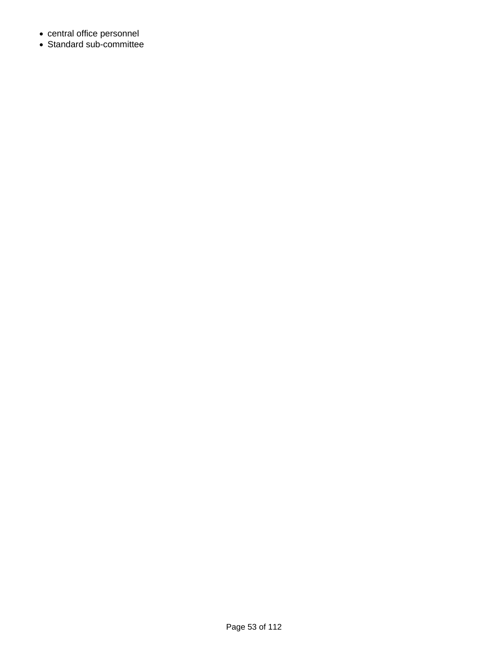- central office personnel
- Standard sub-committee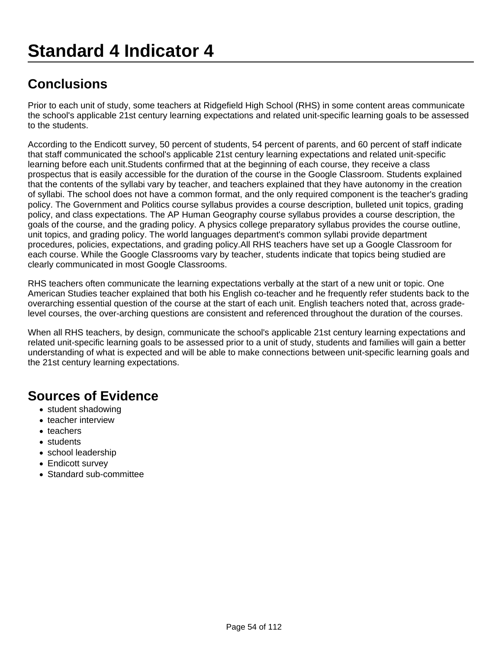Prior to each unit of study, some teachers at Ridgefield High School (RHS) in some content areas communicate the school's applicable 21st century learning expectations and related unit-specific learning goals to be assessed to the students.

According to the Endicott survey, 50 percent of students, 54 percent of parents, and 60 percent of staff indicate that staff communicated the school's applicable 21st century learning expectations and related unit-specific learning before each unit.Students confirmed that at the beginning of each course, they receive a class prospectus that is easily accessible for the duration of the course in the Google Classroom. Students explained that the contents of the syllabi vary by teacher, and teachers explained that they have autonomy in the creation of syllabi. The school does not have a common format, and the only required component is the teacher's grading policy. The Government and Politics course syllabus provides a course description, bulleted unit topics, grading policy, and class expectations. The AP Human Geography course syllabus provides a course description, the goals of the course, and the grading policy. A physics college preparatory syllabus provides the course outline, unit topics, and grading policy. The world languages department's common syllabi provide department procedures, policies, expectations, and grading policy.All RHS teachers have set up a Google Classroom for each course. While the Google Classrooms vary by teacher, students indicate that topics being studied are clearly communicated in most Google Classrooms.

RHS teachers often communicate the learning expectations verbally at the start of a new unit or topic. One American Studies teacher explained that both his English co-teacher and he frequently refer students back to the overarching essential question of the course at the start of each unit. English teachers noted that, across gradelevel courses, the over-arching questions are consistent and referenced throughout the duration of the courses.

When all RHS teachers, by design, communicate the school's applicable 21st century learning expectations and related unit-specific learning goals to be assessed prior to a unit of study, students and families will gain a better understanding of what is expected and will be able to make connections between unit-specific learning goals and the 21st century learning expectations.

- student shadowing
- teacher interview
- teachers
- students
- school leadership
- Endicott survey
- Standard sub-committee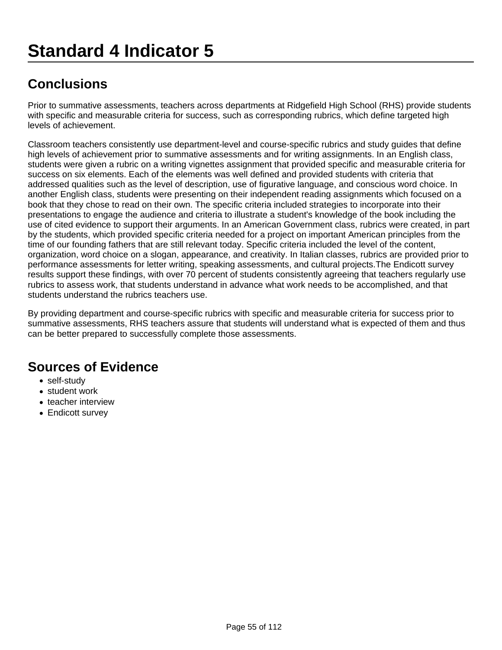Prior to summative assessments, teachers across departments at Ridgefield High School (RHS) provide students with specific and measurable criteria for success, such as corresponding rubrics, which define targeted high levels of achievement.

Classroom teachers consistently use department-level and course-specific rubrics and study guides that define high levels of achievement prior to summative assessments and for writing assignments. In an English class, students were given a rubric on a writing vignettes assignment that provided specific and measurable criteria for success on six elements. Each of the elements was well defined and provided students with criteria that addressed qualities such as the level of description, use of figurative language, and conscious word choice. In another English class, students were presenting on their independent reading assignments which focused on a book that they chose to read on their own. The specific criteria included strategies to incorporate into their presentations to engage the audience and criteria to illustrate a student's knowledge of the book including the use of cited evidence to support their arguments. In an American Government class, rubrics were created, in part by the students, which provided specific criteria needed for a project on important American principles from the time of our founding fathers that are still relevant today. Specific criteria included the level of the content, organization, word choice on a slogan, appearance, and creativity. In Italian classes, rubrics are provided prior to performance assessments for letter writing, speaking assessments, and cultural projects.The Endicott survey results support these findings, with over 70 percent of students consistently agreeing that teachers regularly use rubrics to assess work, that students understand in advance what work needs to be accomplished, and that students understand the rubrics teachers use.

By providing department and course-specific rubrics with specific and measurable criteria for success prior to summative assessments, RHS teachers assure that students will understand what is expected of them and thus can be better prepared to successfully complete those assessments.

- self-study
- student work
- teacher interview
- Endicott survey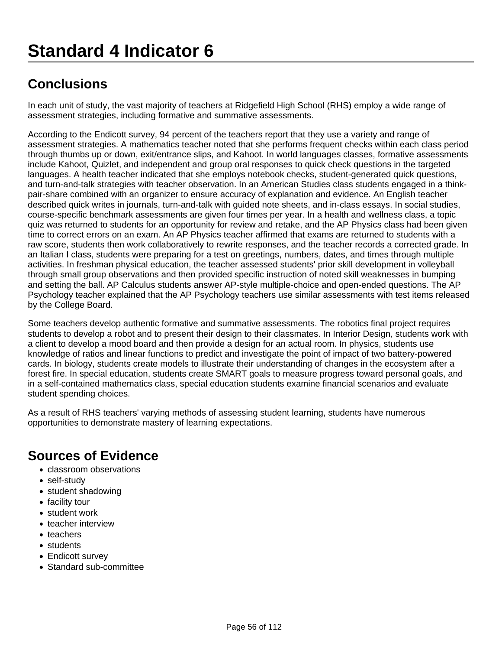# **Standard 4 Indicator 6**

# **Conclusions**

In each unit of study, the vast majority of teachers at Ridgefield High School (RHS) employ a wide range of assessment strategies, including formative and summative assessments.

According to the Endicott survey, 94 percent of the teachers report that they use a variety and range of assessment strategies. A mathematics teacher noted that she performs frequent checks within each class period through thumbs up or down, exit/entrance slips, and Kahoot. In world languages classes, formative assessments include Kahoot, Quizlet, and independent and group oral responses to quick check questions in the targeted languages. A health teacher indicated that she employs notebook checks, student-generated quick questions, and turn-and-talk strategies with teacher observation. In an American Studies class students engaged in a thinkpair-share combined with an organizer to ensure accuracy of explanation and evidence. An English teacher described quick writes in journals, turn-and-talk with guided note sheets, and in-class essays. In social studies, course-specific benchmark assessments are given four times per year. In a health and wellness class, a topic quiz was returned to students for an opportunity for review and retake, and the AP Physics class had been given time to correct errors on an exam. An AP Physics teacher affirmed that exams are returned to students with a raw score, students then work collaboratively to rewrite responses, and the teacher records a corrected grade. In an Italian I class, students were preparing for a test on greetings, numbers, dates, and times through multiple activities. In freshman physical education, the teacher assessed students' prior skill development in volleyball through small group observations and then provided specific instruction of noted skill weaknesses in bumping and setting the ball. AP Calculus students answer AP-style multiple-choice and open-ended questions. The AP Psychology teacher explained that the AP Psychology teachers use similar assessments with test items released by the College Board.

Some teachers develop authentic formative and summative assessments. The robotics final project requires students to develop a robot and to present their design to their classmates. In Interior Design, students work with a client to develop a mood board and then provide a design for an actual room. In physics, students use knowledge of ratios and linear functions to predict and investigate the point of impact of two battery-powered cards. In biology, students create models to illustrate their understanding of changes in the ecosystem after a forest fire. In special education, students create SMART goals to measure progress toward personal goals, and in a self-contained mathematics class, special education students examine financial scenarios and evaluate student spending choices.

As a result of RHS teachers' varying methods of assessing student learning, students have numerous opportunities to demonstrate mastery of learning expectations.

- classroom observations
- self-study
- student shadowing
- facility tour
- student work
- teacher interview
- teachers
- students
- Endicott survey
- Standard sub-committee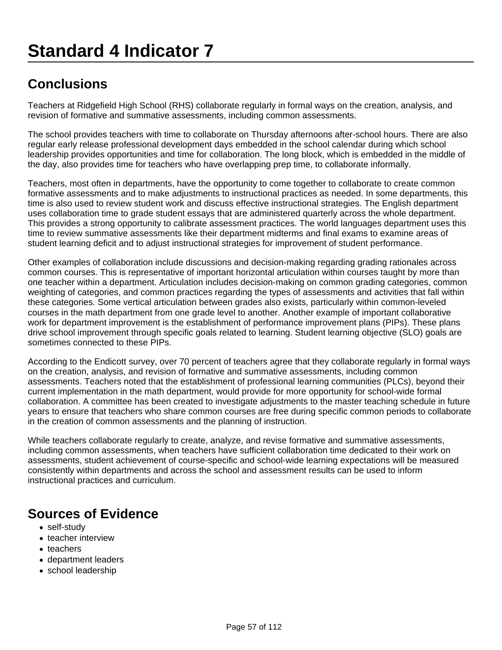Teachers at Ridgefield High School (RHS) collaborate regularly in formal ways on the creation, analysis, and revision of formative and summative assessments, including common assessments.

The school provides teachers with time to collaborate on Thursday afternoons after-school hours. There are also regular early release professional development days embedded in the school calendar during which school leadership provides opportunities and time for collaboration. The long block, which is embedded in the middle of the day, also provides time for teachers who have overlapping prep time, to collaborate informally.

Teachers, most often in departments, have the opportunity to come together to collaborate to create common formative assessments and to make adjustments to instructional practices as needed. In some departments, this time is also used to review student work and discuss effective instructional strategies. The English department uses collaboration time to grade student essays that are administered quarterly across the whole department. This provides a strong opportunity to calibrate assessment practices. The world languages department uses this time to review summative assessments like their department midterms and final exams to examine areas of student learning deficit and to adjust instructional strategies for improvement of student performance.

Other examples of collaboration include discussions and decision-making regarding grading rationales across common courses. This is representative of important horizontal articulation within courses taught by more than one teacher within a department. Articulation includes decision-making on common grading categories, common weighting of categories, and common practices regarding the types of assessments and activities that fall within these categories. Some vertical articulation between grades also exists, particularly within common-leveled courses in the math department from one grade level to another. Another example of important collaborative work for department improvement is the establishment of performance improvement plans (PIPs). These plans drive school improvement through specific goals related to learning. Student learning objective (SLO) goals are sometimes connected to these PIPs.

According to the Endicott survey, over 70 percent of teachers agree that they collaborate regularly in formal ways on the creation, analysis, and revision of formative and summative assessments, including common assessments. Teachers noted that the establishment of professional learning communities (PLCs), beyond their current implementation in the math department, would provide for more opportunity for school-wide formal collaboration. A committee has been created to investigate adjustments to the master teaching schedule in future years to ensure that teachers who share common courses are free during specific common periods to collaborate in the creation of common assessments and the planning of instruction.

While teachers collaborate regularly to create, analyze, and revise formative and summative assessments, including common assessments, when teachers have sufficient collaboration time dedicated to their work on assessments, student achievement of course-specific and school-wide learning expectations will be measured consistently within departments and across the school and assessment results can be used to inform instructional practices and curriculum.

- self-study
- teacher interview
- teachers
- department leaders
- school leadership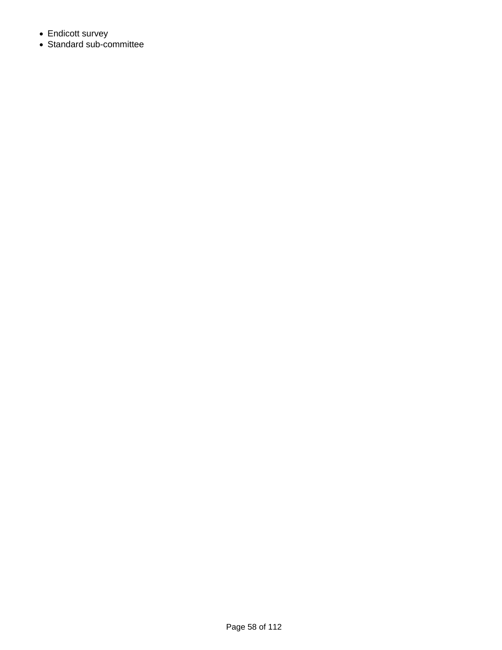- Endicott survey
- Standard sub-committee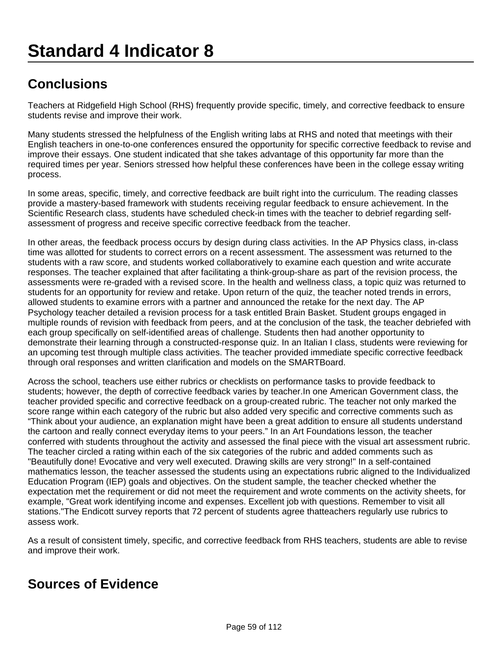Teachers at Ridgefield High School (RHS) frequently provide specific, timely, and corrective feedback to ensure students revise and improve their work.

Many students stressed the helpfulness of the English writing labs at RHS and noted that meetings with their English teachers in one-to-one conferences ensured the opportunity for specific corrective feedback to revise and improve their essays. One student indicated that she takes advantage of this opportunity far more than the required times per year. Seniors stressed how helpful these conferences have been in the college essay writing process.

In some areas, specific, timely, and corrective feedback are built right into the curriculum. The reading classes provide a mastery-based framework with students receiving regular feedback to ensure achievement. In the Scientific Research class, students have scheduled check-in times with the teacher to debrief regarding selfassessment of progress and receive specific corrective feedback from the teacher.

In other areas, the feedback process occurs by design during class activities. In the AP Physics class, in-class time was allotted for students to correct errors on a recent assessment. The assessment was returned to the students with a raw score, and students worked collaboratively to examine each question and write accurate responses. The teacher explained that after facilitating a think-group-share as part of the revision process, the assessments were re-graded with a revised score. In the health and wellness class, a topic quiz was returned to students for an opportunity for review and retake. Upon return of the quiz, the teacher noted trends in errors, allowed students to examine errors with a partner and announced the retake for the next day. The AP Psychology teacher detailed a revision process for a task entitled Brain Basket. Student groups engaged in multiple rounds of revision with feedback from peers, and at the conclusion of the task, the teacher debriefed with each group specifically on self-identified areas of challenge. Students then had another opportunity to demonstrate their learning through a constructed-response quiz. In an Italian I class, students were reviewing for an upcoming test through multiple class activities. The teacher provided immediate specific corrective feedback through oral responses and written clarification and models on the SMARTBoard.

Across the school, teachers use either rubrics or checklists on performance tasks to provide feedback to students; however, the depth of corrective feedback varies by teacher.In one American Government class, the teacher provided specific and corrective feedback on a group-created rubric. The teacher not only marked the score range within each category of the rubric but also added very specific and corrective comments such as "Think about your audience, an explanation might have been a great addition to ensure all students understand the cartoon and really connect everyday items to your peers." In an Art Foundations lesson, the teacher conferred with students throughout the activity and assessed the final piece with the visual art assessment rubric. The teacher circled a rating within each of the six categories of the rubric and added comments such as "Beautifully done! Evocative and very well executed. Drawing skills are very strong!" In a self-contained mathematics lesson, the teacher assessed the students using an expectations rubric aligned to the Individualized Education Program (IEP) goals and objectives. On the student sample, the teacher checked whether the expectation met the requirement or did not meet the requirement and wrote comments on the activity sheets, for example, "Great work identifying income and expenses. Excellent job with questions. Remember to visit all stations."The Endicott survey reports that 72 percent of students agree thatteachers regularly use rubrics to assess work.

As a result of consistent timely, specific, and corrective feedback from RHS teachers, students are able to revise and improve their work.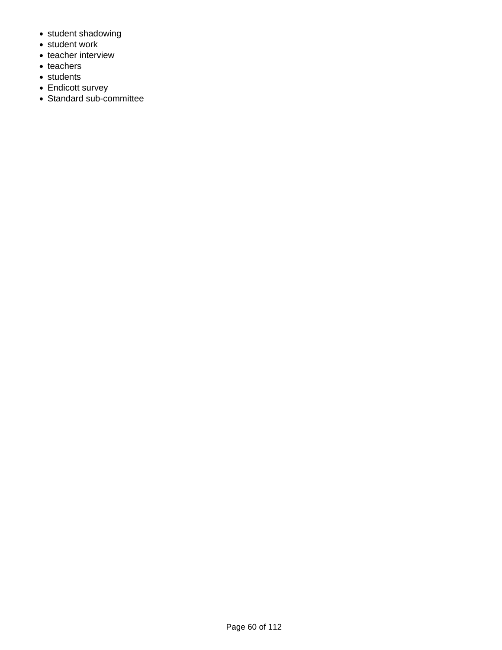- student shadowing
- student work
- teacher interview
- teachers
- students
- Endicott survey
- Standard sub-committee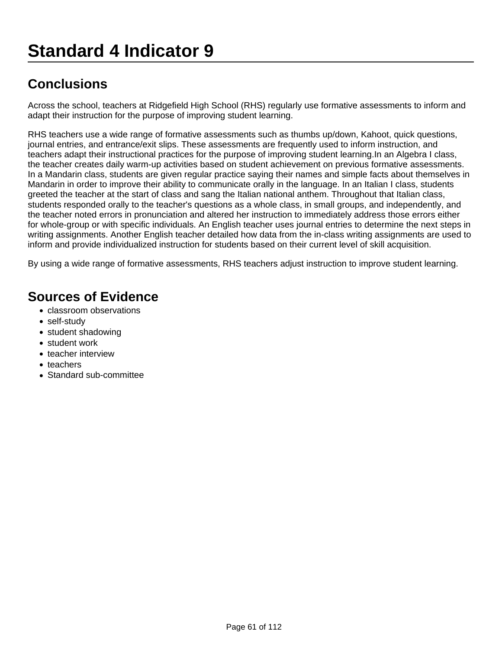# **Standard 4 Indicator 9**

# **Conclusions**

Across the school, teachers at Ridgefield High School (RHS) regularly use formative assessments to inform and adapt their instruction for the purpose of improving student learning.

RHS teachers use a wide range of formative assessments such as thumbs up/down, Kahoot, quick questions, journal entries, and entrance/exit slips. These assessments are frequently used to inform instruction, and teachers adapt their instructional practices for the purpose of improving student learning.In an Algebra I class, the teacher creates daily warm-up activities based on student achievement on previous formative assessments. In a Mandarin class, students are given regular practice saying their names and simple facts about themselves in Mandarin in order to improve their ability to communicate orally in the language. In an Italian I class, students greeted the teacher at the start of class and sang the Italian national anthem. Throughout that Italian class, students responded orally to the teacher's questions as a whole class, in small groups, and independently, and the teacher noted errors in pronunciation and altered her instruction to immediately address those errors either for whole-group or with specific individuals. An English teacher uses journal entries to determine the next steps in writing assignments. Another English teacher detailed how data from the in-class writing assignments are used to inform and provide individualized instruction for students based on their current level of skill acquisition.

By using a wide range of formative assessments, RHS teachers adjust instruction to improve student learning.

- classroom observations
- self-study
- student shadowing
- student work
- teacher interview
- teachers
- Standard sub-committee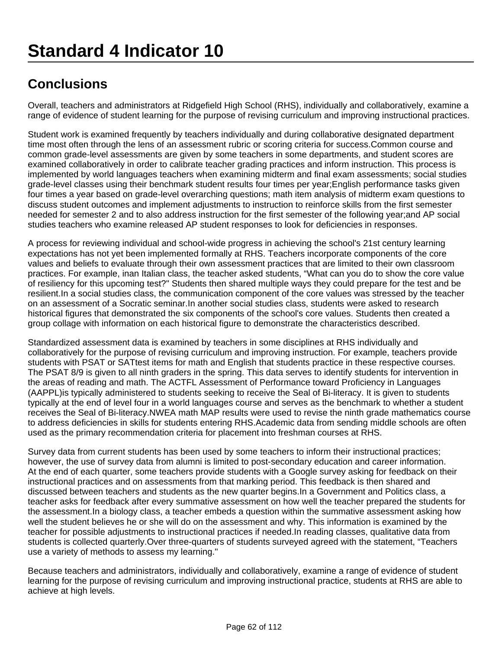Overall, teachers and administrators at Ridgefield High School (RHS), individually and collaboratively, examine a range of evidence of student learning for the purpose of revising curriculum and improving instructional practices.

Student work is examined frequently by teachers individually and during collaborative designated department time most often through the lens of an assessment rubric or scoring criteria for success.Common course and common grade-level assessments are given by some teachers in some departments, and student scores are examined collaboratively in order to calibrate teacher grading practices and inform instruction. This process is implemented by world languages teachers when examining midterm and final exam assessments; social studies grade-level classes using their benchmark student results four times per year;English performance tasks given four times a year based on grade-level overarching questions; math item analysis of midterm exam questions to discuss student outcomes and implement adjustments to instruction to reinforce skills from the first semester needed for semester 2 and to also address instruction for the first semester of the following year;and AP social studies teachers who examine released AP student responses to look for deficiencies in responses.

A process for reviewing individual and school-wide progress in achieving the school's 21st century learning expectations has not yet been implemented formally at RHS. Teachers incorporate components of the core values and beliefs to evaluate through their own assessment practices that are limited to their own classroom practices. For example, inan Italian class, the teacher asked students, "What can you do to show the core value of resiliency for this upcoming test?" Students then shared multiple ways they could prepare for the test and be resilient.In a social studies class, the communication component of the core values was stressed by the teacher on an assessment of a Socratic seminar.In another social studies class, students were asked to research historical figures that demonstrated the six components of the school's core values. Students then created a group collage with information on each historical figure to demonstrate the characteristics described.

Standardized assessment data is examined by teachers in some disciplines at RHS individually and collaboratively for the purpose of revising curriculum and improving instruction. For example, teachers provide students with PSAT or SATtest items for math and English that students practice in these respective courses. The PSAT 8/9 is given to all ninth graders in the spring. This data serves to identify students for intervention in the areas of reading and math. The ACTFL Assessment of Performance toward Proficiency in Languages (AAPPL)is typically administered to students seeking to receive the Seal of Bi-literacy. It is given to students typically at the end of level four in a world languages course and serves as the benchmark to whether a student receives the Seal of Bi-literacy.NWEA math MAP results were used to revise the ninth grade mathematics course to address deficiencies in skills for students entering RHS.Academic data from sending middle schools are often used as the primary recommendation criteria for placement into freshman courses at RHS.

Survey data from current students has been used by some teachers to inform their instructional practices; however, the use of survey data from alumni is limited to post-secondary education and career information. At the end of each quarter, some teachers provide students with a Google survey asking for feedback on their instructional practices and on assessments from that marking period. This feedback is then shared and discussed between teachers and students as the new quarter begins.In a Government and Politics class, a teacher asks for feedback after every summative assessment on how well the teacher prepared the students for the assessment.In a biology class, a teacher embeds a question within the summative assessment asking how well the student believes he or she will do on the assessment and why. This information is examined by the teacher for possible adjustments to instructional practices if needed.In reading classes, qualitative data from students is collected quarterly.Over three-quarters of students surveyed agreed with the statement, "Teachers use a variety of methods to assess my learning."

Because teachers and administrators, individually and collaboratively, examine a range of evidence of student learning for the purpose of revising curriculum and improving instructional practice, students at RHS are able to achieve at high levels.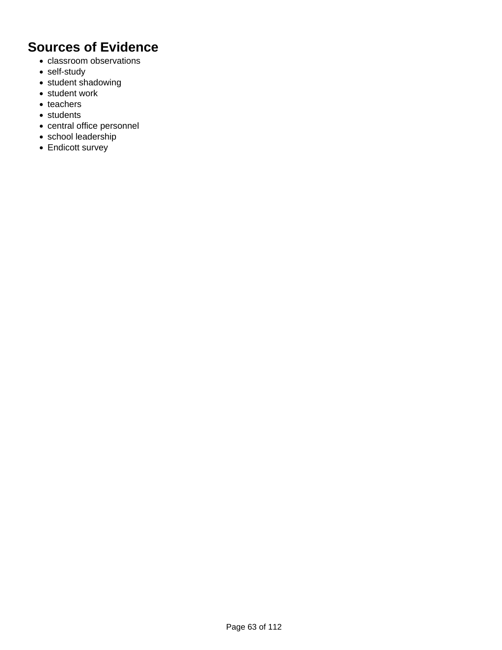- classroom observations
- self-study
- student shadowing
- student work
- teachers
- students
- central office personnel
- school leadership
- Endicott survey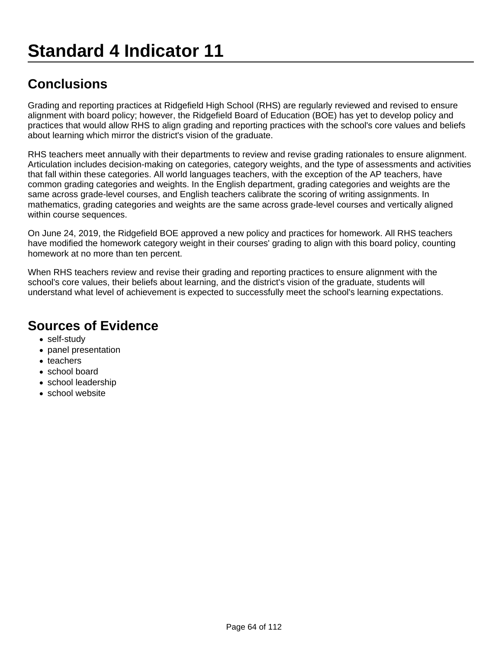Grading and reporting practices at Ridgefield High School (RHS) are regularly reviewed and revised to ensure alignment with board policy; however, the Ridgefield Board of Education (BOE) has yet to develop policy and practices that would allow RHS to align grading and reporting practices with the school's core values and beliefs about learning which mirror the district's vision of the graduate.

RHS teachers meet annually with their departments to review and revise grading rationales to ensure alignment. Articulation includes decision-making on categories, category weights, and the type of assessments and activities that fall within these categories. All world languages teachers, with the exception of the AP teachers, have common grading categories and weights. In the English department, grading categories and weights are the same across grade-level courses, and English teachers calibrate the scoring of writing assignments. In mathematics, grading categories and weights are the same across grade-level courses and vertically aligned within course sequences.

On June 24, 2019, the Ridgefield BOE approved a new policy and practices for homework. All RHS teachers have modified the homework category weight in their courses' grading to align with this board policy, counting homework at no more than ten percent.

When RHS teachers review and revise their grading and reporting practices to ensure alignment with the school's core values, their beliefs about learning, and the district's vision of the graduate, students will understand what level of achievement is expected to successfully meet the school's learning expectations.

- self-study
- panel presentation
- teachers
- school board
- school leadership
- school website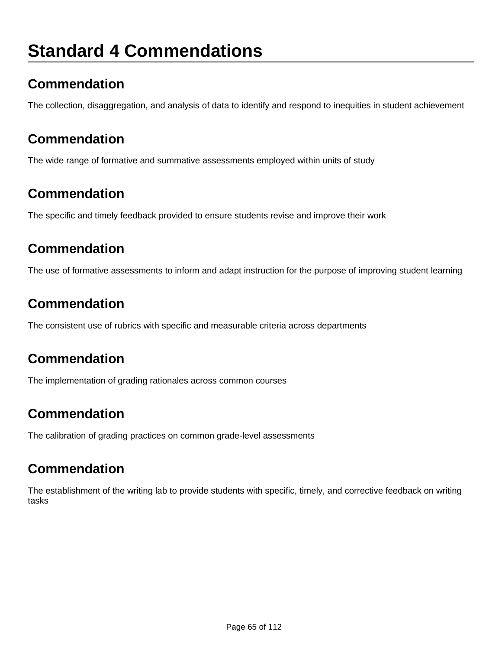# **Standard 4 Commendations**

## **Commendation**

The collection, disaggregation, and analysis of data to identify and respond to inequities in student achievement

### **Commendation**

The wide range of formative and summative assessments employed within units of study

## **Commendation**

The specific and timely feedback provided to ensure students revise and improve their work

## **Commendation**

The use of formative assessments to inform and adapt instruction for the purpose of improving student learning

## **Commendation**

The consistent use of rubrics with specific and measurable criteria across departments

### **Commendation**

The implementation of grading rationales across common courses

### **Commendation**

The calibration of grading practices on common grade-level assessments

### **Commendation**

The establishment of the writing lab to provide students with specific, timely, and corrective feedback on writing tasks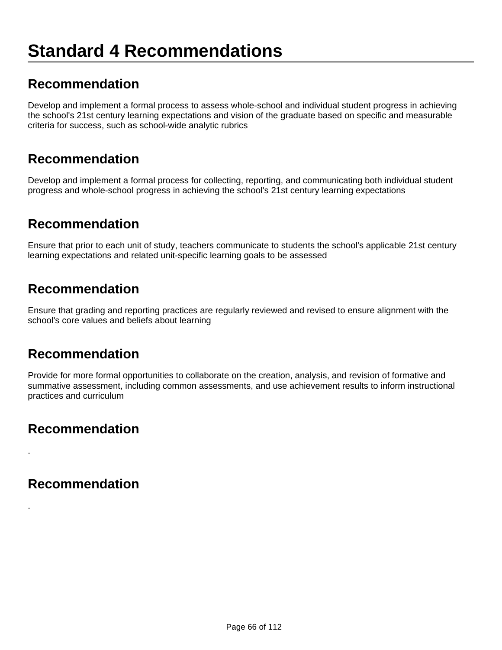### **Recommendation**

Develop and implement a formal process to assess whole-school and individual student progress in achieving the school's 21st century learning expectations and vision of the graduate based on specific and measurable criteria for success, such as school-wide analytic rubrics

#### **Recommendation**

Develop and implement a formal process for collecting, reporting, and communicating both individual student progress and whole-school progress in achieving the school's 21st century learning expectations

## **Recommendation**

Ensure that prior to each unit of study, teachers communicate to students the school's applicable 21st century learning expectations and related unit-specific learning goals to be assessed

### **Recommendation**

Ensure that grading and reporting practices are regularly reviewed and revised to ensure alignment with the school's core values and beliefs about learning

#### **Recommendation**

Provide for more formal opportunities to collaborate on the creation, analysis, and revision of formative and summative assessment, including common assessments, and use achievement results to inform instructional practices and curriculum

#### **Recommendation**

.

.

**Recommendation**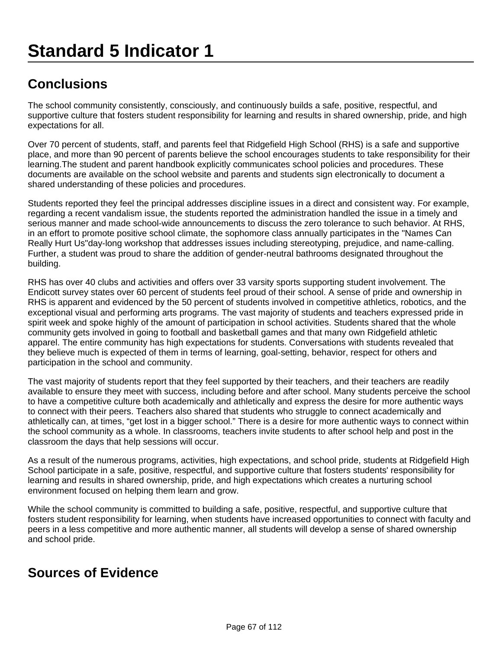The school community consistently, consciously, and continuously builds a safe, positive, respectful, and supportive culture that fosters student responsibility for learning and results in shared ownership, pride, and high expectations for all.

Over 70 percent of students, staff, and parents feel that Ridgefield High School (RHS) is a safe and supportive place, and more than 90 percent of parents believe the school encourages students to take responsibility for their learning.The student and parent handbook explicitly communicates school policies and procedures. These documents are available on the school website and parents and students sign electronically to document a shared understanding of these policies and procedures.

Students reported they feel the principal addresses discipline issues in a direct and consistent way. For example, regarding a recent vandalism issue, the students reported the administration handled the issue in a timely and serious manner and made school-wide announcements to discuss the zero tolerance to such behavior. At RHS, in an effort to promote positive school climate, the sophomore class annually participates in the "Names Can Really Hurt Us"day-long workshop that addresses issues including stereotyping, prejudice, and name-calling. Further, a student was proud to share the addition of gender-neutral bathrooms designated throughout the building.

RHS has over 40 clubs and activities and offers over 33 varsity sports supporting student involvement. The Endicott survey states over 60 percent of students feel proud of their school. A sense of pride and ownership in RHS is apparent and evidenced by the 50 percent of students involved in competitive athletics, robotics, and the exceptional visual and performing arts programs. The vast majority of students and teachers expressed pride in spirit week and spoke highly of the amount of participation in school activities. Students shared that the whole community gets involved in going to football and basketball games and that many own Ridgefield athletic apparel. The entire community has high expectations for students. Conversations with students revealed that they believe much is expected of them in terms of learning, goal-setting, behavior, respect for others and participation in the school and community.

The vast majority of students report that they feel supported by their teachers, and their teachers are readily available to ensure they meet with success, including before and after school. Many students perceive the school to have a competitive culture both academically and athletically and express the desire for more authentic ways to connect with their peers. Teachers also shared that students who struggle to connect academically and athletically can, at times, "get lost in a bigger school." There is a desire for more authentic ways to connect within the school community as a whole. In classrooms, teachers invite students to after school help and post in the classroom the days that help sessions will occur.

As a result of the numerous programs, activities, high expectations, and school pride, students at Ridgefield High School participate in a safe, positive, respectful, and supportive culture that fosters students' responsibility for learning and results in shared ownership, pride, and high expectations which creates a nurturing school environment focused on helping them learn and grow.

While the school community is committed to building a safe, positive, respectful, and supportive culture that fosters student responsibility for learning, when students have increased opportunities to connect with faculty and peers in a less competitive and more authentic manner, all students will develop a sense of shared ownership and school pride.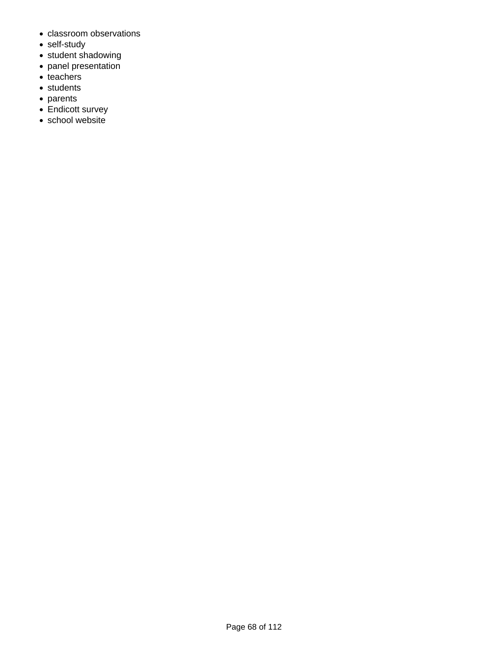- classroom observations
- self-study
- student shadowing
- panel presentation
- teachers
- students
- parents
- Endicott survey
- school website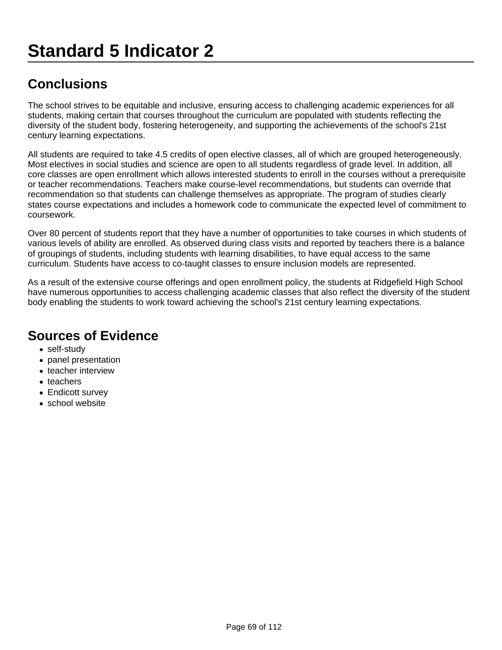The school strives to be equitable and inclusive, ensuring access to challenging academic experiences for all students, making certain that courses throughout the curriculum are populated with students reflecting the diversity of the student body, fostering heterogeneity, and supporting the achievements of the school's 21st century learning expectations.

All students are required to take 4.5 credits of open elective classes, all of which are grouped heterogeneously. Most electives in social studies and science are open to all students regardless of grade level. In addition, all core classes are open enrollment which allows interested students to enroll in the courses without a prerequisite or teacher recommendations. Teachers make course-level recommendations, but students can override that recommendation so that students can challenge themselves as appropriate. The program of studies clearly states course expectations and includes a homework code to communicate the expected level of commitment to coursework.

Over 80 percent of students report that they have a number of opportunities to take courses in which students of various levels of ability are enrolled. As observed during class visits and reported by teachers there is a balance of groupings of students, including students with learning disabilities, to have equal access to the same curriculum. Students have access to co-taught classes to ensure inclusion models are represented.

As a result of the extensive course offerings and open enrollment policy, the students at Ridgefield High School have numerous opportunities to access challenging academic classes that also reflect the diversity of the student body enabling the students to work toward achieving the school's 21st century learning expectations.

- self-study
- panel presentation
- teacher interview
- teachers
- Endicott survey
- school website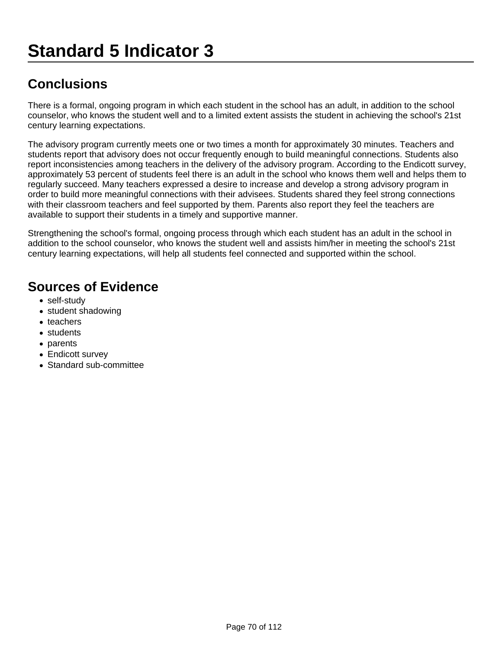# **Standard 5 Indicator 3**

# **Conclusions**

There is a formal, ongoing program in which each student in the school has an adult, in addition to the school counselor, who knows the student well and to a limited extent assists the student in achieving the school's 21st century learning expectations.

The advisory program currently meets one or two times a month for approximately 30 minutes. Teachers and students report that advisory does not occur frequently enough to build meaningful connections. Students also report inconsistencies among teachers in the delivery of the advisory program. According to the Endicott survey, approximately 53 percent of students feel there is an adult in the school who knows them well and helps them to regularly succeed. Many teachers expressed a desire to increase and develop a strong advisory program in order to build more meaningful connections with their advisees. Students shared they feel strong connections with their classroom teachers and feel supported by them. Parents also report they feel the teachers are available to support their students in a timely and supportive manner.

Strengthening the school's formal, ongoing process through which each student has an adult in the school in addition to the school counselor, who knows the student well and assists him/her in meeting the school's 21st century learning expectations, will help all students feel connected and supported within the school.

- self-study
- student shadowing
- teachers
- students
- parents
- Endicott survey
- Standard sub-committee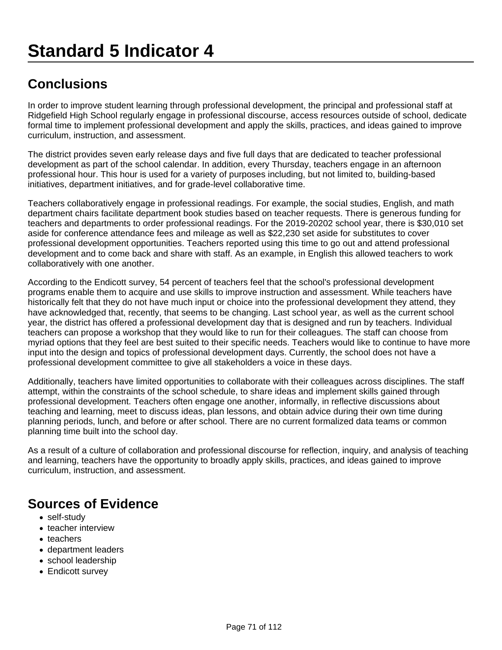In order to improve student learning through professional development, the principal and professional staff at Ridgefield High School regularly engage in professional discourse, access resources outside of school, dedicate formal time to implement professional development and apply the skills, practices, and ideas gained to improve curriculum, instruction, and assessment.

The district provides seven early release days and five full days that are dedicated to teacher professional development as part of the school calendar. In addition, every Thursday, teachers engage in an afternoon professional hour. This hour is used for a variety of purposes including, but not limited to, building-based initiatives, department initiatives, and for grade-level collaborative time.

Teachers collaboratively engage in professional readings. For example, the social studies, English, and math department chairs facilitate department book studies based on teacher requests. There is generous funding for teachers and departments to order professional readings. For the 2019-20202 school year, there is \$30,010 set aside for conference attendance fees and mileage as well as \$22,230 set aside for substitutes to cover professional development opportunities. Teachers reported using this time to go out and attend professional development and to come back and share with staff. As an example, in English this allowed teachers to work collaboratively with one another.

According to the Endicott survey, 54 percent of teachers feel that the school's professional development programs enable them to acquire and use skills to improve instruction and assessment. While teachers have historically felt that they do not have much input or choice into the professional development they attend, they have acknowledged that, recently, that seems to be changing. Last school year, as well as the current school year, the district has offered a professional development day that is designed and run by teachers. Individual teachers can propose a workshop that they would like to run for their colleagues. The staff can choose from myriad options that they feel are best suited to their specific needs. Teachers would like to continue to have more input into the design and topics of professional development days. Currently, the school does not have a professional development committee to give all stakeholders a voice in these days.

Additionally, teachers have limited opportunities to collaborate with their colleagues across disciplines. The staff attempt, within the constraints of the school schedule, to share ideas and implement skills gained through professional development. Teachers often engage one another, informally, in reflective discussions about teaching and learning, meet to discuss ideas, plan lessons, and obtain advice during their own time during planning periods, lunch, and before or after school. There are no current formalized data teams or common planning time built into the school day.

As a result of a culture of collaboration and professional discourse for reflection, inquiry, and analysis of teaching and learning, teachers have the opportunity to broadly apply skills, practices, and ideas gained to improve curriculum, instruction, and assessment.

- self-study
- teacher interview
- teachers
- department leaders
- school leadership
- Endicott survey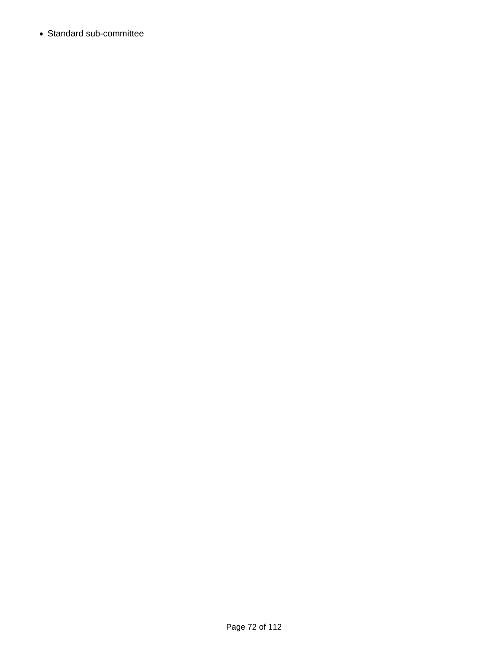Standard sub-committee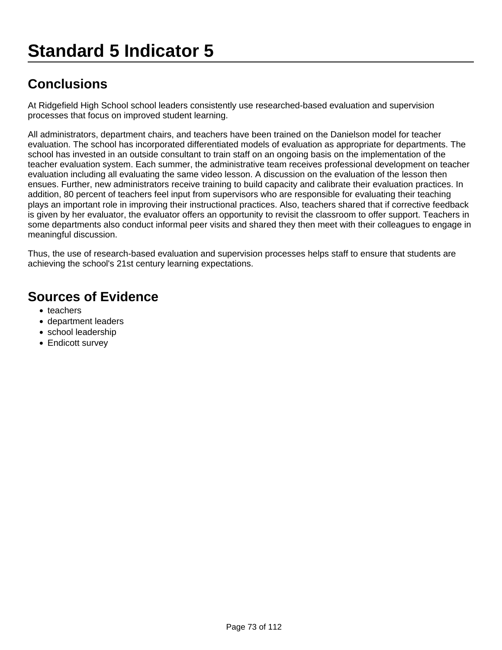# **Conclusions**

At Ridgefield High School school leaders consistently use researched-based evaluation and supervision processes that focus on improved student learning.

All administrators, department chairs, and teachers have been trained on the Danielson model for teacher evaluation. The school has incorporated differentiated models of evaluation as appropriate for departments. The school has invested in an outside consultant to train staff on an ongoing basis on the implementation of the teacher evaluation system. Each summer, the administrative team receives professional development on teacher evaluation including all evaluating the same video lesson. A discussion on the evaluation of the lesson then ensues. Further, new administrators receive training to build capacity and calibrate their evaluation practices. In addition, 80 percent of teachers feel input from supervisors who are responsible for evaluating their teaching plays an important role in improving their instructional practices. Also, teachers shared that if corrective feedback is given by her evaluator, the evaluator offers an opportunity to revisit the classroom to offer support. Teachers in some departments also conduct informal peer visits and shared they then meet with their colleagues to engage in meaningful discussion.

Thus, the use of research-based evaluation and supervision processes helps staff to ensure that students are achieving the school's 21st century learning expectations.

- teachers
- department leaders
- school leadership
- Endicott survey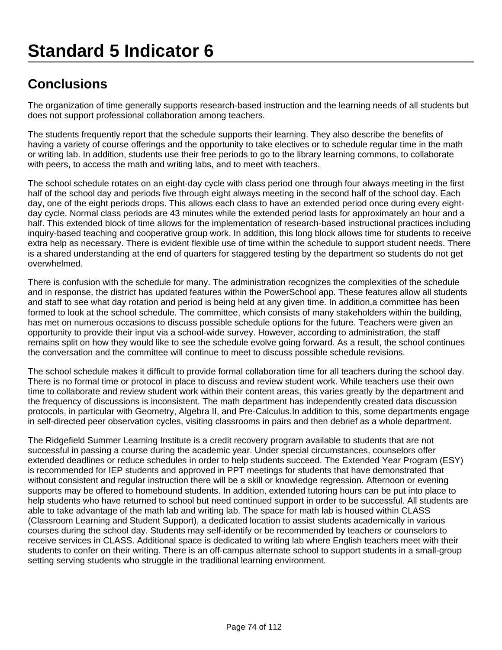The organization of time generally supports research-based instruction and the learning needs of all students but does not support professional collaboration among teachers.

The students frequently report that the schedule supports their learning. They also describe the benefits of having a variety of course offerings and the opportunity to take electives or to schedule regular time in the math or writing lab. In addition, students use their free periods to go to the library learning commons, to collaborate with peers, to access the math and writing labs, and to meet with teachers.

The school schedule rotates on an eight-day cycle with class period one through four always meeting in the first half of the school day and periods five through eight always meeting in the second half of the school day. Each day, one of the eight periods drops. This allows each class to have an extended period once during every eightday cycle. Normal class periods are 43 minutes while the extended period lasts for approximately an hour and a half. This extended block of time allows for the implementation of research-based instructional practices including inquiry-based teaching and cooperative group work. In addition, this long block allows time for students to receive extra help as necessary. There is evident flexible use of time within the schedule to support student needs. There is a shared understanding at the end of quarters for staggered testing by the department so students do not get overwhelmed.

There is confusion with the schedule for many. The administration recognizes the complexities of the schedule and in response, the district has updated features within the PowerSchool app. These features allow all students and staff to see what day rotation and period is being held at any given time. In addition,a committee has been formed to look at the school schedule. The committee, which consists of many stakeholders within the building, has met on numerous occasions to discuss possible schedule options for the future. Teachers were given an opportunity to provide their input via a school-wide survey. However, according to administration, the staff remains split on how they would like to see the schedule evolve going forward. As a result, the school continues the conversation and the committee will continue to meet to discuss possible schedule revisions.

The school schedule makes it difficult to provide formal collaboration time for all teachers during the school day. There is no formal time or protocol in place to discuss and review student work. While teachers use their own time to collaborate and review student work within their content areas, this varies greatly by the department and the frequency of discussions is inconsistent. The math department has independently created data discussion protocols, in particular with Geometry, Algebra II, and Pre-Calculus.In addition to this, some departments engage in self-directed peer observation cycles, visiting classrooms in pairs and then debrief as a whole department.

The Ridgefield Summer Learning Institute is a credit recovery program available to students that are not successful in passing a course during the academic year. Under special circumstances, counselors offer extended deadlines or reduce schedules in order to help students succeed. The Extended Year Program (ESY) is recommended for IEP students and approved in PPT meetings for students that have demonstrated that without consistent and regular instruction there will be a skill or knowledge regression. Afternoon or evening supports may be offered to homebound students. In addition, extended tutoring hours can be put into place to help students who have returned to school but need continued support in order to be successful. All students are able to take advantage of the math lab and writing lab. The space for math lab is housed within CLASS (Classroom Learning and Student Support), a dedicated location to assist students academically in various courses during the school day. Students may self-identify or be recommended by teachers or counselors to receive services in CLASS. Additional space is dedicated to writing lab where English teachers meet with their students to confer on their writing. There is an off-campus alternate school to support students in a small-group setting serving students who struggle in the traditional learning environment.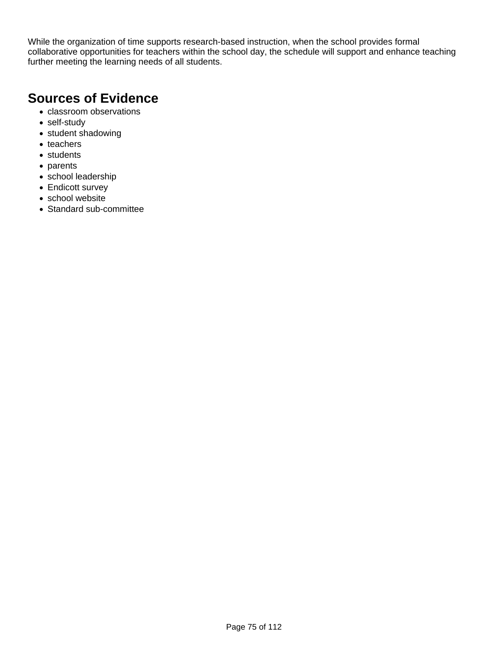While the organization of time supports research-based instruction, when the school provides formal collaborative opportunities for teachers within the school day, the schedule will support and enhance teaching further meeting the learning needs of all students.

- classroom observations
- self-study
- student shadowing
- teachers
- students
- parents
- school leadership
- Endicott survey
- school website
- Standard sub-committee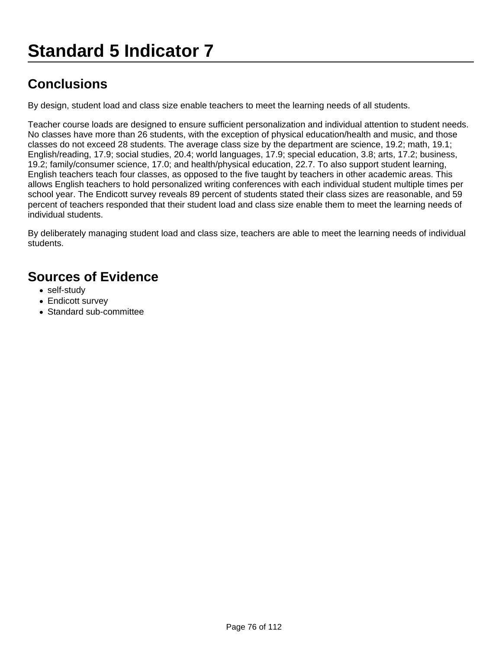By design, student load and class size enable teachers to meet the learning needs of all students.

Teacher course loads are designed to ensure sufficient personalization and individual attention to student needs. No classes have more than 26 students, with the exception of physical education/health and music, and those classes do not exceed 28 students. The average class size by the department are science, 19.2; math, 19.1; English/reading, 17.9; social studies, 20.4; world languages, 17.9; special education, 3.8; arts, 17.2; business, 19.2; family/consumer science, 17.0; and health/physical education, 22.7. To also support student learning, English teachers teach four classes, as opposed to the five taught by teachers in other academic areas. This allows English teachers to hold personalized writing conferences with each individual student multiple times per school year. The Endicott survey reveals 89 percent of students stated their class sizes are reasonable, and 59 percent of teachers responded that their student load and class size enable them to meet the learning needs of individual students.

By deliberately managing student load and class size, teachers are able to meet the learning needs of individual students.

- self-study
- Endicott survey
- Standard sub-committee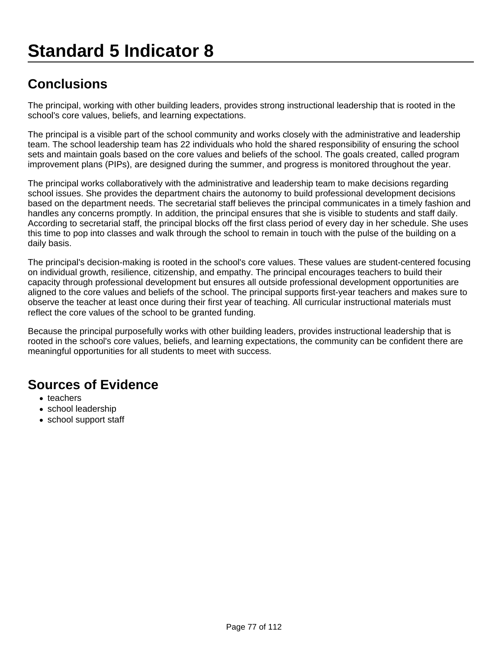# **Conclusions**

The principal, working with other building leaders, provides strong instructional leadership that is rooted in the school's core values, beliefs, and learning expectations.

The principal is a visible part of the school community and works closely with the administrative and leadership team. The school leadership team has 22 individuals who hold the shared responsibility of ensuring the school sets and maintain goals based on the core values and beliefs of the school. The goals created, called program improvement plans (PIPs), are designed during the summer, and progress is monitored throughout the year.

The principal works collaboratively with the administrative and leadership team to make decisions regarding school issues. She provides the department chairs the autonomy to build professional development decisions based on the department needs. The secretarial staff believes the principal communicates in a timely fashion and handles any concerns promptly. In addition, the principal ensures that she is visible to students and staff daily. According to secretarial staff, the principal blocks off the first class period of every day in her schedule. She uses this time to pop into classes and walk through the school to remain in touch with the pulse of the building on a daily basis.

The principal's decision-making is rooted in the school's core values. These values are student-centered focusing on individual growth, resilience, citizenship, and empathy. The principal encourages teachers to build their capacity through professional development but ensures all outside professional development opportunities are aligned to the core values and beliefs of the school. The principal supports first-year teachers and makes sure to observe the teacher at least once during their first year of teaching. All curricular instructional materials must reflect the core values of the school to be granted funding.

Because the principal purposefully works with other building leaders, provides instructional leadership that is rooted in the school's core values, beliefs, and learning expectations, the community can be confident there are meaningful opportunities for all students to meet with success.

- teachers
- school leadership
- school support staff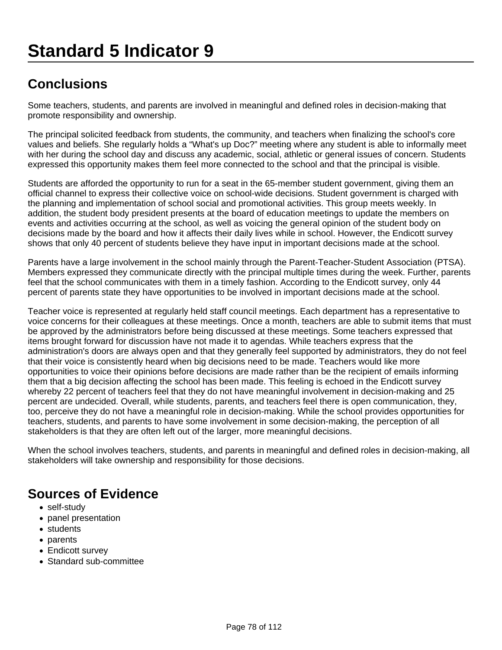# **Conclusions**

Some teachers, students, and parents are involved in meaningful and defined roles in decision-making that promote responsibility and ownership.

The principal solicited feedback from students, the community, and teachers when finalizing the school's core values and beliefs. She regularly holds a "What's up Doc?" meeting where any student is able to informally meet with her during the school day and discuss any academic, social, athletic or general issues of concern. Students expressed this opportunity makes them feel more connected to the school and that the principal is visible.

Students are afforded the opportunity to run for a seat in the 65-member student government, giving them an official channel to express their collective voice on school-wide decisions. Student government is charged with the planning and implementation of school social and promotional activities. This group meets weekly. In addition, the student body president presents at the board of education meetings to update the members on events and activities occurring at the school, as well as voicing the general opinion of the student body on decisions made by the board and how it affects their daily lives while in school. However, the Endicott survey shows that only 40 percent of students believe they have input in important decisions made at the school.

Parents have a large involvement in the school mainly through the Parent-Teacher-Student Association (PTSA). Members expressed they communicate directly with the principal multiple times during the week. Further, parents feel that the school communicates with them in a timely fashion. According to the Endicott survey, only 44 percent of parents state they have opportunities to be involved in important decisions made at the school.

Teacher voice is represented at regularly held staff council meetings. Each department has a representative to voice concerns for their colleagues at these meetings. Once a month, teachers are able to submit items that must be approved by the administrators before being discussed at these meetings. Some teachers expressed that items brought forward for discussion have not made it to agendas. While teachers express that the administration's doors are always open and that they generally feel supported by administrators, they do not feel that their voice is consistently heard when big decisions need to be made. Teachers would like more opportunities to voice their opinions before decisions are made rather than be the recipient of emails informing them that a big decision affecting the school has been made. This feeling is echoed in the Endicott survey whereby 22 percent of teachers feel that they do not have meaningful involvement in decision-making and 25 percent are undecided. Overall, while students, parents, and teachers feel there is open communication, they, too, perceive they do not have a meaningful role in decision-making. While the school provides opportunities for teachers, students, and parents to have some involvement in some decision-making, the perception of all stakeholders is that they are often left out of the larger, more meaningful decisions.

When the school involves teachers, students, and parents in meaningful and defined roles in decision-making, all stakeholders will take ownership and responsibility for those decisions.

- self-study
- panel presentation
- students
- parents
- Endicott survey
- Standard sub-committee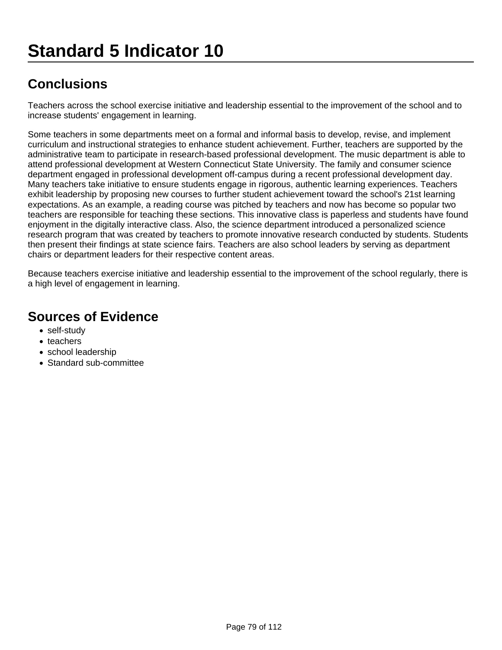Teachers across the school exercise initiative and leadership essential to the improvement of the school and to increase students' engagement in learning.

Some teachers in some departments meet on a formal and informal basis to develop, revise, and implement curriculum and instructional strategies to enhance student achievement. Further, teachers are supported by the administrative team to participate in research-based professional development. The music department is able to attend professional development at Western Connecticut State University. The family and consumer science department engaged in professional development off-campus during a recent professional development day. Many teachers take initiative to ensure students engage in rigorous, authentic learning experiences. Teachers exhibit leadership by proposing new courses to further student achievement toward the school's 21st learning expectations. As an example, a reading course was pitched by teachers and now has become so popular two teachers are responsible for teaching these sections. This innovative class is paperless and students have found enjoyment in the digitally interactive class. Also, the science department introduced a personalized science research program that was created by teachers to promote innovative research conducted by students. Students then present their findings at state science fairs. Teachers are also school leaders by serving as department chairs or department leaders for their respective content areas.

Because teachers exercise initiative and leadership essential to the improvement of the school regularly, there is a high level of engagement in learning.

- self-study
- teachers
- school leadership
- Standard sub-committee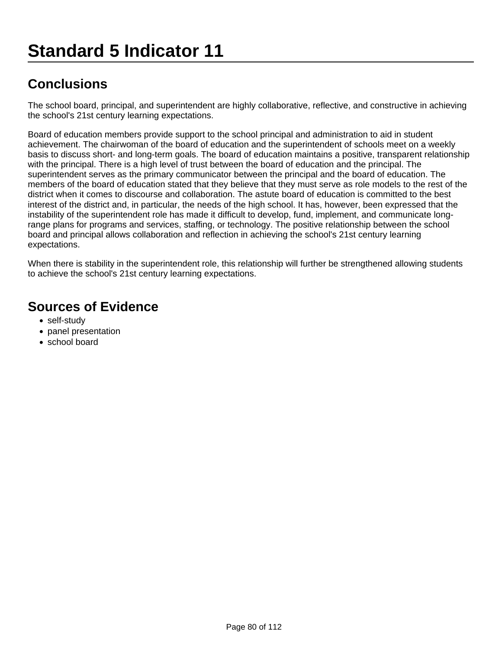The school board, principal, and superintendent are highly collaborative, reflective, and constructive in achieving the school's 21st century learning expectations.

Board of education members provide support to the school principal and administration to aid in student achievement. The chairwoman of the board of education and the superintendent of schools meet on a weekly basis to discuss short- and long-term goals. The board of education maintains a positive, transparent relationship with the principal. There is a high level of trust between the board of education and the principal. The superintendent serves as the primary communicator between the principal and the board of education. The members of the board of education stated that they believe that they must serve as role models to the rest of the district when it comes to discourse and collaboration. The astute board of education is committed to the best interest of the district and, in particular, the needs of the high school. It has, however, been expressed that the instability of the superintendent role has made it difficult to develop, fund, implement, and communicate longrange plans for programs and services, staffing, or technology. The positive relationship between the school board and principal allows collaboration and reflection in achieving the school's 21st century learning expectations.

When there is stability in the superintendent role, this relationship will further be strengthened allowing students to achieve the school's 21st century learning expectations.

- self-study
- panel presentation
- school board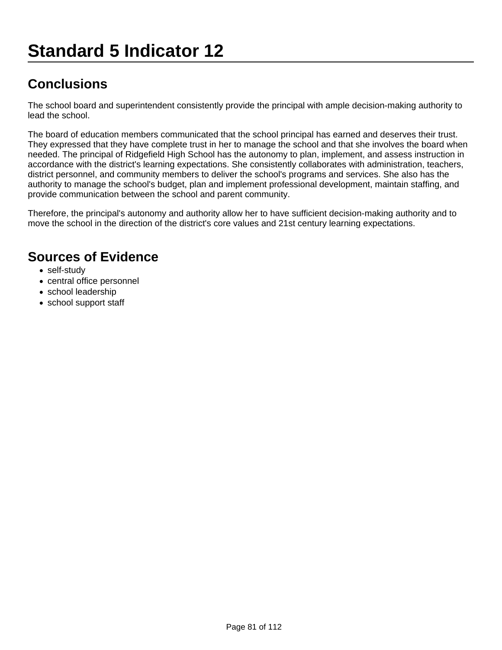The school board and superintendent consistently provide the principal with ample decision-making authority to lead the school.

The board of education members communicated that the school principal has earned and deserves their trust. They expressed that they have complete trust in her to manage the school and that she involves the board when needed. The principal of Ridgefield High School has the autonomy to plan, implement, and assess instruction in accordance with the district's learning expectations. She consistently collaborates with administration, teachers, district personnel, and community members to deliver the school's programs and services. She also has the authority to manage the school's budget, plan and implement professional development, maintain staffing, and provide communication between the school and parent community.

Therefore, the principal's autonomy and authority allow her to have sufficient decision-making authority and to move the school in the direction of the district's core values and 21st century learning expectations.

- self-study
- central office personnel
- school leadership
- school support staff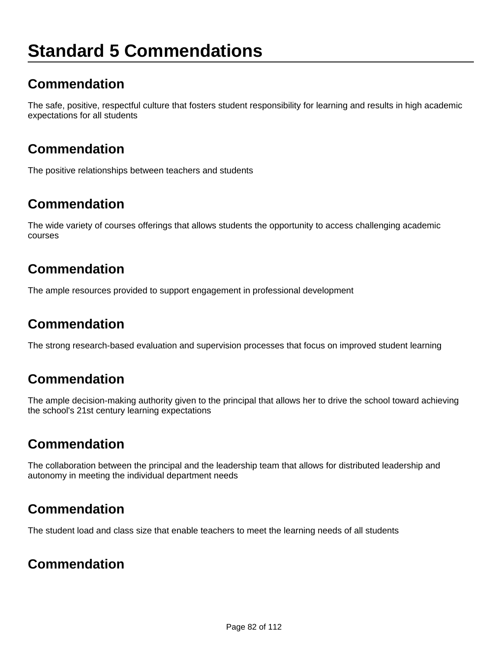# **Standard 5 Commendations**

## **Commendation**

The safe, positive, respectful culture that fosters student responsibility for learning and results in high academic expectations for all students

## **Commendation**

The positive relationships between teachers and students

## **Commendation**

The wide variety of courses offerings that allows students the opportunity to access challenging academic courses

## **Commendation**

The ample resources provided to support engagement in professional development

## **Commendation**

The strong research-based evaluation and supervision processes that focus on improved student learning

## **Commendation**

The ample decision-making authority given to the principal that allows her to drive the school toward achieving the school's 21st century learning expectations

## **Commendation**

The collaboration between the principal and the leadership team that allows for distributed leadership and autonomy in meeting the individual department needs

#### **Commendation**

The student load and class size that enable teachers to meet the learning needs of all students

#### **Commendation**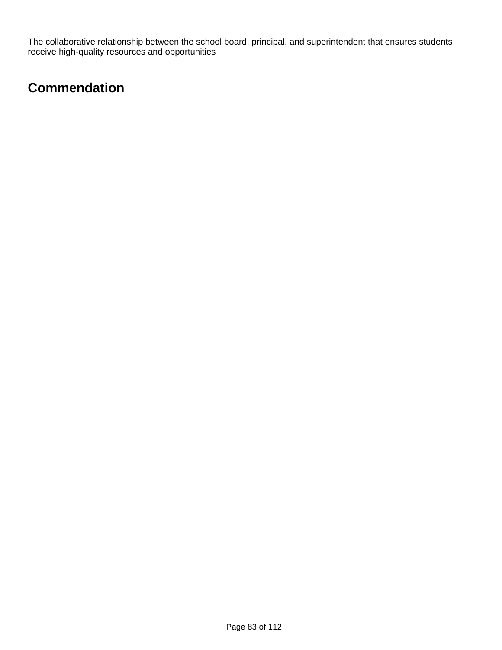The collaborative relationship between the school board, principal, and superintendent that ensures students receive high-quality resources and opportunities

## **Commendation**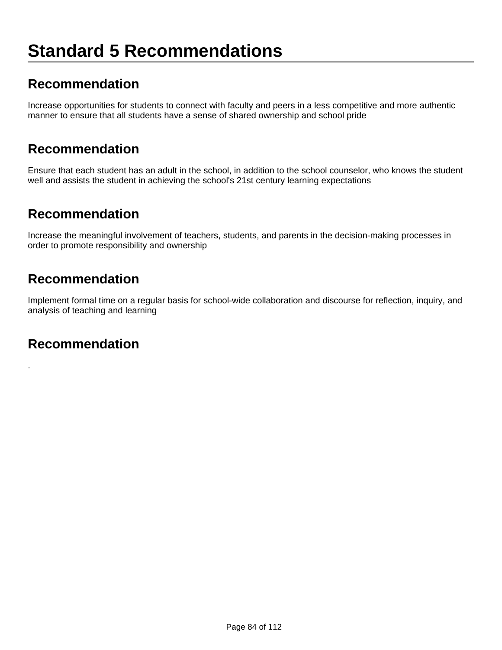# **Standard 5 Recommendations**

#### **Recommendation**

Increase opportunities for students to connect with faculty and peers in a less competitive and more authentic manner to ensure that all students have a sense of shared ownership and school pride

#### **Recommendation**

Ensure that each student has an adult in the school, in addition to the school counselor, who knows the student well and assists the student in achieving the school's 21st century learning expectations

#### **Recommendation**

Increase the meaningful involvement of teachers, students, and parents in the decision-making processes in order to promote responsibility and ownership

#### **Recommendation**

Implement formal time on a regular basis for school-wide collaboration and discourse for reflection, inquiry, and analysis of teaching and learning

#### **Recommendation**

.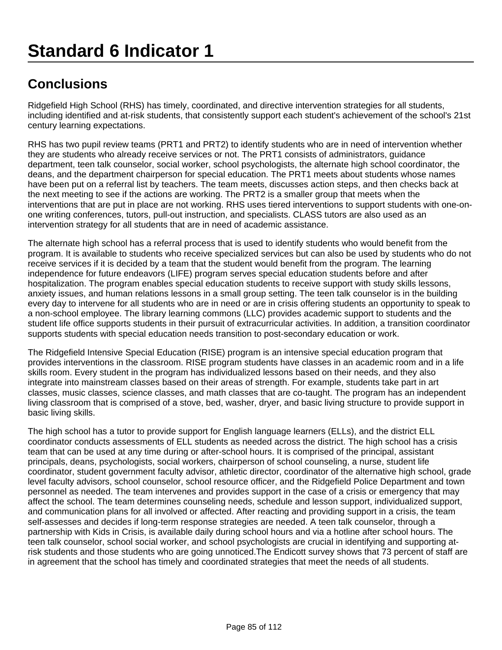Ridgefield High School (RHS) has timely, coordinated, and directive intervention strategies for all students, including identified and at-risk students, that consistently support each student's achievement of the school's 21st century learning expectations.

RHS has two pupil review teams (PRT1 and PRT2) to identify students who are in need of intervention whether they are students who already receive services or not. The PRT1 consists of administrators, guidance department, teen talk counselor, social worker, school psychologists, the alternate high school coordinator, the deans, and the department chairperson for special education. The PRT1 meets about students whose names have been put on a referral list by teachers. The team meets, discusses action steps, and then checks back at the next meeting to see if the actions are working. The PRT2 is a smaller group that meets when the interventions that are put in place are not working. RHS uses tiered interventions to support students with one-onone writing conferences, tutors, pull-out instruction, and specialists. CLASS tutors are also used as an intervention strategy for all students that are in need of academic assistance.

The alternate high school has a referral process that is used to identify students who would benefit from the program. It is available to students who receive specialized services but can also be used by students who do not receive services if it is decided by a team that the student would benefit from the program. The learning independence for future endeavors (LIFE) program serves special education students before and after hospitalization. The program enables special education students to receive support with study skills lessons, anxiety issues, and human relations lessons in a small group setting. The teen talk counselor is in the building every day to intervene for all students who are in need or are in crisis offering students an opportunity to speak to a non-school employee. The library learning commons (LLC) provides academic support to students and the student life office supports students in their pursuit of extracurricular activities. In addition, a transition coordinator supports students with special education needs transition to post-secondary education or work.

The Ridgefield Intensive Special Education (RISE) program is an intensive special education program that provides interventions in the classroom. RISE program students have classes in an academic room and in a life skills room. Every student in the program has individualized lessons based on their needs, and they also integrate into mainstream classes based on their areas of strength. For example, students take part in art classes, music classes, science classes, and math classes that are co-taught. The program has an independent living classroom that is comprised of a stove, bed, washer, dryer, and basic living structure to provide support in basic living skills.

The high school has a tutor to provide support for English language learners (ELLs), and the district ELL coordinator conducts assessments of ELL students as needed across the district. The high school has a crisis team that can be used at any time during or after-school hours. It is comprised of the principal, assistant principals, deans, psychologists, social workers, chairperson of school counseling, a nurse, student life coordinator, student government faculty advisor, athletic director, coordinator of the alternative high school, grade level faculty advisors, school counselor, school resource officer, and the Ridgefield Police Department and town personnel as needed. The team intervenes and provides support in the case of a crisis or emergency that may affect the school. The team determines counseling needs, schedule and lesson support, individualized support, and communication plans for all involved or affected. After reacting and providing support in a crisis, the team self-assesses and decides if long-term response strategies are needed. A teen talk counselor, through a partnership with Kids in Crisis, is available daily during school hours and via a hotline after school hours. The teen talk counselor, school social worker, and school psychologists are crucial in identifying and supporting atrisk students and those students who are going unnoticed.The Endicott survey shows that 73 percent of staff are in agreement that the school has timely and coordinated strategies that meet the needs of all students.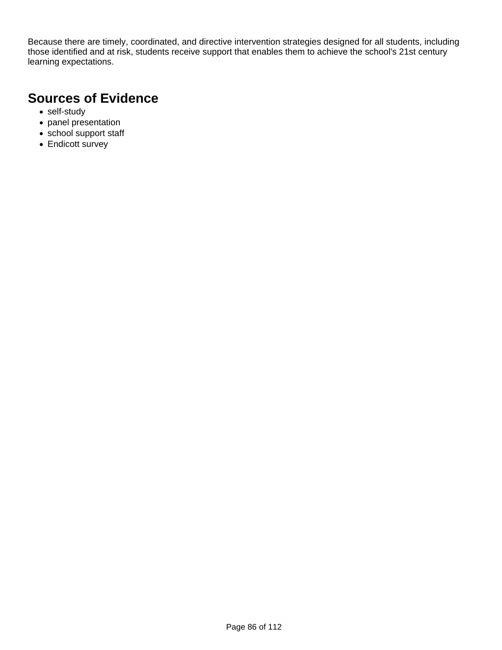Because there are timely, coordinated, and directive intervention strategies designed for all students, including those identified and at risk, students receive support that enables them to achieve the school's 21st century learning expectations.

- self-study
- panel presentation
- school support staff
- Endicott survey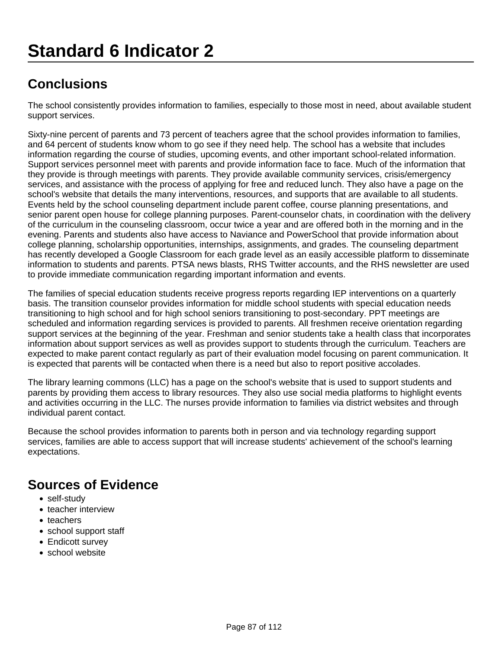The school consistently provides information to families, especially to those most in need, about available student support services.

Sixty-nine percent of parents and 73 percent of teachers agree that the school provides information to families, and 64 percent of students know whom to go see if they need help. The school has a website that includes information regarding the course of studies, upcoming events, and other important school-related information. Support services personnel meet with parents and provide information face to face. Much of the information that they provide is through meetings with parents. They provide available community services, crisis/emergency services, and assistance with the process of applying for free and reduced lunch. They also have a page on the school's website that details the many interventions, resources, and supports that are available to all students. Events held by the school counseling department include parent coffee, course planning presentations, and senior parent open house for college planning purposes. Parent-counselor chats, in coordination with the delivery of the curriculum in the counseling classroom, occur twice a year and are offered both in the morning and in the evening. Parents and students also have access to Naviance and PowerSchool that provide information about college planning, scholarship opportunities, internships, assignments, and grades. The counseling department has recently developed a Google Classroom for each grade level as an easily accessible platform to disseminate information to students and parents. PTSA news blasts, RHS Twitter accounts, and the RHS newsletter are used to provide immediate communication regarding important information and events.

The families of special education students receive progress reports regarding IEP interventions on a quarterly basis. The transition counselor provides information for middle school students with special education needs transitioning to high school and for high school seniors transitioning to post-secondary. PPT meetings are scheduled and information regarding services is provided to parents. All freshmen receive orientation regarding support services at the beginning of the year. Freshman and senior students take a health class that incorporates information about support services as well as provides support to students through the curriculum. Teachers are expected to make parent contact regularly as part of their evaluation model focusing on parent communication. It is expected that parents will be contacted when there is a need but also to report positive accolades.

The library learning commons (LLC) has a page on the school's website that is used to support students and parents by providing them access to library resources. They also use social media platforms to highlight events and activities occurring in the LLC. The nurses provide information to families via district websites and through individual parent contact.

Because the school provides information to parents both in person and via technology regarding support services, families are able to access support that will increase students' achievement of the school's learning expectations.

- self-study
- teacher interview
- teachers
- school support staff
- Endicott survey
- school website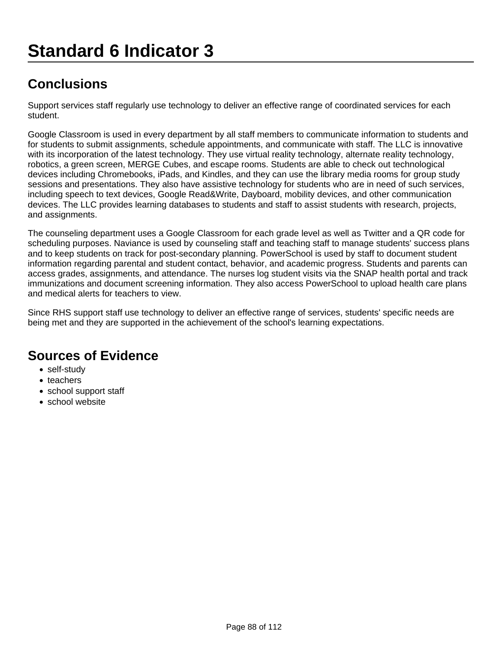Support services staff regularly use technology to deliver an effective range of coordinated services for each student.

Google Classroom is used in every department by all staff members to communicate information to students and for students to submit assignments, schedule appointments, and communicate with staff. The LLC is innovative with its incorporation of the latest technology. They use virtual reality technology, alternate reality technology, robotics, a green screen, MERGE Cubes, and escape rooms. Students are able to check out technological devices including Chromebooks, iPads, and Kindles, and they can use the library media rooms for group study sessions and presentations. They also have assistive technology for students who are in need of such services, including speech to text devices, Google Read&Write, Dayboard, mobility devices, and other communication devices. The LLC provides learning databases to students and staff to assist students with research, projects, and assignments.

The counseling department uses a Google Classroom for each grade level as well as Twitter and a QR code for scheduling purposes. Naviance is used by counseling staff and teaching staff to manage students' success plans and to keep students on track for post-secondary planning. PowerSchool is used by staff to document student information regarding parental and student contact, behavior, and academic progress. Students and parents can access grades, assignments, and attendance. The nurses log student visits via the SNAP health portal and track immunizations and document screening information. They also access PowerSchool to upload health care plans and medical alerts for teachers to view.

Since RHS support staff use technology to deliver an effective range of services, students' specific needs are being met and they are supported in the achievement of the school's learning expectations.

- self-study
- teachers
- school support staff
- school website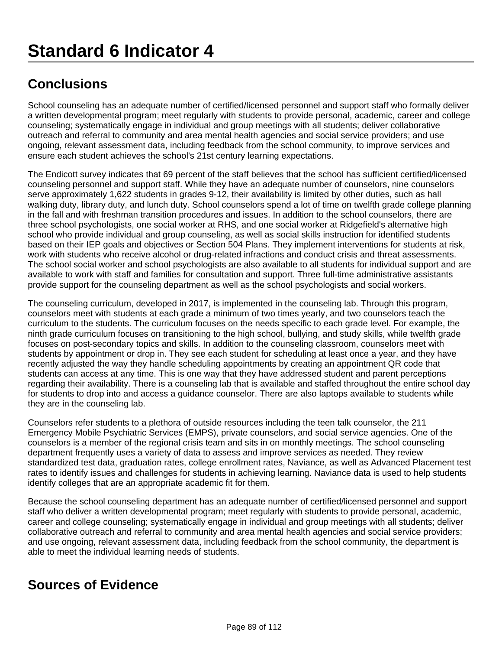School counseling has an adequate number of certified/licensed personnel and support staff who formally deliver a written developmental program; meet regularly with students to provide personal, academic, career and college counseling; systematically engage in individual and group meetings with all students; deliver collaborative outreach and referral to community and area mental health agencies and social service providers; and use ongoing, relevant assessment data, including feedback from the school community, to improve services and ensure each student achieves the school's 21st century learning expectations.

The Endicott survey indicates that 69 percent of the staff believes that the school has sufficient certified/licensed counseling personnel and support staff. While they have an adequate number of counselors, nine counselors serve approximately 1,622 students in grades 9-12, their availability is limited by other duties, such as hall walking duty, library duty, and lunch duty. School counselors spend a lot of time on twelfth grade college planning in the fall and with freshman transition procedures and issues. In addition to the school counselors, there are three school psychologists, one social worker at RHS, and one social worker at Ridgefield's alternative high school who provide individual and group counseling, as well as social skills instruction for identified students based on their IEP goals and objectives or Section 504 Plans. They implement interventions for students at risk, work with students who receive alcohol or drug-related infractions and conduct crisis and threat assessments. The school social worker and school psychologists are also available to all students for individual support and are available to work with staff and families for consultation and support. Three full-time administrative assistants provide support for the counseling department as well as the school psychologists and social workers.

The counseling curriculum, developed in 2017, is implemented in the counseling lab. Through this program, counselors meet with students at each grade a minimum of two times yearly, and two counselors teach the curriculum to the students. The curriculum focuses on the needs specific to each grade level. For example, the ninth grade curriculum focuses on transitioning to the high school, bullying, and study skills, while twelfth grade focuses on post-secondary topics and skills. In addition to the counseling classroom, counselors meet with students by appointment or drop in. They see each student for scheduling at least once a year, and they have recently adjusted the way they handle scheduling appointments by creating an appointment QR code that students can access at any time. This is one way that they have addressed student and parent perceptions regarding their availability. There is a counseling lab that is available and staffed throughout the entire school day for students to drop into and access a guidance counselor. There are also laptops available to students while they are in the counseling lab.

Counselors refer students to a plethora of outside resources including the teen talk counselor, the 211 Emergency Mobile Psychiatric Services (EMPS), private counselors, and social service agencies. One of the counselors is a member of the regional crisis team and sits in on monthly meetings. The school counseling department frequently uses a variety of data to assess and improve services as needed. They review standardized test data, graduation rates, college enrollment rates, Naviance, as well as Advanced Placement test rates to identify issues and challenges for students in achieving learning. Naviance data is used to help students identify colleges that are an appropriate academic fit for them.

Because the school counseling department has an adequate number of certified/licensed personnel and support staff who deliver a written developmental program; meet regularly with students to provide personal, academic, career and college counseling; systematically engage in individual and group meetings with all students; deliver collaborative outreach and referral to community and area mental health agencies and social service providers; and use ongoing, relevant assessment data, including feedback from the school community, the department is able to meet the individual learning needs of students.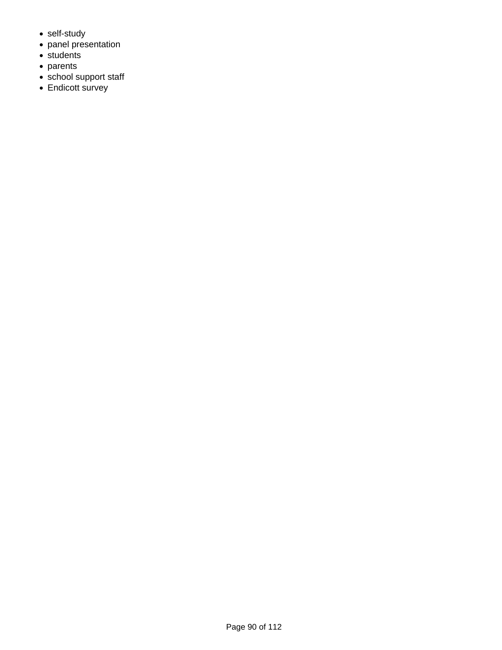- self-study
- panel presentation
- students
- parents
- school support staff
- Endicott survey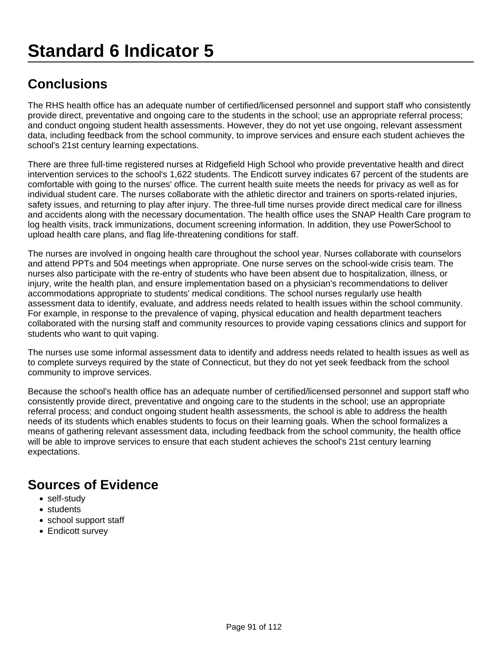The RHS health office has an adequate number of certified/licensed personnel and support staff who consistently provide direct, preventative and ongoing care to the students in the school; use an appropriate referral process; and conduct ongoing student health assessments. However, they do not yet use ongoing, relevant assessment data, including feedback from the school community, to improve services and ensure each student achieves the school's 21st century learning expectations.

There are three full-time registered nurses at Ridgefield High School who provide preventative health and direct intervention services to the school's 1,622 students. The Endicott survey indicates 67 percent of the students are comfortable with going to the nurses' office. The current health suite meets the needs for privacy as well as for individual student care. The nurses collaborate with the athletic director and trainers on sports-related injuries, safety issues, and returning to play after injury. The three-full time nurses provide direct medical care for illness and accidents along with the necessary documentation. The health office uses the SNAP Health Care program to log health visits, track immunizations, document screening information. In addition, they use PowerSchool to upload health care plans, and flag life-threatening conditions for staff.

The nurses are involved in ongoing health care throughout the school year. Nurses collaborate with counselors and attend PPTs and 504 meetings when appropriate. One nurse serves on the school-wide crisis team. The nurses also participate with the re-entry of students who have been absent due to hospitalization, illness, or injury, write the health plan, and ensure implementation based on a physician's recommendations to deliver accommodations appropriate to students' medical conditions. The school nurses regularly use health assessment data to identify, evaluate, and address needs related to health issues within the school community. For example, in response to the prevalence of vaping, physical education and health department teachers collaborated with the nursing staff and community resources to provide vaping cessations clinics and support for students who want to quit vaping.

The nurses use some informal assessment data to identify and address needs related to health issues as well as to complete surveys required by the state of Connecticut, but they do not yet seek feedback from the school community to improve services.

Because the school's health office has an adequate number of certified/licensed personnel and support staff who consistently provide direct, preventative and ongoing care to the students in the school; use an appropriate referral process; and conduct ongoing student health assessments, the school is able to address the health needs of its students which enables students to focus on their learning goals. When the school formalizes a means of gathering relevant assessment data, including feedback from the school community, the health office will be able to improve services to ensure that each student achieves the school's 21st century learning expectations.

- self-study
- students
- school support staff
- Endicott survey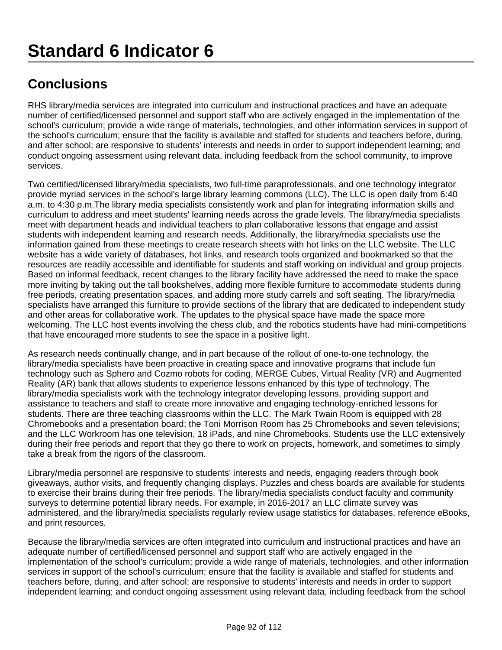RHS library/media services are integrated into curriculum and instructional practices and have an adequate number of certified/licensed personnel and support staff who are actively engaged in the implementation of the school's curriculum; provide a wide range of materials, technologies, and other information services in support of the school's curriculum; ensure that the facility is available and staffed for students and teachers before, during, and after school; are responsive to students' interests and needs in order to support independent learning; and conduct ongoing assessment using relevant data, including feedback from the school community, to improve services.

Two certified/licensed library/media specialists, two full-time paraprofessionals, and one technology integrator provide myriad services in the school's large library learning commons (LLC). The LLC is open daily from 6:40 a.m. to 4:30 p.m.The library media specialists consistently work and plan for integrating information skills and curriculum to address and meet students' learning needs across the grade levels. The library/media specialists meet with department heads and individual teachers to plan collaborative lessons that engage and assist students with independent learning and research needs. Additionally, the library/media specialists use the information gained from these meetings to create research sheets with hot links on the LLC website. The LLC website has a wide variety of databases, hot links, and research tools organized and bookmarked so that the resources are readily accessible and identifiable for students and staff working on individual and group projects. Based on informal feedback, recent changes to the library facility have addressed the need to make the space more inviting by taking out the tall bookshelves, adding more flexible furniture to accommodate students during free periods, creating presentation spaces, and adding more study carrels and soft seating. The library/media specialists have arranged this furniture to provide sections of the library that are dedicated to independent study and other areas for collaborative work. The updates to the physical space have made the space more welcoming. The LLC host events involving the chess club, and the robotics students have had mini-competitions that have encouraged more students to see the space in a positive light.

As research needs continually change, and in part because of the rollout of one-to-one technology, the library/media specialists have been proactive in creating space and innovative programs that include fun technology such as Sphero and Cozmo robots for coding, MERGE Cubes, Virtual Reality (VR) and Augmented Reality (AR) bank that allows students to experience lessons enhanced by this type of technology. The library/media specialists work with the technology integrator developing lessons, providing support and assistance to teachers and staff to create more innovative and engaging technology-enriched lessons for students. There are three teaching classrooms within the LLC. The Mark Twain Room is equipped with 28 Chromebooks and a presentation board; the Toni Morrison Room has 25 Chromebooks and seven televisions; and the LLC Workroom has one television, 18 iPads, and nine Chromebooks. Students use the LLC extensively during their free periods and report that they go there to work on projects, homework, and sometimes to simply take a break from the rigors of the classroom.

Library/media personnel are responsive to students' interests and needs, engaging readers through book giveaways, author visits, and frequently changing displays. Puzzles and chess boards are available for students to exercise their brains during their free periods. The library/media specialists conduct faculty and community surveys to determine potential library needs. For example, in 2016-2017 an LLC climate survey was administered, and the library/media specialists regularly review usage statistics for databases, reference eBooks, and print resources.

Because the library/media services are often integrated into curriculum and instructional practices and have an adequate number of certified/licensed personnel and support staff who are actively engaged in the implementation of the school's curriculum; provide a wide range of materials, technologies, and other information services in support of the school's curriculum; ensure that the facility is available and staffed for students and teachers before, during, and after school; are responsive to students' interests and needs in order to support independent learning; and conduct ongoing assessment using relevant data, including feedback from the school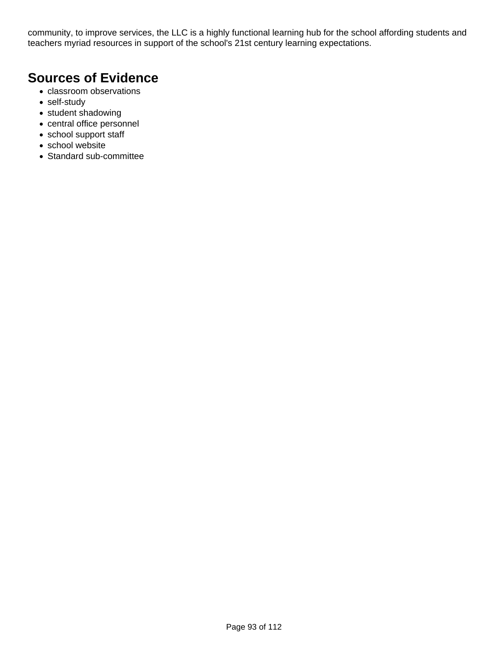community, to improve services, the LLC is a highly functional learning hub for the school affording students and teachers myriad resources in support of the school's 21st century learning expectations.

- classroom observations
- self-study
- student shadowing
- central office personnel
- school support staff
- school website
- Standard sub-committee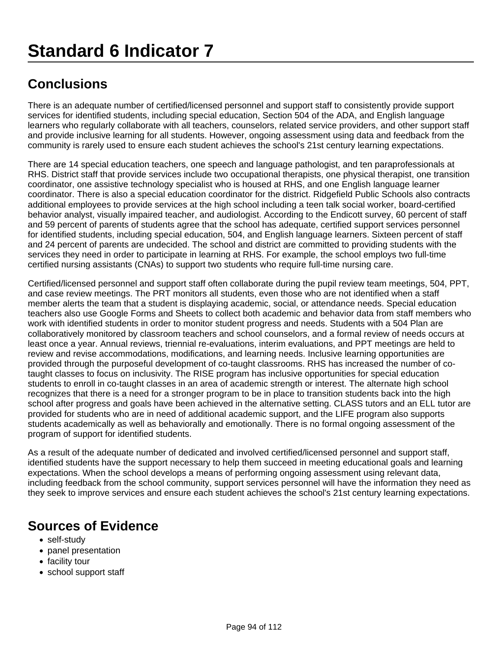There is an adequate number of certified/licensed personnel and support staff to consistently provide support services for identified students, including special education, Section 504 of the ADA, and English language learners who regularly collaborate with all teachers, counselors, related service providers, and other support staff and provide inclusive learning for all students. However, ongoing assessment using data and feedback from the community is rarely used to ensure each student achieves the school's 21st century learning expectations.

There are 14 special education teachers, one speech and language pathologist, and ten paraprofessionals at RHS. District staff that provide services include two occupational therapists, one physical therapist, one transition coordinator, one assistive technology specialist who is housed at RHS, and one English language learner coordinator. There is also a special education coordinator for the district. Ridgefield Public Schools also contracts additional employees to provide services at the high school including a teen talk social worker, board-certified behavior analyst, visually impaired teacher, and audiologist. According to the Endicott survey, 60 percent of staff and 59 percent of parents of students agree that the school has adequate, certified support services personnel for identified students, including special education, 504, and English language learners. Sixteen percent of staff and 24 percent of parents are undecided. The school and district are committed to providing students with the services they need in order to participate in learning at RHS. For example, the school employs two full-time certified nursing assistants (CNAs) to support two students who require full-time nursing care.

Certified/licensed personnel and support staff often collaborate during the pupil review team meetings, 504, PPT, and case review meetings. The PRT monitors all students, even those who are not identified when a staff member alerts the team that a student is displaying academic, social, or attendance needs. Special education teachers also use Google Forms and Sheets to collect both academic and behavior data from staff members who work with identified students in order to monitor student progress and needs. Students with a 504 Plan are collaboratively monitored by classroom teachers and school counselors, and a formal review of needs occurs at least once a year. Annual reviews, triennial re-evaluations, interim evaluations, and PPT meetings are held to review and revise accommodations, modifications, and learning needs. Inclusive learning opportunities are provided through the purposeful development of co-taught classrooms. RHS has increased the number of cotaught classes to focus on inclusivity. The RISE program has inclusive opportunities for special education students to enroll in co-taught classes in an area of academic strength or interest. The alternate high school recognizes that there is a need for a stronger program to be in place to transition students back into the high school after progress and goals have been achieved in the alternative setting. CLASS tutors and an ELL tutor are provided for students who are in need of additional academic support, and the LIFE program also supports students academically as well as behaviorally and emotionally. There is no formal ongoing assessment of the program of support for identified students.

As a result of the adequate number of dedicated and involved certified/licensed personnel and support staff, identified students have the support necessary to help them succeed in meeting educational goals and learning expectations. When the school develops a means of performing ongoing assessment using relevant data, including feedback from the school community, support services personnel will have the information they need as they seek to improve services and ensure each student achieves the school's 21st century learning expectations.

- self-study
- panel presentation
- facility tour
- school support staff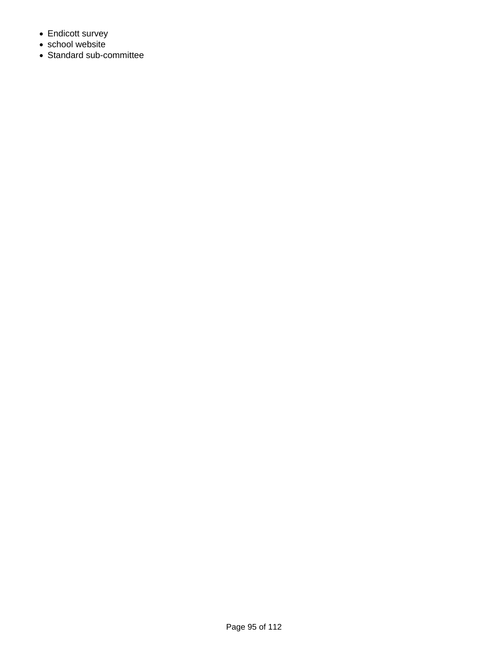- Endicott survey
- school website
- Standard sub-committee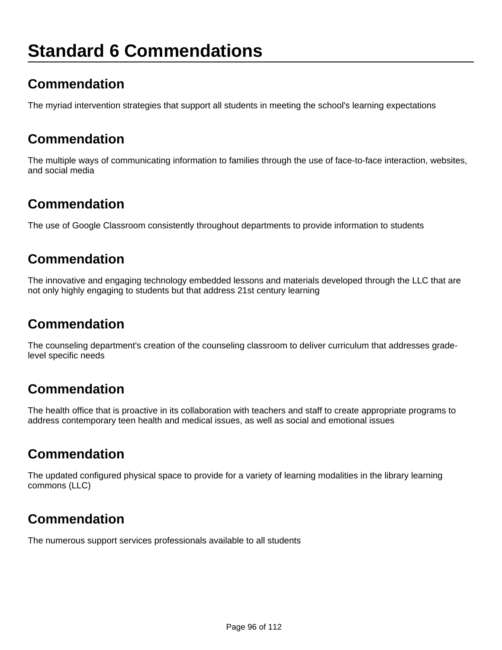# **Standard 6 Commendations**

## **Commendation**

The myriad intervention strategies that support all students in meeting the school's learning expectations

#### **Commendation**

The multiple ways of communicating information to families through the use of face-to-face interaction, websites, and social media

### **Commendation**

The use of Google Classroom consistently throughout departments to provide information to students

#### **Commendation**

The innovative and engaging technology embedded lessons and materials developed through the LLC that are not only highly engaging to students but that address 21st century learning

### **Commendation**

The counseling department's creation of the counseling classroom to deliver curriculum that addresses gradelevel specific needs

## **Commendation**

The health office that is proactive in its collaboration with teachers and staff to create appropriate programs to address contemporary teen health and medical issues, as well as social and emotional issues

#### **Commendation**

The updated configured physical space to provide for a variety of learning modalities in the library learning commons (LLC)

## **Commendation**

The numerous support services professionals available to all students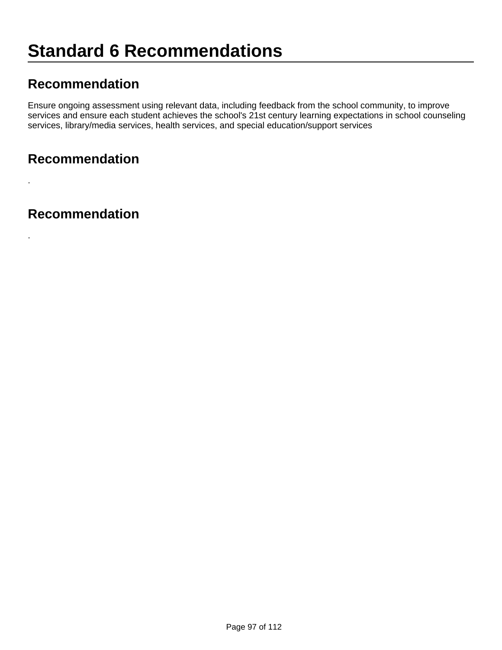### **Recommendation**

Ensure ongoing assessment using relevant data, including feedback from the school community, to improve services and ensure each student achieves the school's 21st century learning expectations in school counseling services, library/media services, health services, and special education/support services

#### **Recommendation**

.

.

**Recommendation**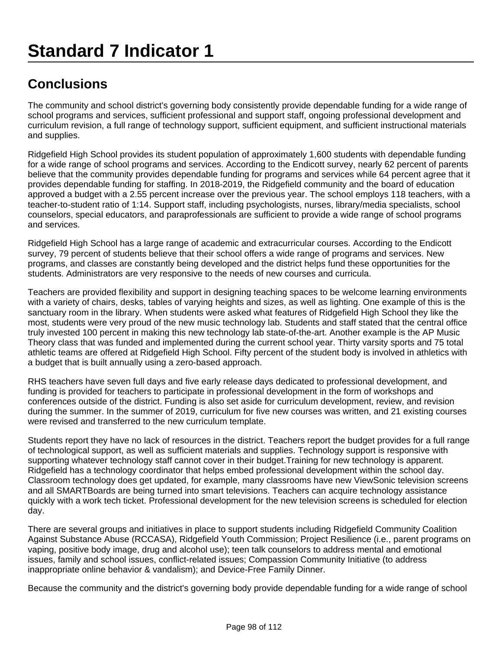The community and school district's governing body consistently provide dependable funding for a wide range of school programs and services, sufficient professional and support staff, ongoing professional development and curriculum revision, a full range of technology support, sufficient equipment, and sufficient instructional materials and supplies.

Ridgefield High School provides its student population of approximately 1,600 students with dependable funding for a wide range of school programs and services. According to the Endicott survey, nearly 62 percent of parents believe that the community provides dependable funding for programs and services while 64 percent agree that it provides dependable funding for staffing. In 2018-2019, the Ridgefield community and the board of education approved a budget with a 2.55 percent increase over the previous year. The school employs 118 teachers, with a teacher-to-student ratio of 1:14. Support staff, including psychologists, nurses, library/media specialists, school counselors, special educators, and paraprofessionals are sufficient to provide a wide range of school programs and services.

Ridgefield High School has a large range of academic and extracurricular courses. According to the Endicott survey, 79 percent of students believe that their school offers a wide range of programs and services. New programs, and classes are constantly being developed and the district helps fund these opportunities for the students. Administrators are very responsive to the needs of new courses and curricula.

Teachers are provided flexibility and support in designing teaching spaces to be welcome learning environments with a variety of chairs, desks, tables of varying heights and sizes, as well as lighting. One example of this is the sanctuary room in the library. When students were asked what features of Ridgefield High School they like the most, students were very proud of the new music technology lab. Students and staff stated that the central office truly invested 100 percent in making this new technology lab state-of-the-art. Another example is the AP Music Theory class that was funded and implemented during the current school year. Thirty varsity sports and 75 total athletic teams are offered at Ridgefield High School. Fifty percent of the student body is involved in athletics with a budget that is built annually using a zero-based approach.

RHS teachers have seven full days and five early release days dedicated to professional development, and funding is provided for teachers to participate in professional development in the form of workshops and conferences outside of the district. Funding is also set aside for curriculum development, review, and revision during the summer. In the summer of 2019, curriculum for five new courses was written, and 21 existing courses were revised and transferred to the new curriculum template.

Students report they have no lack of resources in the district. Teachers report the budget provides for a full range of technological support, as well as sufficient materials and supplies. Technology support is responsive with supporting whatever technology staff cannot cover in their budget.Training for new technology is apparent. Ridgefield has a technology coordinator that helps embed professional development within the school day. Classroom technology does get updated, for example, many classrooms have new ViewSonic television screens and all SMARTBoards are being turned into smart televisions. Teachers can acquire technology assistance quickly with a work tech ticket. Professional development for the new television screens is scheduled for election day.

There are several groups and initiatives in place to support students including Ridgefield Community Coalition Against Substance Abuse (RCCASA), Ridgefield Youth Commission; Project Resilience (i.e., parent programs on vaping, positive body image, drug and alcohol use); teen talk counselors to address mental and emotional issues, family and school issues, conflict-related issues; Compassion Community Initiative (to address inappropriate online behavior & vandalism); and Device-Free Family Dinner.

Because the community and the district's governing body provide dependable funding for a wide range of school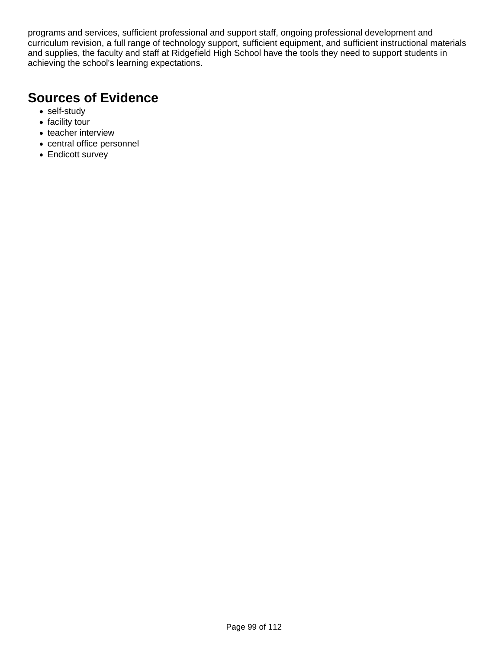programs and services, sufficient professional and support staff, ongoing professional development and curriculum revision, a full range of technology support, sufficient equipment, and sufficient instructional materials and supplies, the faculty and staff at Ridgefield High School have the tools they need to support students in achieving the school's learning expectations.

- self-study
- facility tour
- teacher interview
- central office personnel
- Endicott survey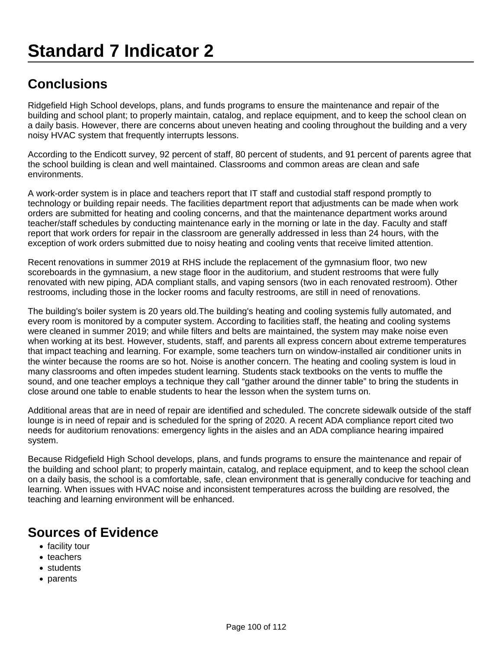Ridgefield High School develops, plans, and funds programs to ensure the maintenance and repair of the building and school plant; to properly maintain, catalog, and replace equipment, and to keep the school clean on a daily basis. However, there are concerns about uneven heating and cooling throughout the building and a very noisy HVAC system that frequently interrupts lessons.

According to the Endicott survey, 92 percent of staff, 80 percent of students, and 91 percent of parents agree that the school building is clean and well maintained. Classrooms and common areas are clean and safe environments.

A work-order system is in place and teachers report that IT staff and custodial staff respond promptly to technology or building repair needs. The facilities department report that adjustments can be made when work orders are submitted for heating and cooling concerns, and that the maintenance department works around teacher/staff schedules by conducting maintenance early in the morning or late in the day. Faculty and staff report that work orders for repair in the classroom are generally addressed in less than 24 hours, with the exception of work orders submitted due to noisy heating and cooling vents that receive limited attention.

Recent renovations in summer 2019 at RHS include the replacement of the gymnasium floor, two new scoreboards in the gymnasium, a new stage floor in the auditorium, and student restrooms that were fully renovated with new piping, ADA compliant stalls, and vaping sensors (two in each renovated restroom). Other restrooms, including those in the locker rooms and faculty restrooms, are still in need of renovations.

The building's boiler system is 20 years old.The building's heating and cooling systemis fully automated, and every room is monitored by a computer system. According to facilities staff, the heating and cooling systems were cleaned in summer 2019; and while filters and belts are maintained, the system may make noise even when working at its best. However, students, staff, and parents all express concern about extreme temperatures that impact teaching and learning. For example, some teachers turn on window-installed air conditioner units in the winter because the rooms are so hot. Noise is another concern. The heating and cooling system is loud in many classrooms and often impedes student learning. Students stack textbooks on the vents to muffle the sound, and one teacher employs a technique they call "gather around the dinner table" to bring the students in close around one table to enable students to hear the lesson when the system turns on.

Additional areas that are in need of repair are identified and scheduled. The concrete sidewalk outside of the staff lounge is in need of repair and is scheduled for the spring of 2020. A recent ADA compliance report cited two needs for auditorium renovations: emergency lights in the aisles and an ADA compliance hearing impaired system.

Because Ridgefield High School develops, plans, and funds programs to ensure the maintenance and repair of the building and school plant; to properly maintain, catalog, and replace equipment, and to keep the school clean on a daily basis, the school is a comfortable, safe, clean environment that is generally conducive for teaching and learning. When issues with HVAC noise and inconsistent temperatures across the building are resolved, the teaching and learning environment will be enhanced.

- facility tour
- teachers
- students
- parents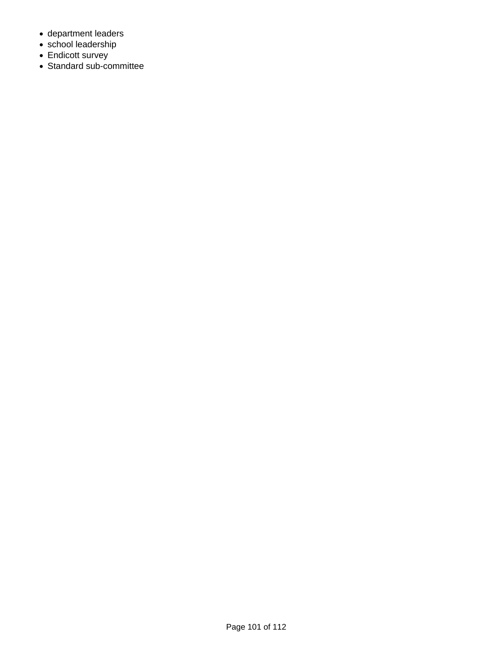- department leaders
- school leadership
- Endicott survey
- Standard sub-committee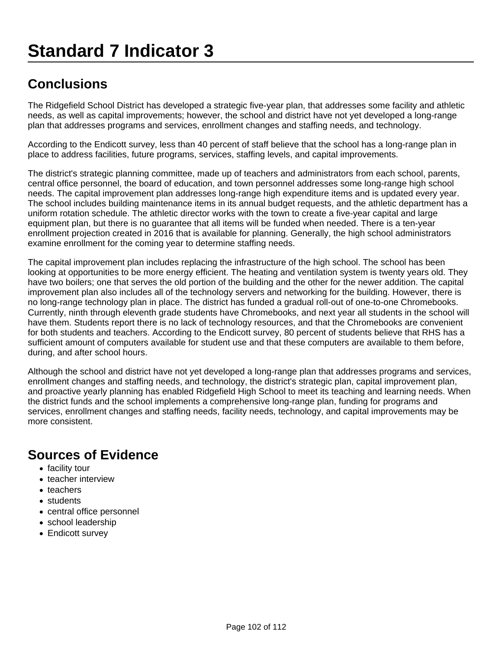# **Conclusions**

The Ridgefield School District has developed a strategic five-year plan, that addresses some facility and athletic needs, as well as capital improvements; however, the school and district have not yet developed a long-range plan that addresses programs and services, enrollment changes and staffing needs, and technology.

According to the Endicott survey, less than 40 percent of staff believe that the school has a long-range plan in place to address facilities, future programs, services, staffing levels, and capital improvements.

The district's strategic planning committee, made up of teachers and administrators from each school, parents, central office personnel, the board of education, and town personnel addresses some long-range high school needs. The capital improvement plan addresses long-range high expenditure items and is updated every year. The school includes building maintenance items in its annual budget requests, and the athletic department has a uniform rotation schedule. The athletic director works with the town to create a five-year capital and large equipment plan, but there is no guarantee that all items will be funded when needed. There is a ten-year enrollment projection created in 2016 that is available for planning. Generally, the high school administrators examine enrollment for the coming year to determine staffing needs.

The capital improvement plan includes replacing the infrastructure of the high school. The school has been looking at opportunities to be more energy efficient. The heating and ventilation system is twenty years old. They have two boilers; one that serves the old portion of the building and the other for the newer addition. The capital improvement plan also includes all of the technology servers and networking for the building. However, there is no long-range technology plan in place. The district has funded a gradual roll-out of one-to-one Chromebooks. Currently, ninth through eleventh grade students have Chromebooks, and next year all students in the school will have them. Students report there is no lack of technology resources, and that the Chromebooks are convenient for both students and teachers. According to the Endicott survey, 80 percent of students believe that RHS has a sufficient amount of computers available for student use and that these computers are available to them before, during, and after school hours.

Although the school and district have not yet developed a long-range plan that addresses programs and services, enrollment changes and staffing needs, and technology, the district's strategic plan, capital improvement plan, and proactive yearly planning has enabled Ridgefield High School to meet its teaching and learning needs. When the district funds and the school implements a comprehensive long-range plan, funding for programs and services, enrollment changes and staffing needs, facility needs, technology, and capital improvements may be more consistent.

- facility tour
- teacher interview
- teachers
- students
- central office personnel
- school leadership
- Endicott survey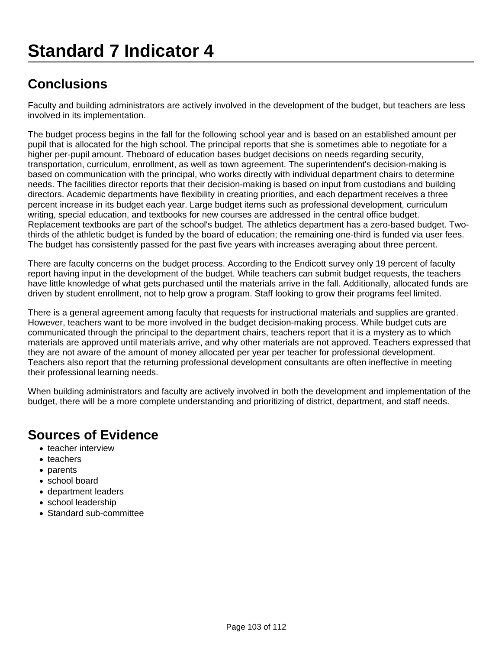Faculty and building administrators are actively involved in the development of the budget, but teachers are less involved in its implementation.

The budget process begins in the fall for the following school year and is based on an established amount per pupil that is allocated for the high school. The principal reports that she is sometimes able to negotiate for a higher per-pupil amount. Theboard of education bases budget decisions on needs regarding security, transportation, curriculum, enrollment, as well as town agreement. The superintendent's decision-making is based on communication with the principal, who works directly with individual department chairs to determine needs. The facilities director reports that their decision-making is based on input from custodians and building directors. Academic departments have flexibility in creating priorities, and each department receives a three percent increase in its budget each year. Large budget items such as professional development, curriculum writing, special education, and textbooks for new courses are addressed in the central office budget. Replacement textbooks are part of the school's budget. The athletics department has a zero-based budget. Twothirds of the athletic budget is funded by the board of education; the remaining one-third is funded via user fees. The budget has consistently passed for the past five years with increases averaging about three percent.

There are faculty concerns on the budget process. According to the Endicott survey only 19 percent of faculty report having input in the development of the budget. While teachers can submit budget requests, the teachers have little knowledge of what gets purchased until the materials arrive in the fall. Additionally, allocated funds are driven by student enrollment, not to help grow a program. Staff looking to grow their programs feel limited.

There is a general agreement among faculty that requests for instructional materials and supplies are granted. However, teachers want to be more involved in the budget decision-making process. While budget cuts are communicated through the principal to the department chairs, teachers report that it is a mystery as to which materials are approved until materials arrive, and why other materials are not approved. Teachers expressed that they are not aware of the amount of money allocated per year per teacher for professional development. Teachers also report that the returning professional development consultants are often ineffective in meeting their professional learning needs.

When building administrators and faculty are actively involved in both the development and implementation of the budget, there will be a more complete understanding and prioritizing of district, department, and staff needs.

- teacher interview
- teachers
- parents
- school board
- department leaders
- school leadership
- Standard sub-committee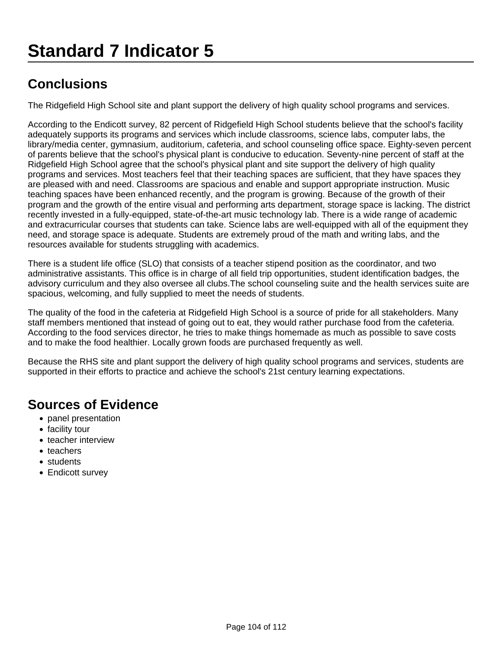The Ridgefield High School site and plant support the delivery of high quality school programs and services.

According to the Endicott survey, 82 percent of Ridgefield High School students believe that the school's facility adequately supports its programs and services which include classrooms, science labs, computer labs, the library/media center, gymnasium, auditorium, cafeteria, and school counseling office space. Eighty-seven percent of parents believe that the school's physical plant is conducive to education. Seventy-nine percent of staff at the Ridgefield High School agree that the school's physical plant and site support the delivery of high quality programs and services. Most teachers feel that their teaching spaces are sufficient, that they have spaces they are pleased with and need. Classrooms are spacious and enable and support appropriate instruction. Music teaching spaces have been enhanced recently, and the program is growing. Because of the growth of their program and the growth of the entire visual and performing arts department, storage space is lacking. The district recently invested in a fully-equipped, state-of-the-art music technology lab. There is a wide range of academic and extracurricular courses that students can take. Science labs are well-equipped with all of the equipment they need, and storage space is adequate. Students are extremely proud of the math and writing labs, and the resources available for students struggling with academics.

There is a student life office (SLO) that consists of a teacher stipend position as the coordinator, and two administrative assistants. This office is in charge of all field trip opportunities, student identification badges, the advisory curriculum and they also oversee all clubs.The school counseling suite and the health services suite are spacious, welcoming, and fully supplied to meet the needs of students.

The quality of the food in the cafeteria at Ridgefield High School is a source of pride for all stakeholders. Many staff members mentioned that instead of going out to eat, they would rather purchase food from the cafeteria. According to the food services director, he tries to make things homemade as much as possible to save costs and to make the food healthier. Locally grown foods are purchased frequently as well.

Because the RHS site and plant support the delivery of high quality school programs and services, students are supported in their efforts to practice and achieve the school's 21st century learning expectations.

- panel presentation
- facility tour
- teacher interview
- teachers
- students
- Endicott survey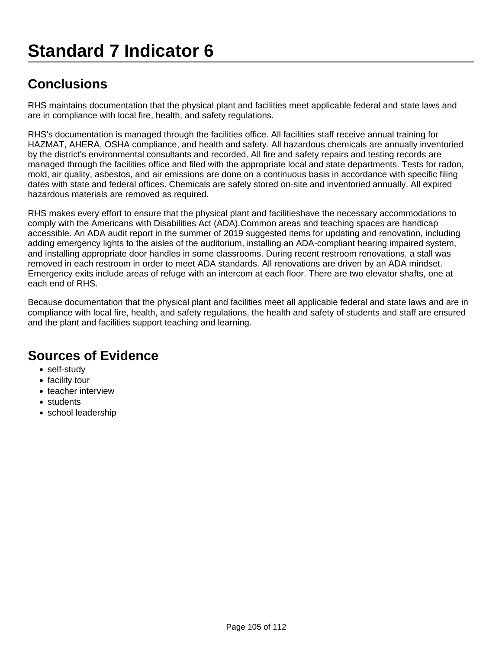# **Conclusions**

RHS maintains documentation that the physical plant and facilities meet applicable federal and state laws and are in compliance with local fire, health, and safety regulations.

RHS's documentation is managed through the facilities office. All facilities staff receive annual training for HAZMAT, AHERA, OSHA compliance, and health and safety. All hazardous chemicals are annually inventoried by the district's environmental consultants and recorded. All fire and safety repairs and testing records are managed through the facilities office and filed with the appropriate local and state departments. Tests for radon, mold, air quality, asbestos, and air emissions are done on a continuous basis in accordance with specific filing dates with state and federal offices. Chemicals are safely stored on-site and inventoried annually. All expired hazardous materials are removed as required.

RHS makes every effort to ensure that the physical plant and facilitieshave the necessary accommodations to comply with the Americans with Disabilities Act (ADA).Common areas and teaching spaces are handicap accessible. An ADA audit report in the summer of 2019 suggested items for updating and renovation, including adding emergency lights to the aisles of the auditorium, installing an ADA-compliant hearing impaired system, and installing appropriate door handles in some classrooms. During recent restroom renovations, a stall was removed in each restroom in order to meet ADA standards. All renovations are driven by an ADA mindset. Emergency exits include areas of refuge with an intercom at each floor. There are two elevator shafts, one at each end of RHS.

Because documentation that the physical plant and facilities meet all applicable federal and state laws and are in compliance with local fire, health, and safety regulations, the health and safety of students and staff are ensured and the plant and facilities support teaching and learning.

- self-study
- facility tour
- teacher interview
- students
- school leadership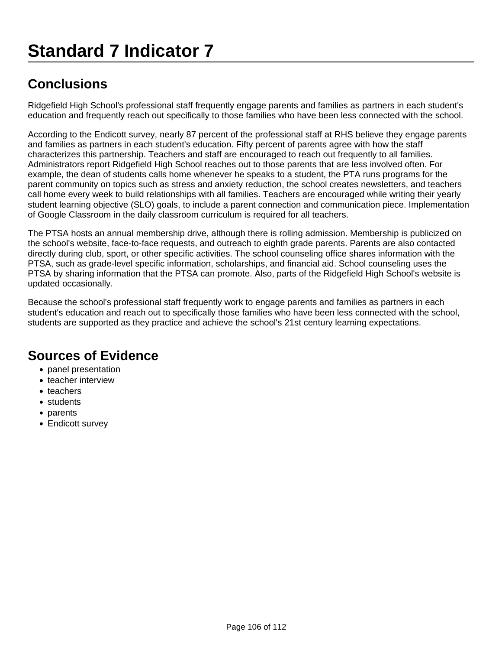# **Conclusions**

Ridgefield High School's professional staff frequently engage parents and families as partners in each student's education and frequently reach out specifically to those families who have been less connected with the school.

According to the Endicott survey, nearly 87 percent of the professional staff at RHS believe they engage parents and families as partners in each student's education. Fifty percent of parents agree with how the staff characterizes this partnership. Teachers and staff are encouraged to reach out frequently to all families. Administrators report Ridgefield High School reaches out to those parents that are less involved often. For example, the dean of students calls home whenever he speaks to a student, the PTA runs programs for the parent community on topics such as stress and anxiety reduction, the school creates newsletters, and teachers call home every week to build relationships with all families. Teachers are encouraged while writing their yearly student learning objective (SLO) goals, to include a parent connection and communication piece. Implementation of Google Classroom in the daily classroom curriculum is required for all teachers.

The PTSA hosts an annual membership drive, although there is rolling admission. Membership is publicized on the school's website, face-to-face requests, and outreach to eighth grade parents. Parents are also contacted directly during club, sport, or other specific activities. The school counseling office shares information with the PTSA, such as grade-level specific information, scholarships, and financial aid. School counseling uses the PTSA by sharing information that the PTSA can promote. Also, parts of the Ridgefield High School's website is updated occasionally.

Because the school's professional staff frequently work to engage parents and families as partners in each student's education and reach out to specifically those families who have been less connected with the school, students are supported as they practice and achieve the school's 21st century learning expectations.

- panel presentation
- teacher interview
- teachers
- students
- parents
- Endicott survey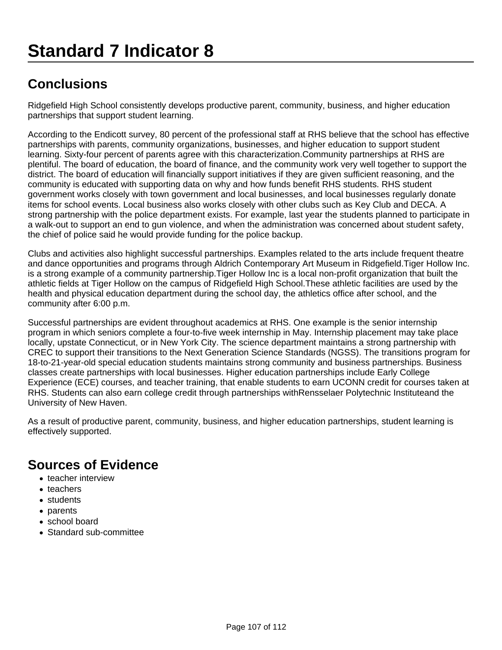# **Conclusions**

Ridgefield High School consistently develops productive parent, community, business, and higher education partnerships that support student learning.

According to the Endicott survey, 80 percent of the professional staff at RHS believe that the school has effective partnerships with parents, community organizations, businesses, and higher education to support student learning. Sixty-four percent of parents agree with this characterization.Community partnerships at RHS are plentiful. The board of education, the board of finance, and the community work very well together to support the district. The board of education will financially support initiatives if they are given sufficient reasoning, and the community is educated with supporting data on why and how funds benefit RHS students. RHS student government works closely with town government and local businesses, and local businesses regularly donate items for school events. Local business also works closely with other clubs such as Key Club and DECA. A strong partnership with the police department exists. For example, last year the students planned to participate in a walk-out to support an end to gun violence, and when the administration was concerned about student safety, the chief of police said he would provide funding for the police backup.

Clubs and activities also highlight successful partnerships. Examples related to the arts include frequent theatre and dance opportunities and programs through Aldrich Contemporary Art Museum in Ridgefield.Tiger Hollow Inc. is a strong example of a community partnership.Tiger Hollow Inc is a local non-profit organization that built the athletic fields at Tiger Hollow on the campus of Ridgefield High School.These athletic facilities are used by the health and physical education department during the school day, the athletics office after school, and the community after 6:00 p.m.

Successful partnerships are evident throughout academics at RHS. One example is the senior internship program in which seniors complete a four-to-five week internship in May. Internship placement may take place locally, upstate Connecticut, or in New York City. The science department maintains a strong partnership with CREC to support their transitions to the Next Generation Science Standards (NGSS). The transitions program for 18-to-21-year-old special education students maintains strong community and business partnerships. Business classes create partnerships with local businesses. Higher education partnerships include Early College Experience (ECE) courses, and teacher training, that enable students to earn UCONN credit for courses taken at RHS. Students can also earn college credit through partnerships withRensselaer Polytechnic Instituteand the University of New Haven.

As a result of productive parent, community, business, and higher education partnerships, student learning is effectively supported.

- teacher interview
- teachers
- students
- parents
- school board
- Standard sub-committee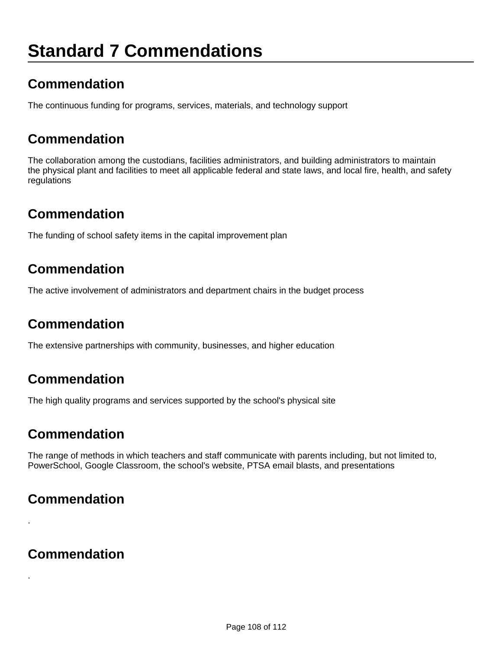# **Standard 7 Commendations**

## **Commendation**

The continuous funding for programs, services, materials, and technology support

#### **Commendation**

The collaboration among the custodians, facilities administrators, and building administrators to maintain the physical plant and facilities to meet all applicable federal and state laws, and local fire, health, and safety regulations

### **Commendation**

The funding of school safety items in the capital improvement plan

## **Commendation**

The active involvement of administrators and department chairs in the budget process

## **Commendation**

The extensive partnerships with community, businesses, and higher education

## **Commendation**

The high quality programs and services supported by the school's physical site

#### **Commendation**

The range of methods in which teachers and staff communicate with parents including, but not limited to, PowerSchool, Google Classroom, the school's website, PTSA email blasts, and presentations

## **Commendation**

.

.

#### **Commendation**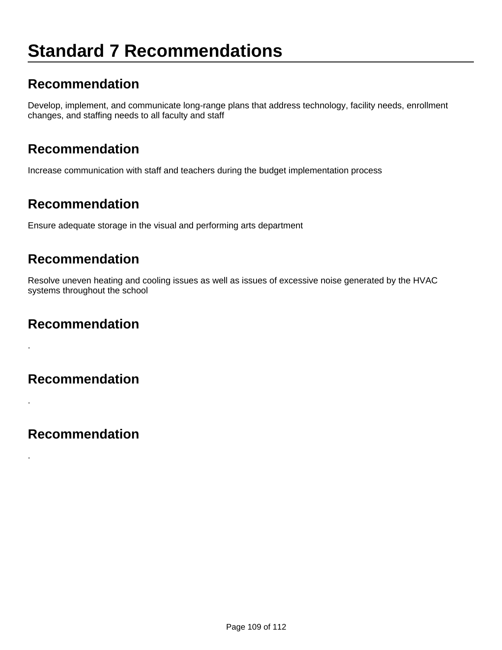### **Standard 7 Recommendations**

### **Recommendation**

Develop, implement, and communicate long-range plans that address technology, facility needs, enrollment changes, and staffing needs to all faculty and staff

### **Recommendation**

Increase communication with staff and teachers during the budget implementation process

### **Recommendation**

Ensure adequate storage in the visual and performing arts department

#### **Recommendation**

Resolve uneven heating and cooling issues as well as issues of excessive noise generated by the HVAC systems throughout the school

#### **Recommendation**

.

.

.

**Recommendation**

**Recommendation**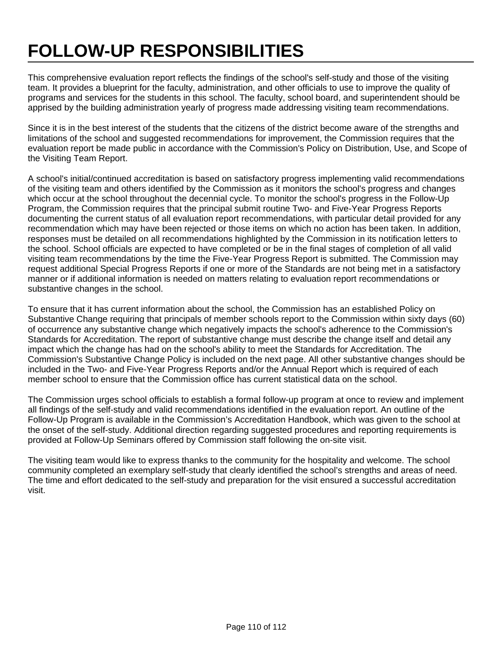# **FOLLOW-UP RESPONSIBILITIES**

This comprehensive evaluation report reflects the findings of the school's self-study and those of the visiting team. It provides a blueprint for the faculty, administration, and other officials to use to improve the quality of programs and services for the students in this school. The faculty, school board, and superintendent should be apprised by the building administration yearly of progress made addressing visiting team recommendations.

Since it is in the best interest of the students that the citizens of the district become aware of the strengths and limitations of the school and suggested recommendations for improvement, the Commission requires that the evaluation report be made public in accordance with the Commission's Policy on Distribution, Use, and Scope of the Visiting Team Report.

A school's initial/continued accreditation is based on satisfactory progress implementing valid recommendations of the visiting team and others identified by the Commission as it monitors the school's progress and changes which occur at the school throughout the decennial cycle. To monitor the school's progress in the Follow-Up Program, the Commission requires that the principal submit routine Two- and Five-Year Progress Reports documenting the current status of all evaluation report recommendations, with particular detail provided for any recommendation which may have been rejected or those items on which no action has been taken. In addition, responses must be detailed on all recommendations highlighted by the Commission in its notification letters to the school. School officials are expected to have completed or be in the final stages of completion of all valid visiting team recommendations by the time the Five-Year Progress Report is submitted. The Commission may request additional Special Progress Reports if one or more of the Standards are not being met in a satisfactory manner or if additional information is needed on matters relating to evaluation report recommendations or substantive changes in the school.

To ensure that it has current information about the school, the Commission has an established Policy on Substantive Change requiring that principals of member schools report to the Commission within sixty days (60) of occurrence any substantive change which negatively impacts the school's adherence to the Commission's Standards for Accreditation. The report of substantive change must describe the change itself and detail any impact which the change has had on the school's ability to meet the Standards for Accreditation. The Commission's Substantive Change Policy is included on the next page. All other substantive changes should be included in the Two- and Five-Year Progress Reports and/or the Annual Report which is required of each member school to ensure that the Commission office has current statistical data on the school.

The Commission urges school officials to establish a formal follow-up program at once to review and implement all findings of the self-study and valid recommendations identified in the evaluation report. An outline of the Follow-Up Program is available in the Commission's Accreditation Handbook, which was given to the school at the onset of the self-study. Additional direction regarding suggested procedures and reporting requirements is provided at Follow-Up Seminars offered by Commission staff following the on-site visit.

The visiting team would like to express thanks to the community for the hospitality and welcome. The school community completed an exemplary self-study that clearly identified the school's strengths and areas of need. The time and effort dedicated to the self-study and preparation for the visit ensured a successful accreditation visit.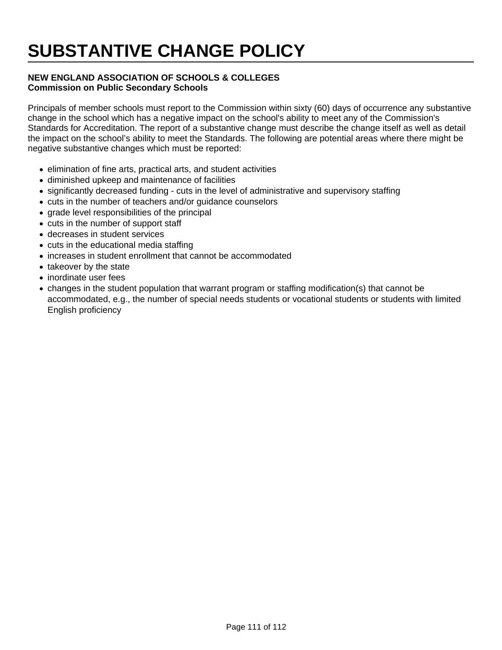## **SUBSTANTIVE CHANGE POLICY**

#### **NEW ENGLAND ASSOCIATION OF SCHOOLS & COLLEGES Commission on Public Secondary Schools**

Principals of member schools must report to the Commission within sixty (60) days of occurrence any substantive change in the school which has a negative impact on the school's ability to meet any of the Commission's Standards for Accreditation. The report of a substantive change must describe the change itself as well as detail the impact on the school's ability to meet the Standards. The following are potential areas where there might be negative substantive changes which must be reported:

- elimination of fine arts, practical arts, and student activities
- diminished upkeep and maintenance of facilities
- significantly decreased funding cuts in the level of administrative and supervisory staffing
- cuts in the number of teachers and/or guidance counselors
- grade level responsibilities of the principal
- cuts in the number of support staff
- decreases in student services
- cuts in the educational media staffing
- increases in student enrollment that cannot be accommodated
- takeover by the state
- inordinate user fees
- changes in the student population that warrant program or staffing modification(s) that cannot be accommodated, e.g., the number of special needs students or vocational students or students with limited English proficiency